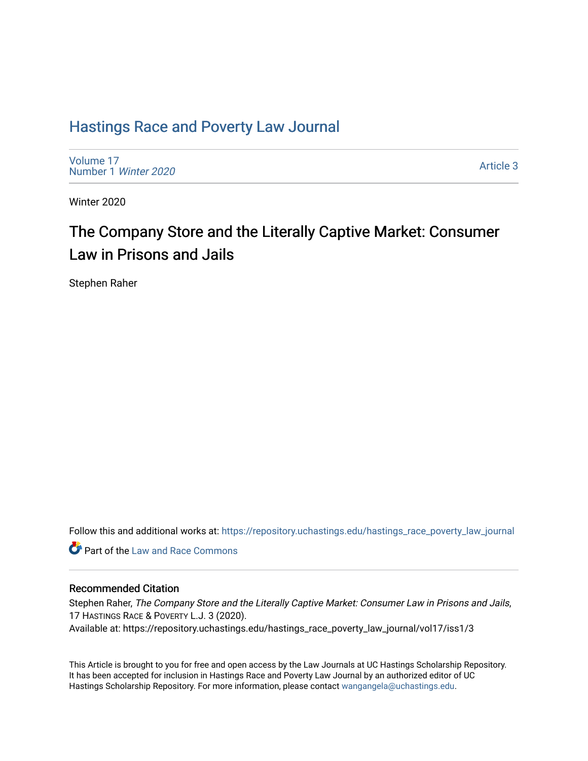## [Hastings Race and Poverty Law Journal](https://repository.uchastings.edu/hastings_race_poverty_law_journal)

[Volume 17](https://repository.uchastings.edu/hastings_race_poverty_law_journal/vol17) [Number 1](https://repository.uchastings.edu/hastings_race_poverty_law_journal/vol17/iss1) Winter 2020

[Article 3](https://repository.uchastings.edu/hastings_race_poverty_law_journal/vol17/iss1/3) 

Winter 2020

# The Company Store and the Literally Captive Market: Consumer Law in Prisons and Jails

Stephen Raher

Follow this and additional works at: [https://repository.uchastings.edu/hastings\\_race\\_poverty\\_law\\_journal](https://repository.uchastings.edu/hastings_race_poverty_law_journal?utm_source=repository.uchastings.edu%2Fhastings_race_poverty_law_journal%2Fvol17%2Fiss1%2F3&utm_medium=PDF&utm_campaign=PDFCoverPages) 

**C** Part of the Law and Race Commons

## Recommended Citation

Stephen Raher, The Company Store and the Literally Captive Market: Consumer Law in Prisons and Jails, 17 HASTINGS RACE & POVERTY L.J. 3 (2020). Available at: https://repository.uchastings.edu/hastings\_race\_poverty\_law\_journal/vol17/iss1/3

This Article is brought to you for free and open access by the Law Journals at UC Hastings Scholarship Repository. It has been accepted for inclusion in Hastings Race and Poverty Law Journal by an authorized editor of UC Hastings Scholarship Repository. For more information, please contact [wangangela@uchastings.edu.](mailto:wangangela@uchastings.edu)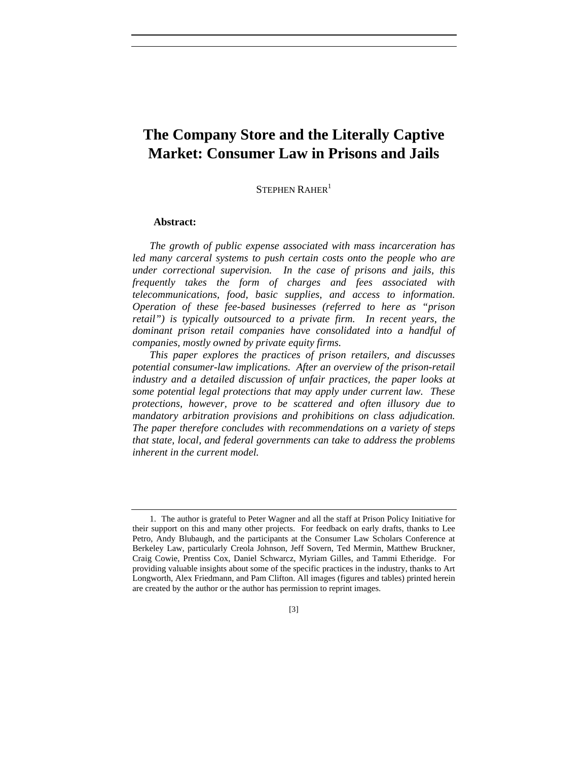## **The Company Store and the Literally Captive Market: Consumer Law in Prisons and Jails**

STEPHEN RAHER<sup>1</sup>

## **Abstract:**

*The growth of public expense associated with mass incarceration has led many carceral systems to push certain costs onto the people who are under correctional supervision. In the case of prisons and jails, this frequently takes the form of charges and fees associated with telecommunications, food, basic supplies, and access to information. Operation of these fee-based businesses (referred to here as "prison retail") is typically outsourced to a private firm. In recent years, the dominant prison retail companies have consolidated into a handful of companies, mostly owned by private equity firms.*

*This paper explores the practices of prison retailers, and discusses potential consumer-law implications. After an overview of the prison-retail industry and a detailed discussion of unfair practices, the paper looks at some potential legal protections that may apply under current law. These protections, however, prove to be scattered and often illusory due to mandatory arbitration provisions and prohibitions on class adjudication. The paper therefore concludes with recommendations on a variety of steps that state, local, and federal governments can take to address the problems inherent in the current model.* 

<sup>1.</sup> The author is grateful to Peter Wagner and all the staff at Prison Policy Initiative for their support on this and many other projects. For feedback on early drafts, thanks to Lee Petro, Andy Blubaugh, and the participants at the Consumer Law Scholars Conference at Berkeley Law, particularly Creola Johnson, Jeff Sovern, Ted Mermin, Matthew Bruckner, Craig Cowie, Prentiss Cox, Daniel Schwarcz, Myriam Gilles, and Tammi Etheridge. For providing valuable insights about some of the specific practices in the industry, thanks to Art Longworth, Alex Friedmann, and Pam Clifton. All images (figures and tables) printed herein are created by the author or the author has permission to reprint images.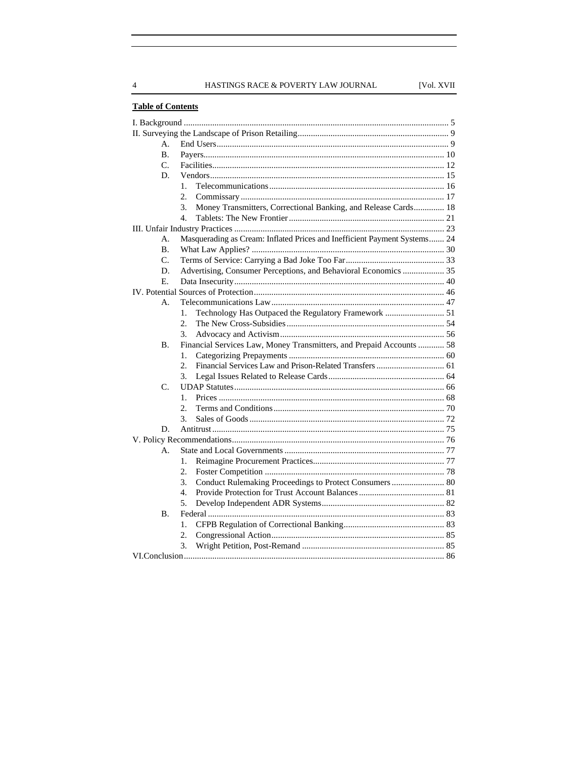HASTINGS RACE & POVERTY LAW JOURNAL

## **Table of Contents**

| А.             |                                                                           |  |
|----------------|---------------------------------------------------------------------------|--|
| $\mathbf{B}$ . |                                                                           |  |
| C.             |                                                                           |  |
| D.             |                                                                           |  |
|                | $\mathbf{1}$ .                                                            |  |
|                | 2.                                                                        |  |
|                | Money Transmitters, Correctional Banking, and Release Cards 18<br>3.      |  |
|                | 4.                                                                        |  |
|                |                                                                           |  |
| А.             | Masquerading as Cream: Inflated Prices and Inefficient Payment Systems 24 |  |
| B.             |                                                                           |  |
| C.             |                                                                           |  |
| D.             | Advertising, Consumer Perceptions, and Behavioral Economics  35           |  |
| Е.             |                                                                           |  |
|                |                                                                           |  |
| А.             |                                                                           |  |
|                | Technology Has Outpaced the Regulatory Framework  51<br>$\mathbf{1}$ .    |  |
|                | 2.                                                                        |  |
|                | 3.                                                                        |  |
| <b>B.</b>      | Financial Services Law, Money Transmitters, and Prepaid Accounts  58      |  |
|                | 1.                                                                        |  |
|                | 2.                                                                        |  |
|                | 3.                                                                        |  |
| C.             |                                                                           |  |
|                | 1.                                                                        |  |
|                | 2.                                                                        |  |
|                | 3.                                                                        |  |
| D.             |                                                                           |  |
|                |                                                                           |  |
| $\mathbf{A}$ . |                                                                           |  |
|                | 1.                                                                        |  |
|                | 2.                                                                        |  |
|                | Conduct Rulemaking Proceedings to Protect Consumers  80<br>3.             |  |
|                | 4.                                                                        |  |
|                | 5.                                                                        |  |
| <b>B.</b>      |                                                                           |  |
|                | 1.                                                                        |  |
|                | 2.                                                                        |  |
|                | 3.                                                                        |  |
|                |                                                                           |  |

 $\overline{4}$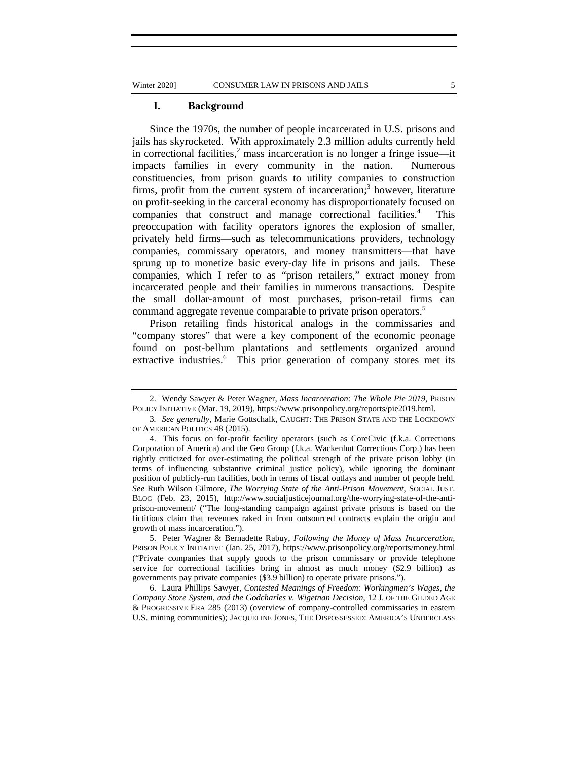#### **I. Background**

Since the 1970s, the number of people incarcerated in U.S. prisons and jails has skyrocketed. With approximately 2.3 million adults currently held in correctional facilities, $^2$  mass incarceration is no longer a fringe issue—it impacts families in every community in the nation. Numerous constituencies, from prison guards to utility companies to construction firms, profit from the current system of incarceration;<sup>3</sup> however, literature on profit-seeking in the carceral economy has disproportionately focused on companies that construct and manage correctional facilities.4 This preoccupation with facility operators ignores the explosion of smaller, privately held firms—such as telecommunications providers, technology companies, commissary operators, and money transmitters—that have sprung up to monetize basic every-day life in prisons and jails. These companies, which I refer to as "prison retailers," extract money from incarcerated people and their families in numerous transactions. Despite the small dollar-amount of most purchases, prison-retail firms can command aggregate revenue comparable to private prison operators.<sup>5</sup>

Prison retailing finds historical analogs in the commissaries and "company stores" that were a key component of the economic peonage found on post-bellum plantations and settlements organized around extractive industries.<sup>6</sup> This prior generation of company stores met its

5. Peter Wagner & Bernadette Rabuy, *Following the Money of Mass Incarceration*, PRISON POLICY INITIATIVE (Jan. 25, 2017), https://www.prisonpolicy.org/reports/money.html ("Private companies that supply goods to the prison commissary or provide telephone service for correctional facilities bring in almost as much money (\$2.9 billion) as governments pay private companies (\$3.9 billion) to operate private prisons.").

6. Laura Phillips Sawyer, *Contested Meanings of Freedom: Workingmen's Wages, the Company Store System, and the Godcharles v. Wigetnan Decision*, 12 J. OF THE GILDED AGE & PROGRESSIVE ERA 285 (2013) (overview of company-controlled commissaries in eastern U.S. mining communities); JACQUELINE JONES, THE DISPOSSESSED: AMERICA'S UNDERCLASS

<sup>2.</sup> Wendy Sawyer & Peter Wagner, *Mass Incarceration: The Whole Pie 2019*, PRISON POLICY INITIATIVE (Mar. 19, 2019), https://www.prisonpolicy.org/reports/pie2019.html.

<sup>3</sup>*. See generally*, Marie Gottschalk, CAUGHT: THE PRISON STATE AND THE LOCKDOWN OF AMERICAN POLITICS 48 (2015).

<sup>4.</sup> This focus on for-profit facility operators (such as CoreCivic (f.k.a. Corrections Corporation of America) and the Geo Group (f.k.a. Wackenhut Corrections Corp.) has been rightly criticized for over-estimating the political strength of the private prison lobby (in terms of influencing substantive criminal justice policy), while ignoring the dominant position of publicly-run facilities, both in terms of fiscal outlays and number of people held. *See* Ruth Wilson Gilmore, *The Worrying State of the Anti-Prison Movement*, SOCIAL JUST. BLOG (Feb. 23, 2015), http://www.socialjusticejournal.org/the-worrying-state-of-the-antiprison-movement/ ("The long-standing campaign against private prisons is based on the fictitious claim that revenues raked in from outsourced contracts explain the origin and growth of mass incarceration.").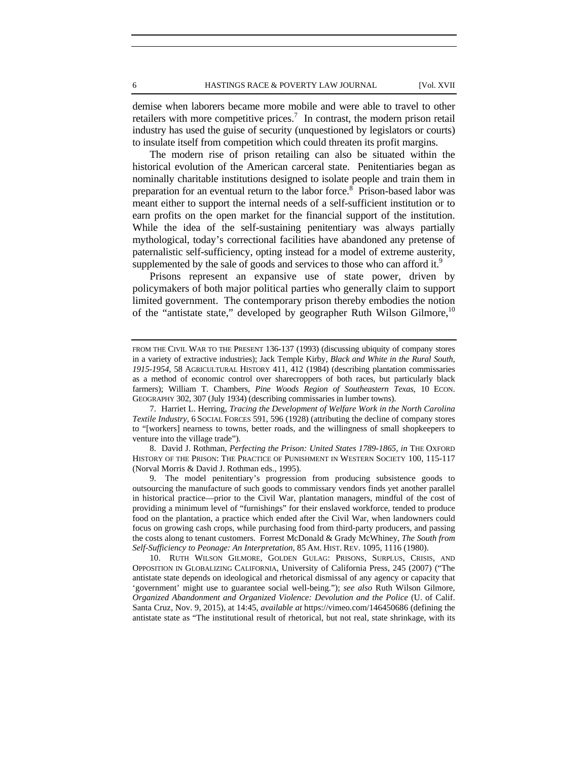demise when laborers became more mobile and were able to travel to other retailers with more competitive prices.<sup>7</sup> In contrast, the modern prison retail industry has used the guise of security (unquestioned by legislators or courts) to insulate itself from competition which could threaten its profit margins.

The modern rise of prison retailing can also be situated within the historical evolution of the American carceral state. Penitentiaries began as nominally charitable institutions designed to isolate people and train them in preparation for an eventual return to the labor force.<sup>8</sup> Prison-based labor was meant either to support the internal needs of a self-sufficient institution or to earn profits on the open market for the financial support of the institution. While the idea of the self-sustaining penitentiary was always partially mythological, today's correctional facilities have abandoned any pretense of paternalistic self-sufficiency, opting instead for a model of extreme austerity, supplemented by the sale of goods and services to those who can afford it.<sup>9</sup>

Prisons represent an expansive use of state power, driven by policymakers of both major political parties who generally claim to support limited government. The contemporary prison thereby embodies the notion of the "antistate state," developed by geographer Ruth Wilson Gilmore, $10$ 

8. David J. Rothman, *Perfecting the Prison: United States 1789-1865, in* THE OXFORD HISTORY OF THE PRISON: THE PRACTICE OF PUNISHMENT IN WESTERN SOCIETY 100, 115-117 (Norval Morris & David J. Rothman eds., 1995).

9. The model penitentiary's progression from producing subsistence goods to outsourcing the manufacture of such goods to commissary vendors finds yet another parallel in historical practice—prior to the Civil War, plantation managers, mindful of the cost of providing a minimum level of "furnishings" for their enslaved workforce, tended to produce food on the plantation, a practice which ended after the Civil War, when landowners could focus on growing cash crops, while purchasing food from third-party producers, and passing the costs along to tenant customers. Forrest McDonald & Grady McWhiney, *The South from Self-Sufficiency to Peonage: An Interpretation*, 85 AM. HIST. REV. 1095, 1116 (1980).

10. RUTH WILSON GILMORE, GOLDEN GULAG: PRISONS, SURPLUS, CRISIS, AND OPPOSITION IN GLOBALIZING CALIFORNIA, University of California Press, 245 (2007) ("The antistate state depends on ideological and rhetorical dismissal of any agency or capacity that 'government' might use to guarantee social well-being."); *see also* Ruth Wilson Gilmore, *Organized Abandonment and Organized Violence: Devolution and the Police* (U. of Calif. Santa Cruz, Nov. 9, 2015), at 14:45, *available at* https://vimeo.com/146450686 (defining the antistate state as "The institutional result of rhetorical, but not real, state shrinkage, with its

FROM THE CIVIL WAR TO THE PRESENT 136-137 (1993) (discussing ubiquity of company stores in a variety of extractive industries); Jack Temple Kirby, *Black and White in the Rural South, 1915-1954*, 58 AGRICULTURAL HISTORY 411, 412 (1984) (describing plantation commissaries as a method of economic control over sharecroppers of both races, but particularly black farmers); William T. Chambers, *Pine Woods Region of Southeastern Texas*, 10 ECON. GEOGRAPHY 302, 307 (July 1934) (describing commissaries in lumber towns).

<sup>7.</sup> Harriet L. Herring, *Tracing the Development of Welfare Work in the North Carolina Textile Industry*, 6 SOCIAL FORCES 591, 596 (1928) (attributing the decline of company stores to "[workers] nearness to towns, better roads, and the willingness of small shopkeepers to venture into the village trade").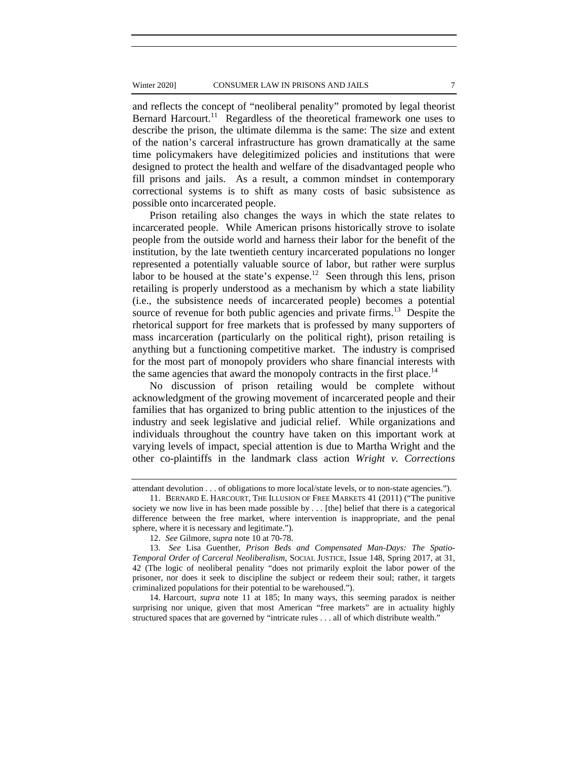and reflects the concept of "neoliberal penality" promoted by legal theorist Bernard Harcourt.<sup>11</sup> Regardless of the theoretical framework one uses to describe the prison, the ultimate dilemma is the same: The size and extent of the nation's carceral infrastructure has grown dramatically at the same time policymakers have delegitimized policies and institutions that were designed to protect the health and welfare of the disadvantaged people who fill prisons and jails. As a result, a common mindset in contemporary correctional systems is to shift as many costs of basic subsistence as possible onto incarcerated people.

Prison retailing also changes the ways in which the state relates to incarcerated people. While American prisons historically strove to isolate people from the outside world and harness their labor for the benefit of the institution, by the late twentieth century incarcerated populations no longer represented a potentially valuable source of labor, but rather were surplus labor to be housed at the state's expense.<sup>12</sup> Seen through this lens, prison retailing is properly understood as a mechanism by which a state liability (i.e., the subsistence needs of incarcerated people) becomes a potential source of revenue for both public agencies and private firms.<sup>13</sup> Despite the rhetorical support for free markets that is professed by many supporters of mass incarceration (particularly on the political right), prison retailing is anything but a functioning competitive market. The industry is comprised for the most part of monopoly providers who share financial interests with the same agencies that award the monopoly contracts in the first place.<sup>14</sup>

No discussion of prison retailing would be complete without acknowledgment of the growing movement of incarcerated people and their families that has organized to bring public attention to the injustices of the industry and seek legislative and judicial relief. While organizations and individuals throughout the country have taken on this important work at varying levels of impact, special attention is due to Martha Wright and the other co-plaintiffs in the landmark class action *Wright v. Corrections* 

14. Harcourt, *supra* note 11 at 185; In many ways, this seeming paradox is neither surprising nor unique, given that most American "free markets" are in actuality highly structured spaces that are governed by "intricate rules . . . all of which distribute wealth."

attendant devolution . . . of obligations to more local/state levels, or to non-state agencies.").

<sup>11.</sup> BERNARD E. HARCOURT, THE ILLUSION OF FREE MARKETS 41 (2011) ("The punitive society we now live in has been made possible by . . . [the] belief that there is a categorical difference between the free market, where intervention is inappropriate, and the penal sphere, where it is necessary and legitimate.").

<sup>12.</sup> *See* Gilmore, *supra* note 10 at 70-78.

<sup>13.</sup> *See* Lisa Guenther, *Prison Beds and Compensated Man-Days: The Spatio-Temporal Order of Carceral Neoliberalism*, SOCIAL JUSTICE, Issue 148, Spring 2017, at 31, 42 (The logic of neoliberal penality "does not primarily exploit the labor power of the prisoner, nor does it seek to discipline the subject or redeem their soul; rather, it targets criminalized populations for their potential to be warehoused.").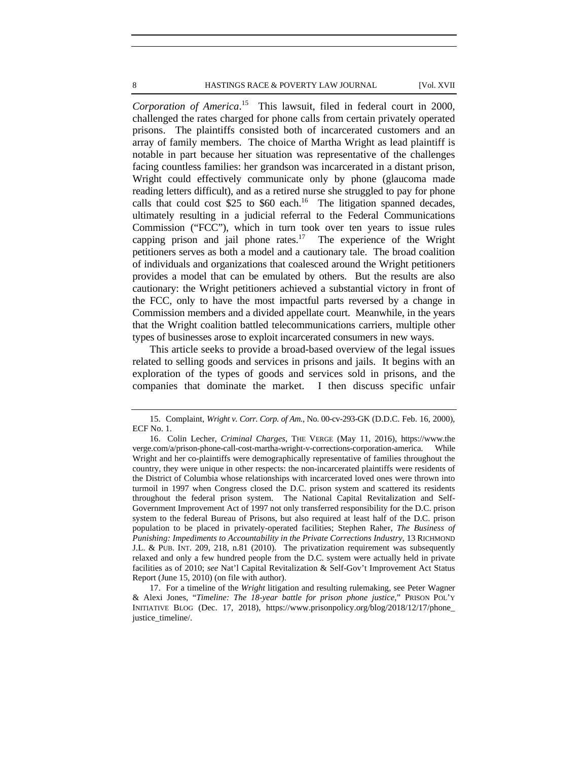*Corporation of America*. 15 This lawsuit, filed in federal court in 2000, challenged the rates charged for phone calls from certain privately operated prisons. The plaintiffs consisted both of incarcerated customers and an array of family members. The choice of Martha Wright as lead plaintiff is notable in part because her situation was representative of the challenges facing countless families: her grandson was incarcerated in a distant prison, Wright could effectively communicate only by phone (glaucoma made reading letters difficult), and as a retired nurse she struggled to pay for phone calls that could cost \$25 to \$60 each.<sup>16</sup> The litigation spanned decades, ultimately resulting in a judicial referral to the Federal Communications Commission ("FCC"), which in turn took over ten years to issue rules capping prison and jail phone rates.<sup>17</sup> The experience of the Wright petitioners serves as both a model and a cautionary tale. The broad coalition of individuals and organizations that coalesced around the Wright petitioners provides a model that can be emulated by others. But the results are also cautionary: the Wright petitioners achieved a substantial victory in front of the FCC, only to have the most impactful parts reversed by a change in Commission members and a divided appellate court. Meanwhile, in the years that the Wright coalition battled telecommunications carriers, multiple other types of businesses arose to exploit incarcerated consumers in new ways.

This article seeks to provide a broad-based overview of the legal issues related to selling goods and services in prisons and jails. It begins with an exploration of the types of goods and services sold in prisons, and the companies that dominate the market. I then discuss specific unfair

<sup>15.</sup> Complaint, *Wright v. Corr. Corp. of Am.*, No. 00-cv-293-GK (D.D.C. Feb. 16, 2000), ECF No. 1.

<sup>16.</sup> Colin Lecher, *Criminal Charges*, THE VERGE (May 11, 2016), https://www.the verge.com/a/prison-phone-call-cost-martha-wright-v-corrections-corporation-america. While Wright and her co-plaintiffs were demographically representative of families throughout the country, they were unique in other respects: the non-incarcerated plaintiffs were residents of the District of Columbia whose relationships with incarcerated loved ones were thrown into turmoil in 1997 when Congress closed the D.C. prison system and scattered its residents throughout the federal prison system. The National Capital Revitalization and Self-Government Improvement Act of 1997 not only transferred responsibility for the D.C. prison system to the federal Bureau of Prisons, but also required at least half of the D.C. prison population to be placed in privately-operated facilities; Stephen Raher, *The Business of Punishing: Impediments to Accountability in the Private Corrections Industry*, 13 RICHMOND J.L. & PUB. INT. 209, 218, n.81 (2010). The privatization requirement was subsequently relaxed and only a few hundred people from the D.C. system were actually held in private facilities as of 2010; *see* Nat'l Capital Revitalization & Self-Gov't Improvement Act Status Report (June 15, 2010) (on file with author).

<sup>17.</sup> For a timeline of the *Wright* litigation and resulting rulemaking, see Peter Wagner & Alexi Jones, "*Timeline: The 18-year battle for prison phone justice*," PRISON POL'Y INITIATIVE BLOG (Dec. 17, 2018), https://www.prisonpolicy.org/blog/2018/12/17/phone\_ justice\_timeline/.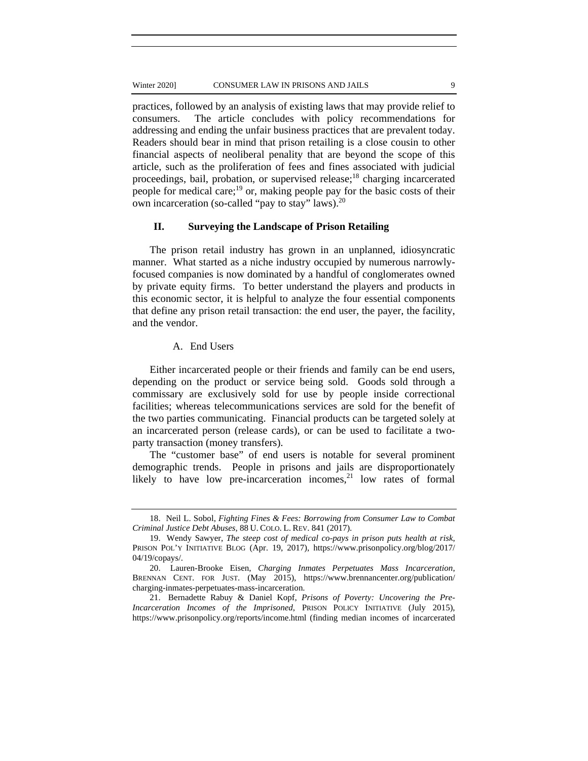#### Winter 2020] CONSUMER LAW IN PRISONS AND JAILS 9

practices, followed by an analysis of existing laws that may provide relief to consumers. The article concludes with policy recommendations for addressing and ending the unfair business practices that are prevalent today. Readers should bear in mind that prison retailing is a close cousin to other financial aspects of neoliberal penality that are beyond the scope of this article, such as the proliferation of fees and fines associated with judicial proceedings, bail, probation, or supervised release;<sup>18</sup> charging incarcerated people for medical care;<sup>19</sup> or, making people pay for the basic costs of their own incarceration (so-called "pay to stay" laws).<sup>20</sup>

## **II. Surveying the Landscape of Prison Retailing**

The prison retail industry has grown in an unplanned, idiosyncratic manner. What started as a niche industry occupied by numerous narrowlyfocused companies is now dominated by a handful of conglomerates owned by private equity firms. To better understand the players and products in this economic sector, it is helpful to analyze the four essential components that define any prison retail transaction: the end user, the payer, the facility, and the vendor.

## A. End Users

Either incarcerated people or their friends and family can be end users, depending on the product or service being sold. Goods sold through a commissary are exclusively sold for use by people inside correctional facilities; whereas telecommunications services are sold for the benefit of the two parties communicating. Financial products can be targeted solely at an incarcerated person (release cards), or can be used to facilitate a twoparty transaction (money transfers).

The "customer base" of end users is notable for several prominent demographic trends. People in prisons and jails are disproportionately likely to have low pre-incarceration incomes, $21$  low rates of formal

<sup>18.</sup> Neil L. Sobol, *Fighting Fines & Fees: Borrowing from Consumer Law to Combat Criminal Justice Debt Abuses*, 88 U. COLO. L. REV. 841 (2017).

<sup>19.</sup> Wendy Sawyer, *The steep cost of medical co-pays in prison puts health at risk*, PRISON POL'Y INITIATIVE BLOG (Apr. 19, 2017), https://www.prisonpolicy.org/blog/2017/ 04/19/copays/.

<sup>20.</sup> Lauren-Brooke Eisen, *Charging Inmates Perpetuates Mass Incarceration*, BRENNAN CENT. FOR JUST. (May 2015), https://www.brennancenter.org/publication/ charging-inmates-perpetuates-mass-incarceration.

<sup>21.</sup> Bernadette Rabuy & Daniel Kopf, *Prisons of Poverty: Uncovering the Pre-Incarceration Incomes of the Imprisoned*, PRISON POLICY INITIATIVE (July 2015), https://www.prisonpolicy.org/reports/income.html (finding median incomes of incarcerated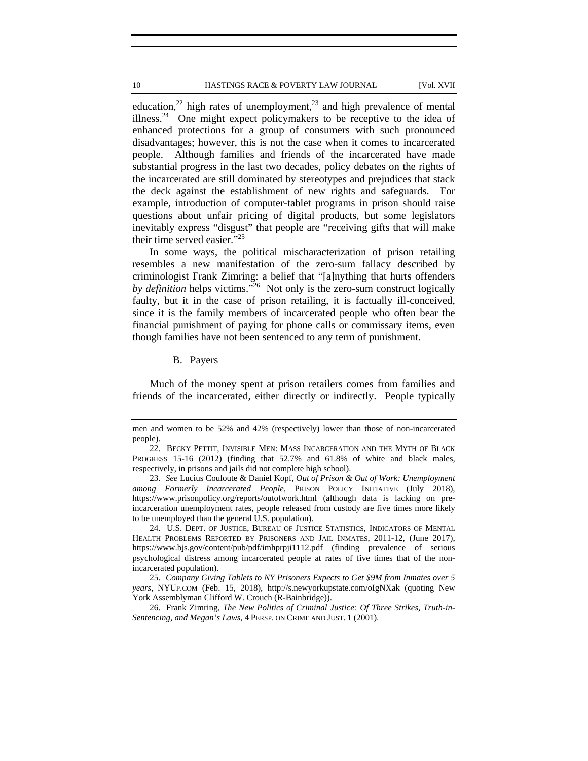education,<sup>22</sup> high rates of unemployment,<sup>23</sup> and high prevalence of mental illness.<sup>24</sup> One might expect policymakers to be receptive to the idea of enhanced protections for a group of consumers with such pronounced disadvantages; however, this is not the case when it comes to incarcerated people. Although families and friends of the incarcerated have made substantial progress in the last two decades, policy debates on the rights of the incarcerated are still dominated by stereotypes and prejudices that stack the deck against the establishment of new rights and safeguards. For example, introduction of computer-tablet programs in prison should raise questions about unfair pricing of digital products, but some legislators inevitably express "disgust" that people are "receiving gifts that will make their time served easier."25

In some ways, the political mischaracterization of prison retailing resembles a new manifestation of the zero-sum fallacy described by criminologist Frank Zimring: a belief that "[a]nything that hurts offenders *by definition* helps victims."26 Not only is the zero-sum construct logically faulty, but it in the case of prison retailing, it is factually ill-conceived, since it is the family members of incarcerated people who often bear the financial punishment of paying for phone calls or commissary items, even though families have not been sentenced to any term of punishment.

B. Payers

Much of the money spent at prison retailers comes from families and friends of the incarcerated, either directly or indirectly. People typically

men and women to be 52% and 42% (respectively) lower than those of non-incarcerated people).

<sup>22.</sup> BECKY PETTIT, INVISIBLE MEN: MASS INCARCERATION AND THE MYTH OF BLACK PROGRESS 15-16 (2012) (finding that 52.7% and 61.8% of white and black males, respectively, in prisons and jails did not complete high school).

<sup>23.</sup> *See* Lucius Couloute & Daniel Kopf, *Out of Prison & Out of Work: Unemployment among Formerly Incarcerated People*, PRISON POLICY INITIATIVE (July 2018), https://www.prisonpolicy.org/reports/outofwork.html (although data is lacking on preincarceration unemployment rates, people released from custody are five times more likely to be unemployed than the general U.S. population).

<sup>24.</sup> U.S. DEPT. OF JUSTICE, BUREAU OF JUSTICE STATISTICS, INDICATORS OF MENTAL HEALTH PROBLEMS REPORTED BY PRISONERS AND JAIL INMATES, 2011-12, (June 2017), https://www.bjs.gov/content/pub/pdf/imhprpji1112.pdf (finding prevalence of serious psychological distress among incarcerated people at rates of five times that of the nonincarcerated population).

<sup>25.</sup> *Company Giving Tablets to NY Prisoners Expects to Get \$9M from Inmates over 5 years,* NYUP.COM (Feb. 15, 2018), http://s.newyorkupstate.com/oIgNXak (quoting New York Assemblyman Clifford W. Crouch (R-Bainbridge)).

<sup>26.</sup> Frank Zimring, *The New Politics of Criminal Justice: Of Three Strikes, Truth-in-Sentencing, and Megan's Laws*, 4 PERSP. ON CRIME AND JUST. 1 (2001).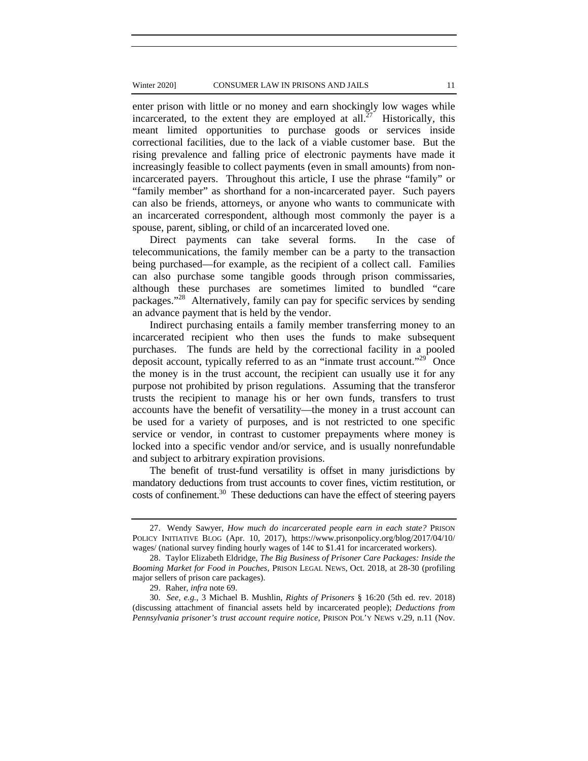#### Winter 2020] CONSUMER LAW IN PRISONS AND JAILS 11

enter prison with little or no money and earn shockingly low wages while incarcerated, to the extent they are employed at all.<sup>27</sup> Historically, this meant limited opportunities to purchase goods or services inside correctional facilities, due to the lack of a viable customer base. But the rising prevalence and falling price of electronic payments have made it increasingly feasible to collect payments (even in small amounts) from nonincarcerated payers. Throughout this article, I use the phrase "family" or "family member" as shorthand for a non-incarcerated payer. Such payers can also be friends, attorneys, or anyone who wants to communicate with an incarcerated correspondent, although most commonly the payer is a spouse, parent, sibling, or child of an incarcerated loved one.

Direct payments can take several forms. In the case of telecommunications, the family member can be a party to the transaction being purchased—for example, as the recipient of a collect call. Families can also purchase some tangible goods through prison commissaries, although these purchases are sometimes limited to bundled "care packages."28 Alternatively, family can pay for specific services by sending an advance payment that is held by the vendor.

Indirect purchasing entails a family member transferring money to an incarcerated recipient who then uses the funds to make subsequent purchases. The funds are held by the correctional facility in a pooled deposit account, typically referred to as an "inmate trust account."<sup>29</sup> Once the money is in the trust account, the recipient can usually use it for any purpose not prohibited by prison regulations. Assuming that the transferor trusts the recipient to manage his or her own funds, transfers to trust accounts have the benefit of versatility—the money in a trust account can be used for a variety of purposes, and is not restricted to one specific service or vendor, in contrast to customer prepayments where money is locked into a specific vendor and/or service, and is usually nonrefundable and subject to arbitrary expiration provisions.

The benefit of trust-fund versatility is offset in many jurisdictions by mandatory deductions from trust accounts to cover fines, victim restitution, or costs of confinement.30 These deductions can have the effect of steering payers

<sup>27.</sup> Wendy Sawyer, *How much do incarcerated people earn in each state?* PRISON POLICY INITIATIVE BLOG (Apr. 10, 2017), https://www.prisonpolicy.org/blog/2017/04/10/ wages/ (national survey finding hourly wages of 14¢ to \$1.41 for incarcerated workers).

<sup>28.</sup> Taylor Elizabeth Eldridge, *The Big Business of Prisoner Care Packages: Inside the Booming Market for Food in Pouches*, PRISON LEGAL NEWS, Oct. 2018, at 28-30 (profiling major sellers of prison care packages).

<sup>29.</sup> Raher, *infra* note 69.

<sup>30.</sup> *See, e.g.*, 3 Michael B. Mushlin, *Rights of Prisoners* § 16:20 (5th ed. rev. 2018) (discussing attachment of financial assets held by incarcerated people); *Deductions from Pennsylvania prisoner's trust account require notice*, PRISON POL'Y NEWS v.29, n.11 (Nov.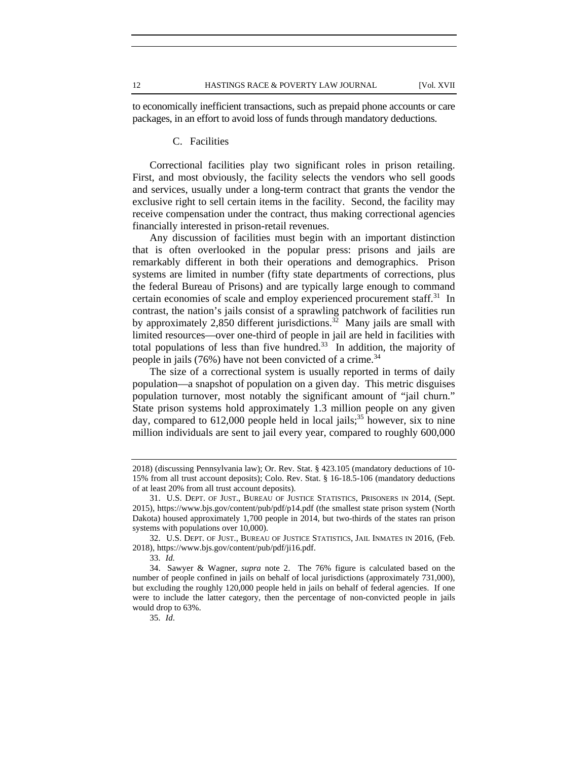to economically inefficient transactions, such as prepaid phone accounts or care packages, in an effort to avoid loss of funds through mandatory deductions.

#### C. Facilities

Correctional facilities play two significant roles in prison retailing. First, and most obviously, the facility selects the vendors who sell goods and services, usually under a long-term contract that grants the vendor the exclusive right to sell certain items in the facility. Second, the facility may receive compensation under the contract, thus making correctional agencies financially interested in prison-retail revenues.

Any discussion of facilities must begin with an important distinction that is often overlooked in the popular press: prisons and jails are remarkably different in both their operations and demographics. Prison systems are limited in number (fifty state departments of corrections, plus the federal Bureau of Prisons) and are typically large enough to command certain economies of scale and employ experienced procurement staff.<sup>31</sup> In contrast, the nation's jails consist of a sprawling patchwork of facilities run by approximately 2,850 different jurisdictions.<sup>32</sup> Many jails are small with limited resources—over one-third of people in jail are held in facilities with total populations of less than five hundred.<sup>33</sup> In addition, the majority of people in jails  $(76%)$  have not been convicted of a crime.<sup>34</sup>

The size of a correctional system is usually reported in terms of daily population—a snapshot of population on a given day. This metric disguises population turnover, most notably the significant amount of "jail churn." State prison systems hold approximately 1.3 million people on any given day, compared to  $612,000$  people held in local jails;<sup>35</sup> however, six to nine million individuals are sent to jail every year, compared to roughly 600,000

<sup>2018) (</sup>discussing Pennsylvania law); Or. Rev. Stat. § 423.105 (mandatory deductions of 10- 15% from all trust account deposits); Colo. Rev. Stat. § 16-18.5-106 (mandatory deductions of at least 20% from all trust account deposits).

<sup>31.</sup> U.S. DEPT. OF JUST., BUREAU OF JUSTICE STATISTICS, PRISONERS IN 2014, (Sept. 2015), https://www.bjs.gov/content/pub/pdf/p14.pdf (the smallest state prison system (North Dakota) housed approximately 1,700 people in 2014, but two-thirds of the states ran prison systems with populations over 10,000).

<sup>32.</sup> U.S. DEPT. OF JUST., BUREAU OF JUSTICE STATISTICS, JAIL INMATES IN 2016, (Feb. 2018), https://www.bjs.gov/content/pub/pdf/ji16.pdf.

<sup>33.</sup> *Id.* 

<sup>34.</sup> Sawyer & Wagner, *supra* note 2. The 76% figure is calculated based on the number of people confined in jails on behalf of local jurisdictions (approximately 731,000), but excluding the roughly 120,000 people held in jails on behalf of federal agencies. If one were to include the latter category, then the percentage of non-convicted people in jails would drop to 63%.

<sup>35.</sup> *Id*.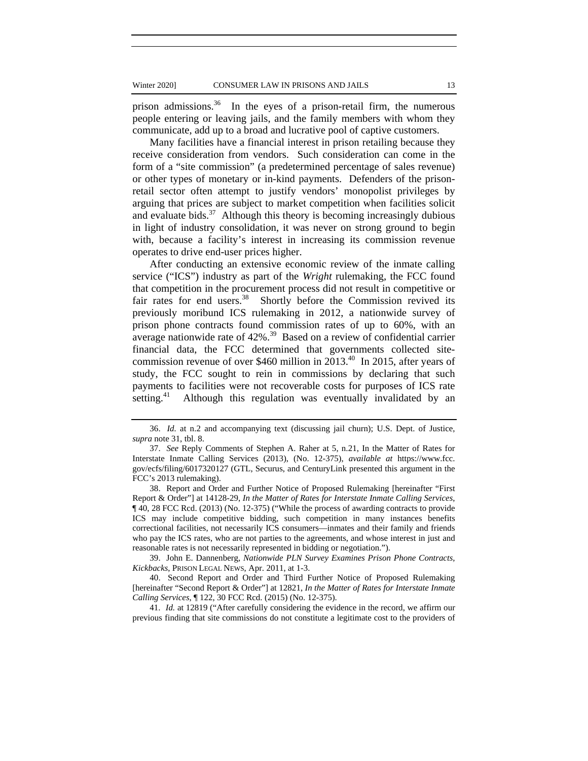prison admissions.<sup>36</sup> In the eyes of a prison-retail firm, the numerous people entering or leaving jails, and the family members with whom they communicate, add up to a broad and lucrative pool of captive customers.

Many facilities have a financial interest in prison retailing because they receive consideration from vendors. Such consideration can come in the form of a "site commission" (a predetermined percentage of sales revenue) or other types of monetary or in-kind payments. Defenders of the prisonretail sector often attempt to justify vendors' monopolist privileges by arguing that prices are subject to market competition when facilities solicit and evaluate bids. $37$  Although this theory is becoming increasingly dubious in light of industry consolidation, it was never on strong ground to begin with, because a facility's interest in increasing its commission revenue operates to drive end-user prices higher.

After conducting an extensive economic review of the inmate calling service ("ICS") industry as part of the *Wright* rulemaking, the FCC found that competition in the procurement process did not result in competitive or fair rates for end users.<sup>38</sup> Shortly before the Commission revived its previously moribund ICS rulemaking in 2012, a nationwide survey of prison phone contracts found commission rates of up to 60%, with an average nationwide rate of  $42\%$ .<sup>39</sup> Based on a review of confidential carrier financial data, the FCC determined that governments collected sitecommission revenue of over \$460 million in 2013.<sup>40</sup> In 2015, after years of study, the FCC sought to rein in commissions by declaring that such payments to facilities were not recoverable costs for purposes of ICS rate setting.<sup>41</sup> Although this regulation was eventually invalidated by an

39. John E. Dannenberg, *Nationwide PLN Survey Examines Prison Phone Contracts, Kickbacks*, PRISON LEGAL NEWS, Apr. 2011, at 1-3.

40. Second Report and Order and Third Further Notice of Proposed Rulemaking [hereinafter "Second Report & Order"] at 12821, *In the Matter of Rates for Interstate Inmate Calling Services*, ¶ 122, 30 FCC Rcd. (2015) (No. 12-375).

41. *Id.* at 12819 ("After carefully considering the evidence in the record, we affirm our previous finding that site commissions do not constitute a legitimate cost to the providers of

<sup>36.</sup> *Id.* at n.2 and accompanying text (discussing jail churn); U.S. Dept. of Justice, *supra* note 31, tbl. 8.

<sup>37.</sup> *See* Reply Comments of Stephen A. Raher at 5, n.21, In the Matter of Rates for Interstate Inmate Calling Services (2013), (No. 12-375), *available at* https://www.fcc. gov/ecfs/filing/6017320127 (GTL, Securus, and CenturyLink presented this argument in the FCC's 2013 rulemaking).

<sup>38.</sup> Report and Order and Further Notice of Proposed Rulemaking [hereinafter "First Report & Order"] at 14128-29, *In the Matter of Rates for Interstate Inmate Calling Services*, ¶ 40, 28 FCC Rcd. (2013) (No. 12-375) ("While the process of awarding contracts to provide ICS may include competitive bidding, such competition in many instances benefits correctional facilities, not necessarily ICS consumers—inmates and their family and friends who pay the ICS rates, who are not parties to the agreements, and whose interest in just and reasonable rates is not necessarily represented in bidding or negotiation.").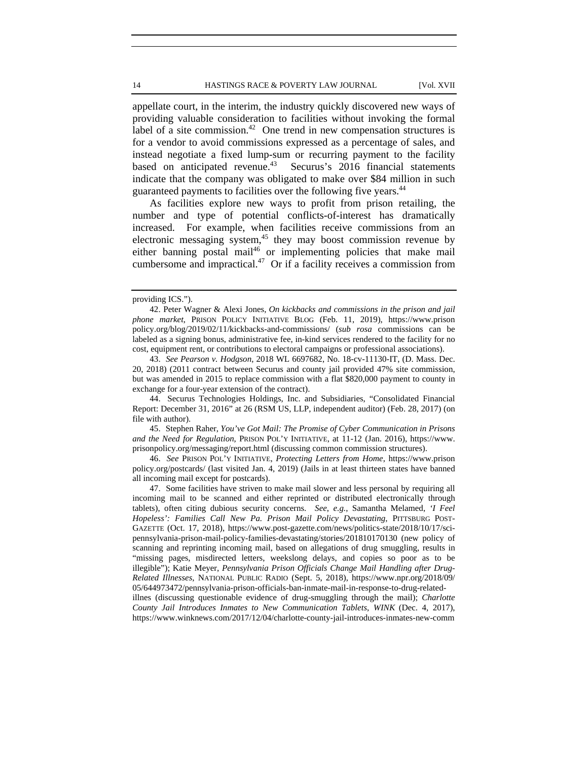appellate court, in the interim, the industry quickly discovered new ways of providing valuable consideration to facilities without invoking the formal label of a site commission.<sup>42</sup> One trend in new compensation structures is for a vendor to avoid commissions expressed as a percentage of sales, and instead negotiate a fixed lump-sum or recurring payment to the facility based on anticipated revenue.<sup>43</sup> Securus's 2016 financial statements indicate that the company was obligated to make over \$84 million in such guaranteed payments to facilities over the following five years.<sup>44</sup>

As facilities explore new ways to profit from prison retailing, the number and type of potential conflicts-of-interest has dramatically increased. For example, when facilities receive commissions from an electronic messaging system, $45$  they may boost commission revenue by either banning postal mail<sup>46</sup> or implementing policies that make mail cumbersome and impractical.<sup>47</sup> Or if a facility receives a commission from

44. Securus Technologies Holdings, Inc. and Subsidiaries, "Consolidated Financial Report: December 31, 2016" at 26 (RSM US, LLP, independent auditor) (Feb. 28, 2017) (on file with author).

45. Stephen Raher, *You've Got Mail: The Promise of Cyber Communication in Prisons and the Need for Regulation*, PRISON POL'Y INITIATIVE, at 11-12 (Jan. 2016), https://www. prisonpolicy.org/messaging/report.html (discussing common commission structures).

46. *See* PRISON POL'Y INITIATIVE, *Protecting Letters from Home*, https://www.prison policy.org/postcards/ (last visited Jan. 4, 2019) (Jails in at least thirteen states have banned all incoming mail except for postcards).

47. Some facilities have striven to make mail slower and less personal by requiring all incoming mail to be scanned and either reprinted or distributed electronically through tablets), often citing dubious security concerns. *See*, *e.g.*, Samantha Melamed, *'I Feel Hopeless': Families Call New Pa. Prison Mail Policy Devastating*, PITTSBURG POST-GAZETTE (Oct. 17, 2018), https://www.post-gazette.com/news/politics-state/2018/10/17/scipennsylvania-prison-mail-policy-families-devastating/stories/201810170130 (new policy of scanning and reprinting incoming mail, based on allegations of drug smuggling, results in "missing pages, misdirected letters, weekslong delays, and copies so poor as to be illegible"); Katie Meyer, *Pennsylvania Prison Officials Change Mail Handling after Drug-Related Illnesses*, NATIONAL PUBLIC RADIO (Sept. 5, 2018), https://www.npr.org/2018/09/ 05/644973472/pennsylvania-prison-officials-ban-inmate-mail-in-response-to-drug-related-

illnes (discussing questionable evidence of drug-smuggling through the mail); *Charlotte County Jail Introduces Inmates to New Communication Tablets*, *WINK* (Dec. 4, 2017), https://www.winknews.com/2017/12/04/charlotte-county-jail-introduces-inmates-new-comm

providing ICS.").

<sup>42.</sup> Peter Wagner & Alexi Jones, *On kickbacks and commissions in the prison and jail phone market*, PRISON POLICY INITIATIVE BLOG (Feb. 11, 2019), https://www.prison policy.org/blog/2019/02/11/kickbacks-and-commissions/ (*sub rosa* commissions can be labeled as a signing bonus, administrative fee, in-kind services rendered to the facility for no cost, equipment rent, or contributions to electoral campaigns or professional associations).

<sup>43.</sup> *See Pearson v. Hodgson*, 2018 WL 6697682, No. 18-cv-11130-IT, (D. Mass. Dec. 20, 2018) (2011 contract between Securus and county jail provided 47% site commission, but was amended in 2015 to replace commission with a flat \$820,000 payment to county in exchange for a four-year extension of the contract).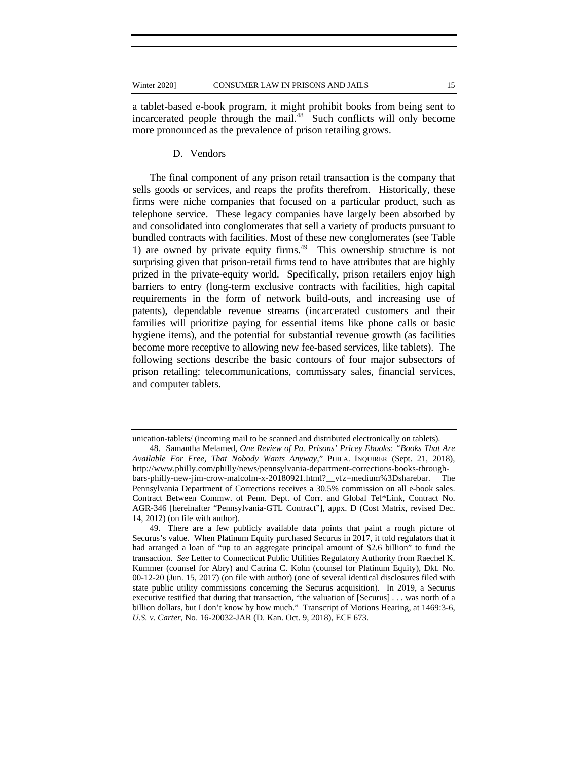a tablet-based e-book program, it might prohibit books from being sent to incarcerated people through the mail.<sup>48</sup> Such conflicts will only become more pronounced as the prevalence of prison retailing grows.

### D. Vendors

The final component of any prison retail transaction is the company that sells goods or services, and reaps the profits therefrom. Historically, these firms were niche companies that focused on a particular product, such as telephone service. These legacy companies have largely been absorbed by and consolidated into conglomerates that sell a variety of products pursuant to bundled contracts with facilities. Most of these new conglomerates (see Table 1) are owned by private equity firms.<sup>49</sup> This ownership structure is not surprising given that prison-retail firms tend to have attributes that are highly prized in the private-equity world. Specifically, prison retailers enjoy high barriers to entry (long-term exclusive contracts with facilities, high capital requirements in the form of network build-outs, and increasing use of patents), dependable revenue streams (incarcerated customers and their families will prioritize paying for essential items like phone calls or basic hygiene items), and the potential for substantial revenue growth (as facilities become more receptive to allowing new fee-based services, like tablets). The following sections describe the basic contours of four major subsectors of prison retailing: telecommunications, commissary sales, financial services, and computer tablets.

unication-tablets/ (incoming mail to be scanned and distributed electronically on tablets).

<sup>48.</sup> Samantha Melamed, *One Review of Pa. Prisons' Pricey Ebooks: "Books That Are Available For Free, That Nobody Wants Anyway*," PHILA. INQUIRER (Sept. 21, 2018), http://www.philly.com/philly/news/pennsylvania-department-corrections-books-throughbars-philly-new-jim-crow-malcolm-x-20180921.html?\_\_vfz=medium%3Dsharebar. The Pennsylvania Department of Corrections receives a 30.5% commission on all e-book sales. Contract Between Commw. of Penn. Dept. of Corr. and Global Tel\*Link, Contract No. AGR-346 [hereinafter "Pennsylvania-GTL Contract"], appx. D (Cost Matrix, revised Dec. 14, 2012) (on file with author).

<sup>49.</sup> There are a few publicly available data points that paint a rough picture of Securus's value. When Platinum Equity purchased Securus in 2017, it told regulators that it had arranged a loan of "up to an aggregate principal amount of \$2.6 billion" to fund the transaction. *See* Letter to Connecticut Public Utilities Regulatory Authority from Raechel K. Kummer (counsel for Abry) and Catrina C. Kohn (counsel for Platinum Equity), Dkt. No. 00-12-20 (Jun. 15, 2017) (on file with author) (one of several identical disclosures filed with state public utility commissions concerning the Securus acquisition). In 2019, a Securus executive testified that during that transaction, "the valuation of [Securus] . . . was north of a billion dollars, but I don't know by how much." Transcript of Motions Hearing, at 1469:3-6, *U.S. v. Carter*, No. 16-20032-JAR (D. Kan. Oct. 9, 2018), ECF 673.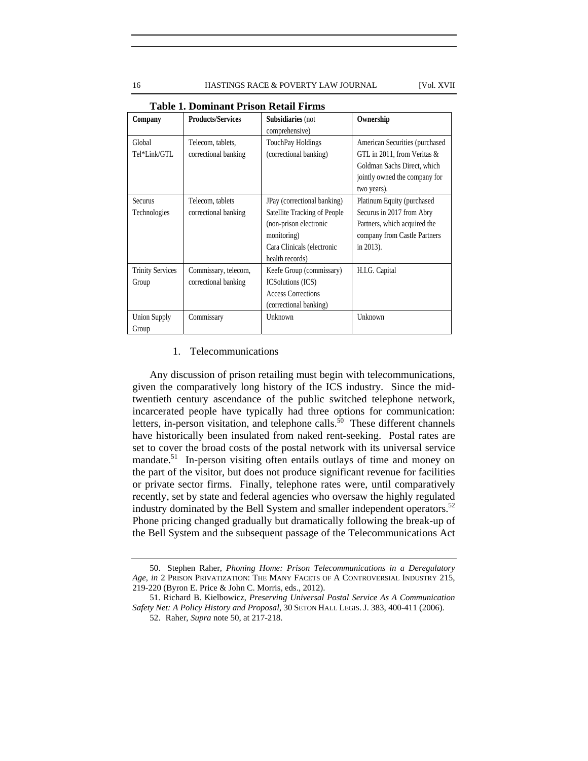**Company Products/Services Subsidiaries** (not comprehensive) **Ownership** Global Tel\*Link/GTL Telecom, tablets, correctional banking TouchPay Holdings (correctional banking) American Securities (purchased GTL in 2011, from Veritas & Goldman Sachs Direct, which jointly owned the company for two years). Securus Technologies Telecom, tablets correctional banking JPay (correctional banking) Satellite Tracking of People (non-prison electronic monitoring) Cara Clinicals (electronic health records) Platinum Equity (purchased Securus in 2017 from Abry Partners, which acquired the company from Castle Partners in 2013). Trinity Services Group Commissary, telecom, correctional banking Keefe Group (commissary) ICSolutions (ICS) Access Corrections (correctional banking) H.I.G. Capital Union Supply Group Commissary Unknown Unknown

**Table 1. Dominant Prison Retail Firms**

#### 1. Telecommunications

Any discussion of prison retailing must begin with telecommunications, given the comparatively long history of the ICS industry. Since the midtwentieth century ascendance of the public switched telephone network, incarcerated people have typically had three options for communication: letters, in-person visitation, and telephone calls. $\hat{50}$  These different channels have historically been insulated from naked rent-seeking. Postal rates are set to cover the broad costs of the postal network with its universal service mandate.<sup>51</sup> In-person visiting often entails outlays of time and money on the part of the visitor, but does not produce significant revenue for facilities or private sector firms. Finally, telephone rates were, until comparatively recently, set by state and federal agencies who oversaw the highly regulated industry dominated by the Bell System and smaller independent operators.<sup>52</sup> Phone pricing changed gradually but dramatically following the break-up of the Bell System and the subsequent passage of the Telecommunications Act

<sup>50.</sup> Stephen Raher, *Phoning Home: Prison Telecommunications in a Deregulatory Age*, *in* 2 PRISON PRIVATIZATION: THE MANY FACETS OF A CONTROVERSIAL INDUSTRY 215, 219-220 (Byron E. Price & John C. Morris, eds., 2012).

<sup>51.</sup> Richard B. Kielbowicz, *Preserving Universal Postal Service As A Communication Safety Net: A Policy History and Proposal*, 30 SETON HALL LEGIS. J. 383, 400-411 (2006).

<sup>52.</sup> Raher, *Supra* note 50, at 217-218.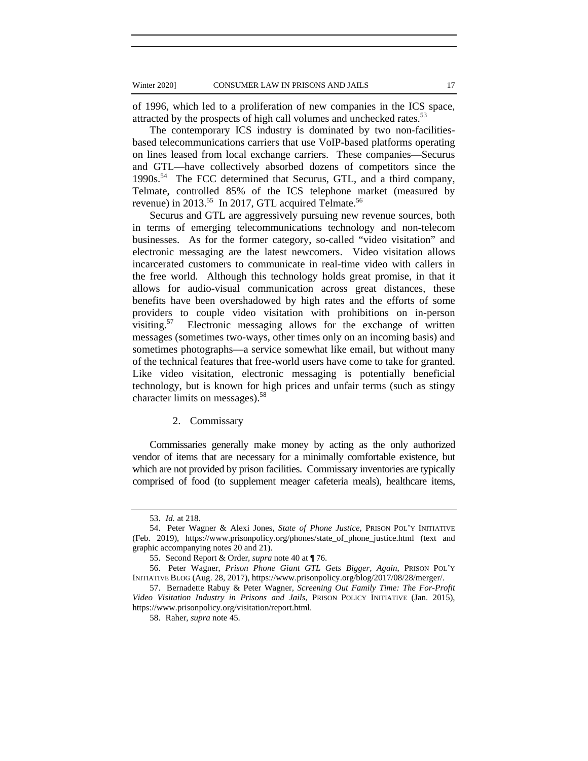of 1996, which led to a proliferation of new companies in the ICS space, attracted by the prospects of high call volumes and unchecked rates.<sup>53</sup>

The contemporary ICS industry is dominated by two non-facilitiesbased telecommunications carriers that use VoIP-based platforms operating on lines leased from local exchange carriers. These companies—Securus and GTL—have collectively absorbed dozens of competitors since the 1990s.<sup>54</sup> The FCC determined that Securus, GTL, and a third company, Telmate, controlled 85% of the ICS telephone market (measured by revenue) in  $2013^{55}$  In 2017, GTL acquired Telmate.<sup>56</sup>

Securus and GTL are aggressively pursuing new revenue sources, both in terms of emerging telecommunications technology and non-telecom businesses. As for the former category, so-called "video visitation" and electronic messaging are the latest newcomers. Video visitation allows incarcerated customers to communicate in real-time video with callers in the free world. Although this technology holds great promise, in that it allows for audio-visual communication across great distances, these benefits have been overshadowed by high rates and the efforts of some providers to couple video visitation with prohibitions on in-person visiting.<sup>57</sup> Electronic messaging allows for the exchange of written messages (sometimes two-ways, other times only on an incoming basis) and sometimes photographs—a service somewhat like email, but without many of the technical features that free-world users have come to take for granted. Like video visitation, electronic messaging is potentially beneficial technology, but is known for high prices and unfair terms (such as stingy character limits on messages).58

#### 2. Commissary

Commissaries generally make money by acting as the only authorized vendor of items that are necessary for a minimally comfortable existence, but which are not provided by prison facilities. Commissary inventories are typically comprised of food (to supplement meager cafeteria meals), healthcare items,

<sup>53.</sup> *Id.* at 218.

<sup>54.</sup> Peter Wagner & Alexi Jones, *State of Phone Justice*, PRISON POL'Y INITIATIVE (Feb. 2019), https://www.prisonpolicy.org/phones/state\_of\_phone\_justice.html (text and graphic accompanying notes 20 and 21).

<sup>55.</sup> Second Report & Order*, supra* note 40 at ¶ 76.

<sup>56.</sup> Peter Wagner, *Prison Phone Giant GTL Gets Bigger, Again*, PRISON POL'Y INITIATIVE BLOG (Aug. 28, 2017), https://www.prisonpolicy.org/blog/2017/08/28/merger/.

<sup>57.</sup> Bernadette Rabuy & Peter Wagner, *Screening Out Family Time: The For-Profit Video Visitation Industry in Prisons and Jails*, PRISON POLICY INITIATIVE (Jan. 2015), https://www.prisonpolicy.org/visitation/report.html.

<sup>58.</sup> Raher, *supra* note 45.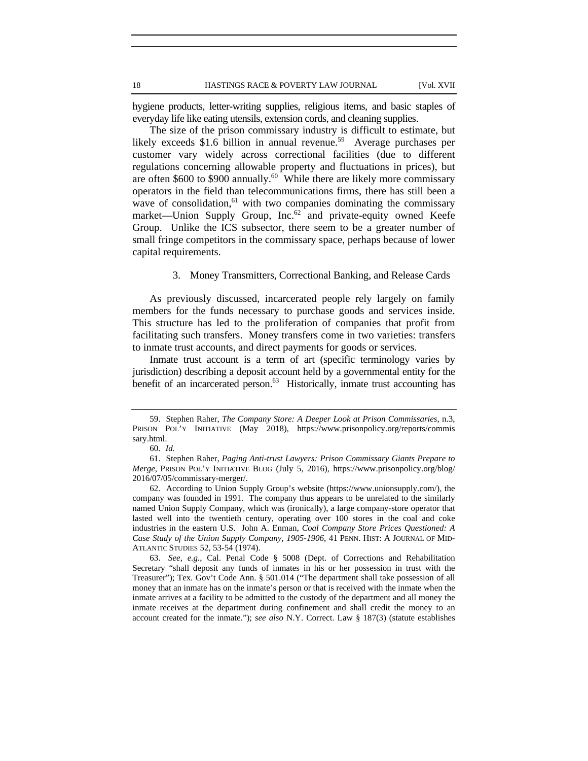hygiene products, letter-writing supplies, religious items, and basic staples of everyday life like eating utensils, extension cords, and cleaning supplies.

The size of the prison commissary industry is difficult to estimate, but likely exceeds \$1.6 billion in annual revenue.<sup>59</sup> Average purchases per customer vary widely across correctional facilities (due to different regulations concerning allowable property and fluctuations in prices), but are often \$600 to \$900 annually.<sup>60</sup> While there are likely more commissary operators in the field than telecommunications firms, there has still been a wave of consolidation, $61$  with two companies dominating the commissary market—Union Supply Group, Inc.<sup>62</sup> and private-equity owned Keefe Group. Unlike the ICS subsector, there seem to be a greater number of small fringe competitors in the commissary space, perhaps because of lower capital requirements.

#### 3. Money Transmitters, Correctional Banking, and Release Cards

As previously discussed, incarcerated people rely largely on family members for the funds necessary to purchase goods and services inside. This structure has led to the proliferation of companies that profit from facilitating such transfers. Money transfers come in two varieties: transfers to inmate trust accounts, and direct payments for goods or services.

Inmate trust account is a term of art (specific terminology varies by jurisdiction) describing a deposit account held by a governmental entity for the benefit of an incarcerated person.<sup>63</sup> Historically, inmate trust accounting has

<sup>59.</sup> Stephen Raher, *The Company Store: A Deeper Look at Prison Commissaries*, n.3, PRISON POL'Y INITIATIVE (May 2018), https://www.prisonpolicy.org/reports/commis sary.html.

<sup>60.</sup> *Id.* 

<sup>61.</sup> Stephen Raher, *Paging Anti-trust Lawyers: Prison Commissary Giants Prepare to Merge*, PRISON POL'Y INITIATIVE BLOG (July 5, 2016), https://www.prisonpolicy.org/blog/ 2016/07/05/commissary-merger/.

<sup>62.</sup> According to Union Supply Group's website (https://www.unionsupply.com/), the company was founded in 1991. The company thus appears to be unrelated to the similarly named Union Supply Company, which was (ironically), a large company-store operator that lasted well into the twentieth century, operating over 100 stores in the coal and coke industries in the eastern U.S. John A. Enman, *Coal Company Store Prices Questioned: A Case Study of the Union Supply Company, 1905-1906*, 41 PENN. HIST: A JOURNAL OF MID-ATLANTIC STUDIES 52, 53-54 (1974).

<sup>63.</sup> *See*, *e.g.*, Cal. Penal Code § 5008 (Dept. of Corrections and Rehabilitation Secretary "shall deposit any funds of inmates in his or her possession in trust with the Treasurer"); Tex. Gov't Code Ann. § 501.014 ("The department shall take possession of all money that an inmate has on the inmate's person or that is received with the inmate when the inmate arrives at a facility to be admitted to the custody of the department and all money the inmate receives at the department during confinement and shall credit the money to an account created for the inmate."); *see also* N.Y. Correct. Law § 187(3) (statute establishes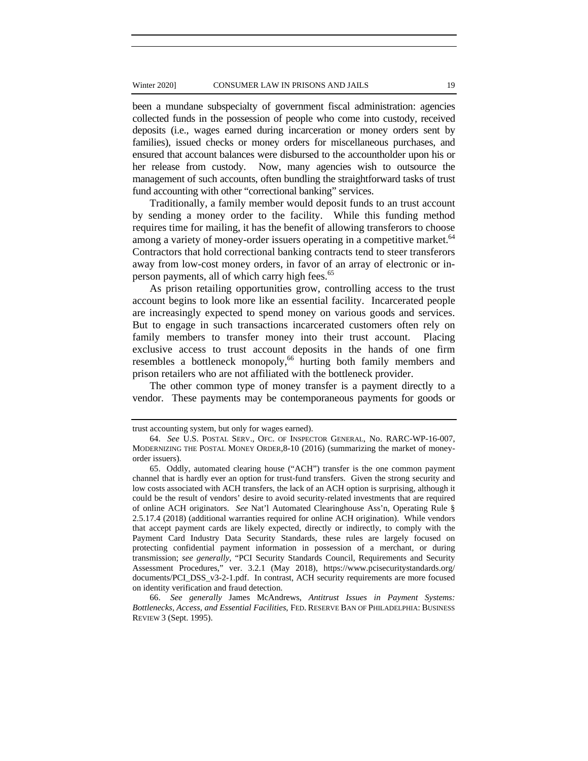#### Winter 2020] CONSUMER LAW IN PRISONS AND JAILS 19

been a mundane subspecialty of government fiscal administration: agencies collected funds in the possession of people who come into custody, received deposits (i.e., wages earned during incarceration or money orders sent by families), issued checks or money orders for miscellaneous purchases, and ensured that account balances were disbursed to the accountholder upon his or her release from custody. Now, many agencies wish to outsource the management of such accounts, often bundling the straightforward tasks of trust fund accounting with other "correctional banking" services.

Traditionally, a family member would deposit funds to an trust account by sending a money order to the facility. While this funding method requires time for mailing, it has the benefit of allowing transferors to choose among a variety of money-order issuers operating in a competitive market.<sup>64</sup> Contractors that hold correctional banking contracts tend to steer transferors away from low-cost money orders, in favor of an array of electronic or inperson payments, all of which carry high fees.<sup>65</sup>

As prison retailing opportunities grow, controlling access to the trust account begins to look more like an essential facility. Incarcerated people are increasingly expected to spend money on various goods and services. But to engage in such transactions incarcerated customers often rely on family members to transfer money into their trust account. Placing exclusive access to trust account deposits in the hands of one firm resembles a bottleneck monopoly,<sup>66</sup> hurting both family members and prison retailers who are not affiliated with the bottleneck provider.

The other common type of money transfer is a payment directly to a vendor. These payments may be contemporaneous payments for goods or

trust accounting system, but only for wages earned).

<sup>64.</sup> *See* U.S. POSTAL SERV., OFC. OF INSPECTOR GENERAL, No. RARC-WP-16-007, MODERNIZING THE POSTAL MONEY ORDER,8-10 (2016) (summarizing the market of moneyorder issuers).

<sup>65.</sup> Oddly, automated clearing house ("ACH") transfer is the one common payment channel that is hardly ever an option for trust-fund transfers. Given the strong security and low costs associated with ACH transfers, the lack of an ACH option is surprising, although it could be the result of vendors' desire to avoid security-related investments that are required of online ACH originators. *See* Nat'l Automated Clearinghouse Ass'n, Operating Rule § 2.5.17.4 (2018) (additional warranties required for online ACH origination). While vendors that accept payment cards are likely expected, directly or indirectly, to comply with the Payment Card Industry Data Security Standards, these rules are largely focused on protecting confidential payment information in possession of a merchant, or during transmission; *see generally*, "PCI Security Standards Council, Requirements and Security Assessment Procedures," ver. 3.2.1 (May 2018), https://www.pcisecuritystandards.org/ documents/PCI\_DSS\_v3-2-1.pdf. In contrast, ACH security requirements are more focused on identity verification and fraud detection.

<sup>66.</sup> *See generally* James McAndrews, *Antitrust Issues in Payment Systems: Bottlenecks, Access, and Essential Facilities*, FED. RESERVE BAN OF PHILADELPHIA: BUSINESS REVIEW 3 (Sept. 1995).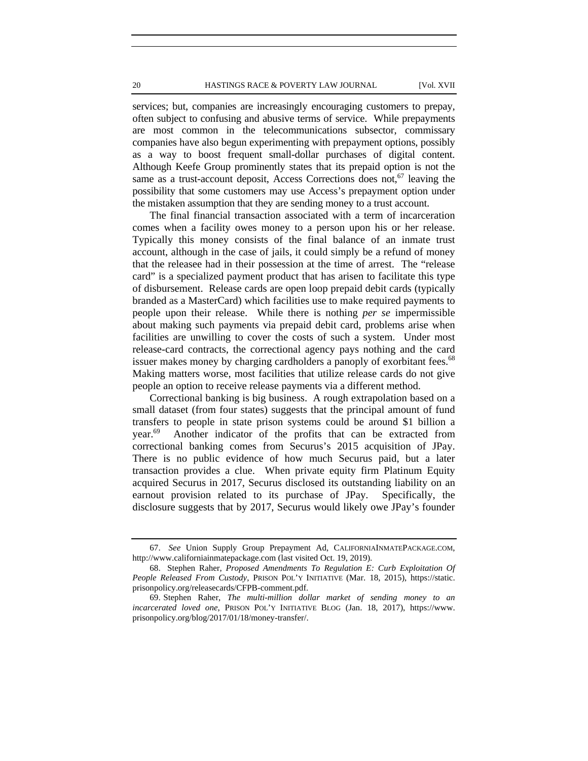#### 20 HASTINGS RACE & POVERTY LAW JOURNAL [Vol. XVII

services; but, companies are increasingly encouraging customers to prepay, often subject to confusing and abusive terms of service. While prepayments are most common in the telecommunications subsector, commissary companies have also begun experimenting with prepayment options, possibly as a way to boost frequent small-dollar purchases of digital content. Although Keefe Group prominently states that its prepaid option is not the same as a trust-account deposit, Access Corrections does not,  $67$  leaving the possibility that some customers may use Access's prepayment option under the mistaken assumption that they are sending money to a trust account.

The final financial transaction associated with a term of incarceration comes when a facility owes money to a person upon his or her release. Typically this money consists of the final balance of an inmate trust account, although in the case of jails, it could simply be a refund of money that the releasee had in their possession at the time of arrest. The "release card" is a specialized payment product that has arisen to facilitate this type of disbursement. Release cards are open loop prepaid debit cards (typically branded as a MasterCard) which facilities use to make required payments to people upon their release. While there is nothing *per se* impermissible about making such payments via prepaid debit card, problems arise when facilities are unwilling to cover the costs of such a system. Under most release-card contracts, the correctional agency pays nothing and the card issuer makes money by charging cardholders a panoply of exorbitant fees.<sup>68</sup> Making matters worse, most facilities that utilize release cards do not give people an option to receive release payments via a different method.

Correctional banking is big business. A rough extrapolation based on a small dataset (from four states) suggests that the principal amount of fund transfers to people in state prison systems could be around \$1 billion a year.<sup>69</sup> Another indicator of the profits that can be extracted from correctional banking comes from Securus's 2015 acquisition of JPay. There is no public evidence of how much Securus paid, but a later transaction provides a clue. When private equity firm Platinum Equity acquired Securus in 2017, Securus disclosed its outstanding liability on an earnout provision related to its purchase of JPay. Specifically, the disclosure suggests that by 2017, Securus would likely owe JPay's founder

<sup>67.</sup> *See* Union Supply Group Prepayment Ad, CALIFORNIAINMATEPACKAGE.COM, http://www.californiainmatepackage.com (last visited Oct. 19, 2019).

<sup>68.</sup> Stephen Raher, *Proposed Amendments To Regulation E: Curb Exploitation Of People Released From Custody*, PRISON POL'Y INITIATIVE (Mar. 18, 2015), https://static. prisonpolicy.org/releasecards/CFPB-comment.pdf.

<sup>69.</sup> Stephen Raher, *The multi-million dollar market of sending money to an incarcerated loved one*, PRISON POL'Y INITIATIVE BLOG (Jan. 18, 2017), https://www. prisonpolicy.org/blog/2017/01/18/money-transfer/.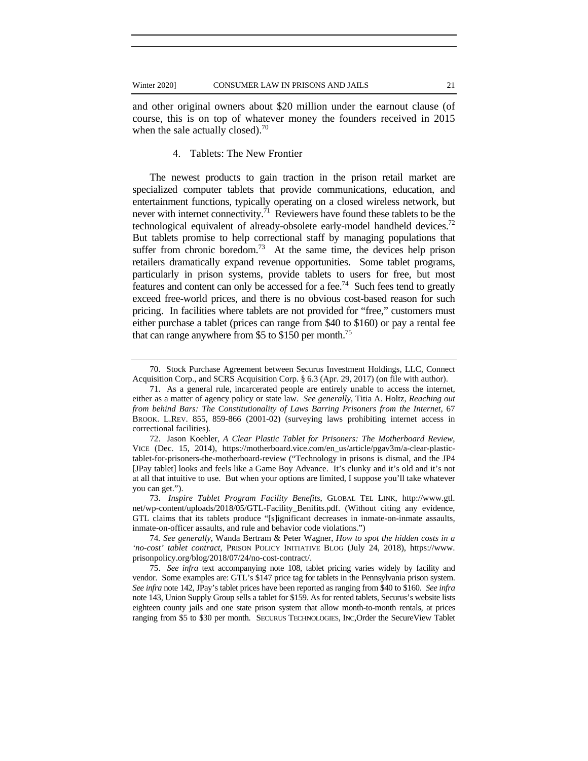and other original owners about \$20 million under the earnout clause (of course, this is on top of whatever money the founders received in 2015 when the sale actually closed). $^{70}$ 

## 4. Tablets: The New Frontier

The newest products to gain traction in the prison retail market are specialized computer tablets that provide communications, education, and entertainment functions, typically operating on a closed wireless network, but never with internet connectivity.<sup>71</sup> Reviewers have found these tablets to be the technological equivalent of already-obsolete early-model handheld devices.<sup>72</sup> But tablets promise to help correctional staff by managing populations that suffer from chronic boredom.<sup>73</sup> At the same time, the devices help prison retailers dramatically expand revenue opportunities. Some tablet programs, particularly in prison systems, provide tablets to users for free, but most features and content can only be accessed for a fee.<sup>74</sup> Such fees tend to greatly exceed free-world prices, and there is no obvious cost-based reason for such pricing. In facilities where tablets are not provided for "free," customers must either purchase a tablet (prices can range from \$40 to \$160) or pay a rental fee that can range anywhere from \$5 to \$150 per month.<sup>75</sup>

<sup>70.</sup> Stock Purchase Agreement between Securus Investment Holdings, LLC, Connect Acquisition Corp., and SCRS Acquisition Corp. § 6.3 (Apr. 29, 2017) (on file with author).

<sup>71.</sup> As a general rule, incarcerated people are entirely unable to access the internet, either as a matter of agency policy or state law. *See generally*, Titia A. Holtz, *Reaching out from behind Bars: The Constitutionality of Laws Barring Prisoners from the Internet*, 67 BROOK. L.REV. 855, 859-866 (2001-02) (surveying laws prohibiting internet access in correctional facilities).

<sup>72.</sup> Jason Koebler, *A Clear Plastic Tablet for Prisoners: The Motherboard Review*, VICE (Dec. 15, 2014), https://motherboard.vice.com/en\_us/article/pgav3m/a-clear-plastictablet-for-prisoners-the-motherboard-review ("Technology in prisons is dismal, and the JP4 [JPay tablet] looks and feels like a Game Boy Advance. It's clunky and it's old and it's not at all that intuitive to use. But when your options are limited, I suppose you'll take whatever you can get.").

<sup>73.</sup> *Inspire Tablet Program Facility Benefits*, GLOBAL TEL LINK, http://www.gtl. net/wp-content/uploads/2018/05/GTL-Facility\_Benifits.pdf. (Without citing any evidence, GTL claims that its tablets produce "[s]ignificant decreases in inmate-on-inmate assaults, inmate-on-officer assaults, and rule and behavior code violations.")

<sup>74</sup>*. See generally*, Wanda Bertram & Peter Wagner, *How to spot the hidden costs in a 'no-cost' tablet contract*, PRISON POLICY INITIATIVE BLOG (July 24, 2018), https://www. prisonpolicy.org/blog/2018/07/24/no-cost-contract/.

<sup>75.</sup> *See infra* text accompanying note 108, tablet pricing varies widely by facility and vendor. Some examples are: GTL's \$147 price tag for tablets in the Pennsylvania prison system. *See infra* note 142, JPay's tablet prices have been reported as ranging from \$40 to \$160. *See infra* note 143, Union Supply Group sells a tablet for \$159. As for rented tablets, Securus's website lists eighteen county jails and one state prison system that allow month-to-month rentals, at prices ranging from \$5 to \$30 per month. SECURUS TECHNOLOGIES, INC,Order the SecureView Tablet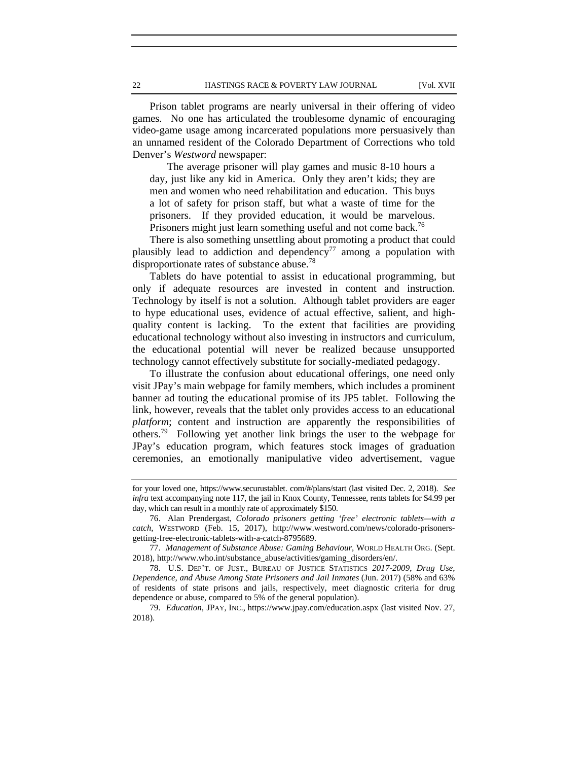Prison tablet programs are nearly universal in their offering of video games. No one has articulated the troublesome dynamic of encouraging video-game usage among incarcerated populations more persuasively than an unnamed resident of the Colorado Department of Corrections who told Denver's *Westword* newspaper:

The average prisoner will play games and music 8-10 hours a day, just like any kid in America. Only they aren't kids; they are men and women who need rehabilitation and education. This buys a lot of safety for prison staff, but what a waste of time for the prisoners. If they provided education, it would be marvelous. Prisoners might just learn something useful and not come back.<sup>76</sup>

There is also something unsettling about promoting a product that could plausibly lead to addiction and dependency<sup>77</sup> among a population with disproportionate rates of substance abuse.<sup>78</sup>

Tablets do have potential to assist in educational programming, but only if adequate resources are invested in content and instruction. Technology by itself is not a solution. Although tablet providers are eager to hype educational uses, evidence of actual effective, salient, and highquality content is lacking. To the extent that facilities are providing educational technology without also investing in instructors and curriculum, the educational potential will never be realized because unsupported technology cannot effectively substitute for socially-mediated pedagogy.

To illustrate the confusion about educational offerings, one need only visit JPay's main webpage for family members, which includes a prominent banner ad touting the educational promise of its JP5 tablet. Following the link, however, reveals that the tablet only provides access to an educational *platform*; content and instruction are apparently the responsibilities of others.79 Following yet another link brings the user to the webpage for JPay's education program, which features stock images of graduation ceremonies, an emotionally manipulative video advertisement, vague

for your loved one, https://www.securustablet. com/#/plans/start (last visited Dec. 2, 2018). *See infra* text accompanying note 117, the jail in Knox County, Tennessee, rents tablets for \$4.99 per day, which can result in a monthly rate of approximately \$150.

<sup>76.</sup> Alan Prendergast, *Colorado prisoners getting 'free' electronic tablets—with a catch*, WESTWORD (Feb. 15, 2017), http://www.westword.com/news/colorado-prisonersgetting-free-electronic-tablets-with-a-catch-8795689.

<sup>77.</sup> *Management of Substance Abuse: Gaming Behaviour*, WORLD HEALTH ORG. (Sept. 2018), http://www.who.int/substance\_abuse/activities/gaming\_disorders/en/.

<sup>78.</sup> U.S. DEP'T. OF JUST., BUREAU OF JUSTICE STATISTICS *2017-2009*, *Drug Use, Dependence, and Abuse Among State Prisoners and Jail Inmates* (Jun. 2017) (58% and 63% of residents of state prisons and jails, respectively, meet diagnostic criteria for drug dependence or abuse, compared to 5% of the general population).

<sup>79.</sup> *Education*, JPAY, INC., https://www.jpay.com/education.aspx (last visited Nov. 27, 2018).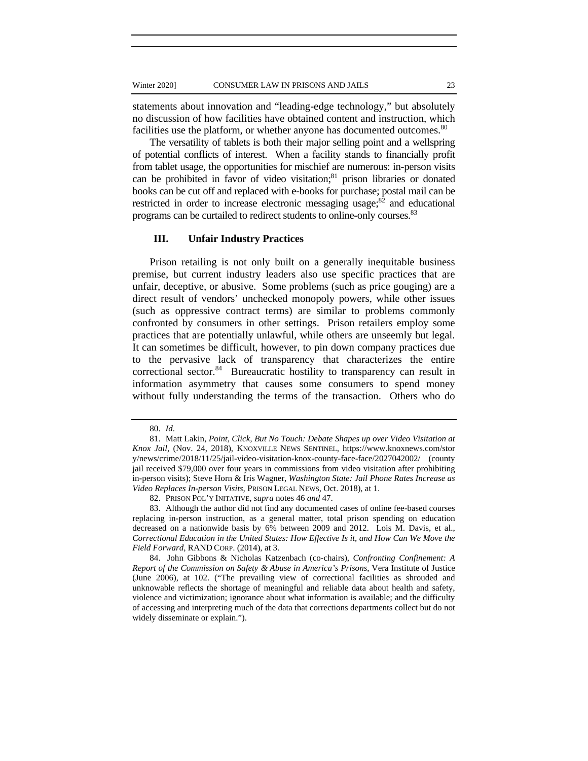statements about innovation and "leading-edge technology," but absolutely no discussion of how facilities have obtained content and instruction, which facilities use the platform, or whether anyone has documented outcomes.<sup>80</sup>

The versatility of tablets is both their major selling point and a wellspring of potential conflicts of interest. When a facility stands to financially profit from tablet usage, the opportunities for mischief are numerous: in-person visits can be prohibited in favor of video visitation; $81$  prison libraries or donated books can be cut off and replaced with e-books for purchase; postal mail can be restricted in order to increase electronic messaging usage; $82$  and educational programs can be curtailed to redirect students to online-only courses.<sup>83</sup>

## **III. Unfair Industry Practices**

Prison retailing is not only built on a generally inequitable business premise, but current industry leaders also use specific practices that are unfair, deceptive, or abusive. Some problems (such as price gouging) are a direct result of vendors' unchecked monopoly powers, while other issues (such as oppressive contract terms) are similar to problems commonly confronted by consumers in other settings. Prison retailers employ some practices that are potentially unlawful, while others are unseemly but legal. It can sometimes be difficult, however, to pin down company practices due to the pervasive lack of transparency that characterizes the entire correctional sector.<sup>84</sup> Bureaucratic hostility to transparency can result in information asymmetry that causes some consumers to spend money without fully understanding the terms of the transaction. Others who do

<sup>80.</sup> *Id*.

<sup>81.</sup> Matt Lakin, *Point, Click, But No Touch: Debate Shapes up over Video Visitation at Knox Jail*, (Nov. 24, 2018), KNOXVILLE NEWS SENTINEL, https://www.knoxnews.com/stor y/news/crime/2018/11/25/jail-video-visitation-knox-county-face-face/2027042002/ (county jail received \$79,000 over four years in commissions from video visitation after prohibiting in-person visits); Steve Horn & Iris Wagner, *Washington State: Jail Phone Rates Increase as Video Replaces In-person Visits,* PRISON LEGAL NEWS, Oct. 2018), at 1.

<sup>82.</sup> PRISON POL'Y INITATIVE*, supra* notes 46 *and* 47.

<sup>83.</sup> Although the author did not find any documented cases of online fee-based courses replacing in-person instruction, as a general matter, total prison spending on education decreased on a nationwide basis by 6% between 2009 and 2012. Lois M. Davis, et al., *Correctional Education in the United States: How Effective Is it, and How Can We Move the Field Forward*, RAND CORP. (2014), at 3.

<sup>84.</sup> John Gibbons & Nicholas Katzenbach (co-chairs), *Confronting Confinement: A Report of the Commission on Safety & Abuse in America's Prisons*, Vera Institute of Justice (June 2006), at 102. ("The prevailing view of correctional facilities as shrouded and unknowable reflects the shortage of meaningful and reliable data about health and safety, violence and victimization; ignorance about what information is available; and the difficulty of accessing and interpreting much of the data that corrections departments collect but do not widely disseminate or explain.").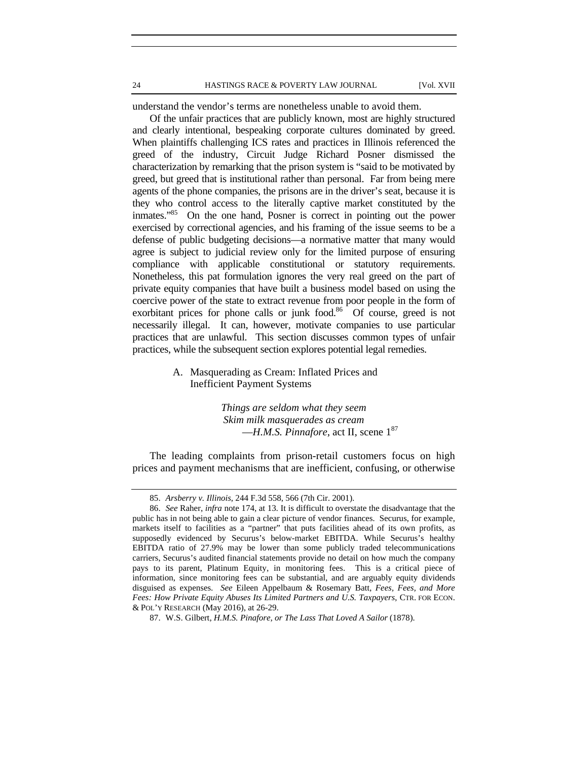understand the vendor's terms are nonetheless unable to avoid them.

Of the unfair practices that are publicly known, most are highly structured and clearly intentional, bespeaking corporate cultures dominated by greed. When plaintiffs challenging ICS rates and practices in Illinois referenced the greed of the industry, Circuit Judge Richard Posner dismissed the characterization by remarking that the prison system is "said to be motivated by greed, but greed that is institutional rather than personal. Far from being mere agents of the phone companies, the prisons are in the driver's seat, because it is they who control access to the literally captive market constituted by the inmates."85 On the one hand, Posner is correct in pointing out the power exercised by correctional agencies, and his framing of the issue seems to be a defense of public budgeting decisions—a normative matter that many would agree is subject to judicial review only for the limited purpose of ensuring compliance with applicable constitutional or statutory requirements. Nonetheless, this pat formulation ignores the very real greed on the part of private equity companies that have built a business model based on using the coercive power of the state to extract revenue from poor people in the form of exorbitant prices for phone calls or junk food.<sup>86</sup> Of course, greed is not necessarily illegal. It can, however, motivate companies to use particular practices that are unlawful. This section discusses common types of unfair practices, while the subsequent section explores potential legal remedies.

> A. Masquerading as Cream: Inflated Prices and Inefficient Payment Systems

> > *Things are seldom what they seem Skim milk masquerades as cream* —*H.M.S. Pinnafore*, act II, scene 187

The leading complaints from prison-retail customers focus on high prices and payment mechanisms that are inefficient, confusing, or otherwise

<sup>85.</sup> *Arsberry v. Illinois*, 244 F.3d 558, 566 (7th Cir. 2001).

<sup>86.</sup> *See* Raher, *infra* note 174, at 13. It is difficult to overstate the disadvantage that the public has in not being able to gain a clear picture of vendor finances. Securus, for example, markets itself to facilities as a "partner" that puts facilities ahead of its own profits, as supposedly evidenced by Securus's below-market EBITDA. While Securus's healthy EBITDA ratio of 27.9% may be lower than some publicly traded telecommunications carriers, Securus's audited financial statements provide no detail on how much the company pays to its parent, Platinum Equity, in monitoring fees. This is a critical piece of information, since monitoring fees can be substantial, and are arguably equity dividends disguised as expenses. *See* Eileen Appelbaum & Rosemary Batt, *Fees, Fees, and More Fees: How Private Equity Abuses Its Limited Partners and U.S. Taxpayers*, CTR. FOR ECON. & POL'Y RESEARCH (May 2016), at 26-29.

<sup>87.</sup> W.S. Gilbert, *H.M.S. Pinafore, or The Lass That Loved A Sailor* (1878).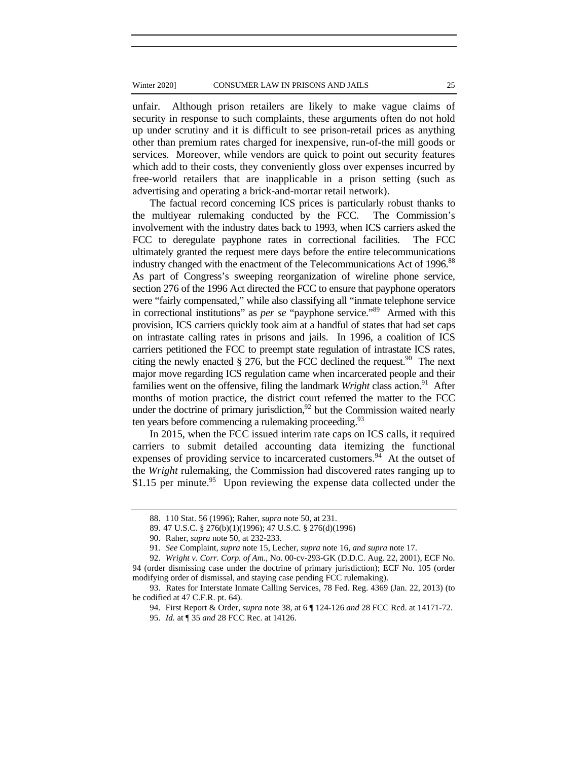unfair. Although prison retailers are likely to make vague claims of security in response to such complaints, these arguments often do not hold up under scrutiny and it is difficult to see prison-retail prices as anything other than premium rates charged for inexpensive, run-of-the mill goods or services. Moreover, while vendors are quick to point out security features which add to their costs, they conveniently gloss over expenses incurred by free-world retailers that are inapplicable in a prison setting (such as advertising and operating a brick-and-mortar retail network).

The factual record concerning ICS prices is particularly robust thanks to the multiyear rulemaking conducted by the FCC. The Commission's involvement with the industry dates back to 1993, when ICS carriers asked the FCC to deregulate payphone rates in correctional facilities. The FCC ultimately granted the request mere days before the entire telecommunications industry changed with the enactment of the Telecommunications Act of 1996.<sup>88</sup> As part of Congress's sweeping reorganization of wireline phone service, section 276 of the 1996 Act directed the FCC to ensure that payphone operators were "fairly compensated," while also classifying all "inmate telephone service in correctional institutions" as *per se* "payphone service."89 Armed with this provision, ICS carriers quickly took aim at a handful of states that had set caps on intrastate calling rates in prisons and jails. In 1996, a coalition of ICS carriers petitioned the FCC to preempt state regulation of intrastate ICS rates, citing the newly enacted  $\S 276$ , but the FCC declined the request.<sup>90</sup> The next major move regarding ICS regulation came when incarcerated people and their families went on the offensive, filing the landmark *Wright* class action.<sup>91</sup> After months of motion practice, the district court referred the matter to the FCC under the doctrine of primary jurisdiction, $92$  but the Commission waited nearly ten years before commencing a rulemaking proceeding.<sup>93</sup>

In 2015, when the FCC issued interim rate caps on ICS calls, it required carriers to submit detailed accounting data itemizing the functional expenses of providing service to incarcerated customers.<sup>94</sup> At the outset of the *Wright* rulemaking, the Commission had discovered rates ranging up to \$1.15 per minute.<sup>95</sup> Upon reviewing the expense data collected under the

<sup>88. 110</sup> Stat. 56 (1996); Raher, *supra* note 50, at 231.

<sup>89. 47</sup> U.S.C. § 276(b)(1)(1996); 47 U.S.C. § 276(d)(1996)

<sup>90.</sup> Raher, *supra* note 50, at 232-233.

<sup>91.</sup> *See* Complaint*, supra* note 15, Lecher, *supra* note 16, *and supra* note 17.

<sup>92.</sup> *Wright v. Corr. Corp. of Am.*, No. 00-cv-293-GK (D.D.C. Aug. 22, 2001), ECF No. 94 (order dismissing case under the doctrine of primary jurisdiction); ECF No. 105 (order modifying order of dismissal, and staying case pending FCC rulemaking).

<sup>93.</sup> Rates for Interstate Inmate Calling Services, 78 Fed. Reg. 4369 (Jan. 22, 2013) (to be codified at 47 C.F.R. pt. 64).

<sup>94.</sup> First Report & Order, *supra* note 38, at 6 ¶ 124-126 *and* 28 FCC Rcd. at 14171-72.

<sup>95.</sup> *Id.* at ¶ 35 *and* 28 FCC Rec. at 14126.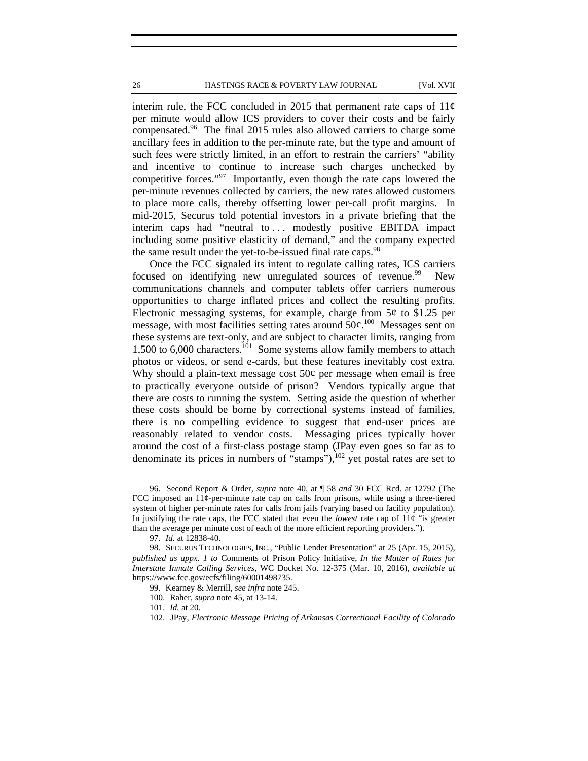interim rule, the FCC concluded in 2015 that permanent rate caps of  $11¢$ per minute would allow ICS providers to cover their costs and be fairly compensated.96 The final 2015 rules also allowed carriers to charge some ancillary fees in addition to the per-minute rate, but the type and amount of such fees were strictly limited, in an effort to restrain the carriers' "ability and incentive to continue to increase such charges unchecked by competitive forces."<sup>97</sup> Importantly, even though the rate caps lowered the per-minute revenues collected by carriers, the new rates allowed customers to place more calls, thereby offsetting lower per-call profit margins. In mid-2015, Securus told potential investors in a private briefing that the interim caps had "neutral to ... modestly positive EBITDA impact including some positive elasticity of demand," and the company expected the same result under the yet-to-be-issued final rate caps.<sup>98</sup>

Once the FCC signaled its intent to regulate calling rates, ICS carriers focused on identifying new unregulated sources of revenue.<sup>99</sup> New communications channels and computer tablets offer carriers numerous opportunities to charge inflated prices and collect the resulting profits. Electronic messaging systems, for example, charge from  $5¢$  to \$1.25 per message, with most facilities setting rates around  $50¢$ .<sup>100</sup> Messages sent on these systems are text-only, and are subject to character limits, ranging from 1,500 to 6,000 characters.<sup>101</sup> Some systems allow family members to attach photos or videos, or send e-cards, but these features inevitably cost extra. Why should a plain-text message cost  $50¢$  per message when email is free to practically everyone outside of prison? Vendors typically argue that there are costs to running the system. Setting aside the question of whether these costs should be borne by correctional systems instead of families, there is no compelling evidence to suggest that end-user prices are reasonably related to vendor costs. Messaging prices typically hover around the cost of a first-class postage stamp (JPay even goes so far as to denominate its prices in numbers of "stamps"), $102$  yet postal rates are set to

<sup>96.</sup> Second Report & Order, *supra* note 40, at ¶ 58 *and* 30 FCC Rcd. at 12792 (The FCC imposed an  $11¢$ -per-minute rate cap on calls from prisons, while using a three-tiered system of higher per-minute rates for calls from jails (varying based on facility population). In justifying the rate caps, the FCC stated that even the *lowest* rate cap of 11¢ "is greater than the average per minute cost of each of the more efficient reporting providers.").

<sup>97.</sup> *Id.* at 12838-40.

<sup>98.</sup> SECURUS TECHNOLOGIES, INC., "Public Lender Presentation" at 25 (Apr. 15, 2015), *published as appx. 1 to* Comments of Prison Policy Initiative, *In the Matter of Rates for Interstate Inmate Calling Services*, WC Docket No. 12-375 (Mar. 10, 2016), *available at* https://www.fcc.gov/ecfs/filing/60001498735.

<sup>99.</sup> Kearney & Merrill, *see infra* note 245.

<sup>100.</sup> Raher, *supra* note 45, at 13-14.

<sup>101.</sup> *Id.* at 20.

<sup>102.</sup> JPay, *Electronic Message Pricing of Arkansas Correctional Facility of Colorado*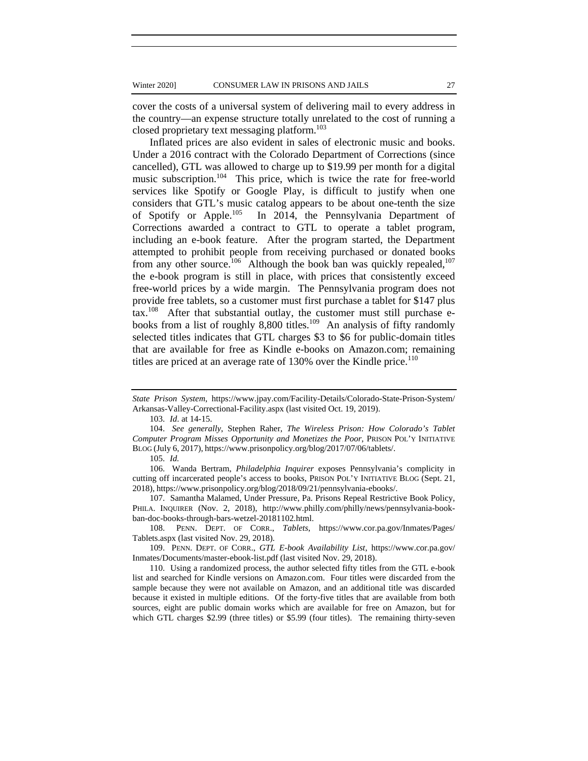cover the costs of a universal system of delivering mail to every address in the country—an expense structure totally unrelated to the cost of running a closed proprietary text messaging platform.<sup>103</sup>

Inflated prices are also evident in sales of electronic music and books. Under a 2016 contract with the Colorado Department of Corrections (since cancelled), GTL was allowed to charge up to \$19.99 per month for a digital music subscription.<sup>104</sup> This price, which is twice the rate for free-world services like Spotify or Google Play, is difficult to justify when one considers that GTL's music catalog appears to be about one-tenth the size of Spotify or Apple.105 In 2014, the Pennsylvania Department of Corrections awarded a contract to GTL to operate a tablet program, including an e-book feature. After the program started, the Department attempted to prohibit people from receiving purchased or donated books from any other source.<sup>106</sup> Although the book ban was quickly repealed,<sup>107</sup> the e-book program is still in place, with prices that consistently exceed free-world prices by a wide margin. The Pennsylvania program does not provide free tablets, so a customer must first purchase a tablet for \$147 plus  $\text{tax.}^{108}$  After that substantial outlay, the customer must still purchase ebooks from a list of roughly 8,800 titles.<sup>109</sup> An analysis of fifty randomly selected titles indicates that GTL charges \$3 to \$6 for public-domain titles that are available for free as Kindle e-books on Amazon.com; remaining titles are priced at an average rate of  $130\%$  over the Kindle price.<sup>110</sup>

*State Prison System*, https://www.jpay.com/Facility-Details/Colorado-State-Prison-System/ Arkansas-Valley-Correctional-Facility.aspx (last visited Oct. 19, 2019).

<sup>103.</sup> *Id*. at 14-15.

<sup>104.</sup> *See generally*, Stephen Raher, *The Wireless Prison: How Colorado's Tablet Computer Program Misses Opportunity and Monetizes the Poor*, PRISON POL'Y INITIATIVE BLOG (July 6, 2017), https://www.prisonpolicy.org/blog/2017/07/06/tablets/.

<sup>105.</sup> *Id.* 

<sup>106.</sup> Wanda Bertram, *Philadelphia Inquirer* exposes Pennsylvania's complicity in cutting off incarcerated people's access to books, PRISON POL'Y INITIATIVE BLOG (Sept. 21, 2018), https://www.prisonpolicy.org/blog/2018/09/21/pennsylvania-ebooks/.

<sup>107.</sup> Samantha Malamed, Under Pressure, Pa. Prisons Repeal Restrictive Book Policy, PHILA. INQUIRER (Nov. 2, 2018), http://www.philly.com/philly/news/pennsylvania-bookban-doc-books-through-bars-wetzel-20181102.html.

<sup>108.</sup> PENN. DEPT. OF CORR., *Tablets*, https://www.cor.pa.gov/Inmates/Pages/ Tablets.aspx (last visited Nov. 29, 2018).

<sup>109.</sup> PENN. DEPT. OF CORR., *GTL E-book Availability List*, https://www.cor.pa.gov/ Inmates/Documents/master-ebook-list.pdf (last visited Nov. 29, 2018).

<sup>110.</sup> Using a randomized process, the author selected fifty titles from the GTL e-book list and searched for Kindle versions on Amazon.com. Four titles were discarded from the sample because they were not available on Amazon, and an additional title was discarded because it existed in multiple editions. Of the forty-five titles that are available from both sources, eight are public domain works which are available for free on Amazon, but for which GTL charges \$2.99 (three titles) or \$5.99 (four titles). The remaining thirty-seven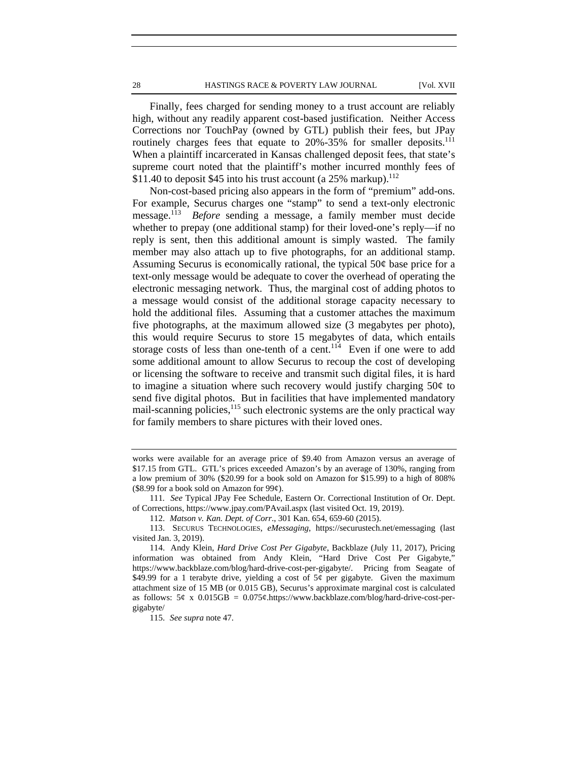28 **HASTINGS RACE & POVERTY LAW JOURNAL** [Vol. XVII

Finally, fees charged for sending money to a trust account are reliably high, without any readily apparent cost-based justification. Neither Access Corrections nor TouchPay (owned by GTL) publish their fees, but JPay routinely charges fees that equate to 20%-35% for smaller deposits.<sup>111</sup> When a plaintiff incarcerated in Kansas challenged deposit fees, that state's supreme court noted that the plaintiff's mother incurred monthly fees of \$11.40 to deposit \$45 into his trust account (a  $25\%$  markup).<sup>112</sup>

Non-cost-based pricing also appears in the form of "premium" add-ons. For example, Securus charges one "stamp" to send a text-only electronic message.113 *Before* sending a message, a family member must decide whether to prepay (one additional stamp) for their loved-one's reply—if no reply is sent, then this additional amount is simply wasted. The family member may also attach up to five photographs, for an additional stamp. Assuming Securus is economically rational, the typical  $50¢$  base price for a text-only message would be adequate to cover the overhead of operating the electronic messaging network. Thus, the marginal cost of adding photos to a message would consist of the additional storage capacity necessary to hold the additional files. Assuming that a customer attaches the maximum five photographs, at the maximum allowed size (3 megabytes per photo), this would require Securus to store 15 megabytes of data, which entails storage costs of less than one-tenth of a cent.<sup>114</sup> Even if one were to add some additional amount to allow Securus to recoup the cost of developing or licensing the software to receive and transmit such digital files, it is hard to imagine a situation where such recovery would justify charging  $50¢$  to send five digital photos. But in facilities that have implemented mandatory mail-scanning policies, $115$  such electronic systems are the only practical way for family members to share pictures with their loved ones.

works were available for an average price of \$9.40 from Amazon versus an average of \$17.15 from GTL. GTL's prices exceeded Amazon's by an average of 130%, ranging from a low premium of 30% (\$20.99 for a book sold on Amazon for \$15.99) to a high of 808% (\$8.99 for a book sold on Amazon for  $99¢$ ).

<sup>111</sup>*. See* Typical JPay Fee Schedule, Eastern Or. Correctional Institution of Or. Dept. of Corrections, https://www.jpay.com/PAvail.aspx (last visited Oct. 19, 2019).

<sup>112.</sup> *Matson v. Kan. Dept. of Corr*., 301 Kan. 654, 659-60 (2015).

<sup>113.</sup> SECURUS TECHNOLOGIES, *eMessaging*, https://securustech.net/emessaging (last visited Jan. 3, 2019).

<sup>114.</sup> Andy Klein, *Hard Drive Cost Per Gigabyte*, Backblaze (July 11, 2017), Pricing information was obtained from Andy Klein, "Hard Drive Cost Per Gigabyte," https://www.backblaze.com/blog/hard-drive-cost-per-gigabyte/. Pricing from Seagate of \$49.99 for a 1 terabyte drive, yielding a cost of  $5¢$  per gigabyte. Given the maximum attachment size of 15 MB (or 0.015 GB), Securus's approximate marginal cost is calculated as follows:  $5¢ \times 0.015GB = 0.075¢.$ https://www.backblaze.com/blog/hard-drive-cost-pergigabyte/

<sup>115.</sup> *See supra* note 47.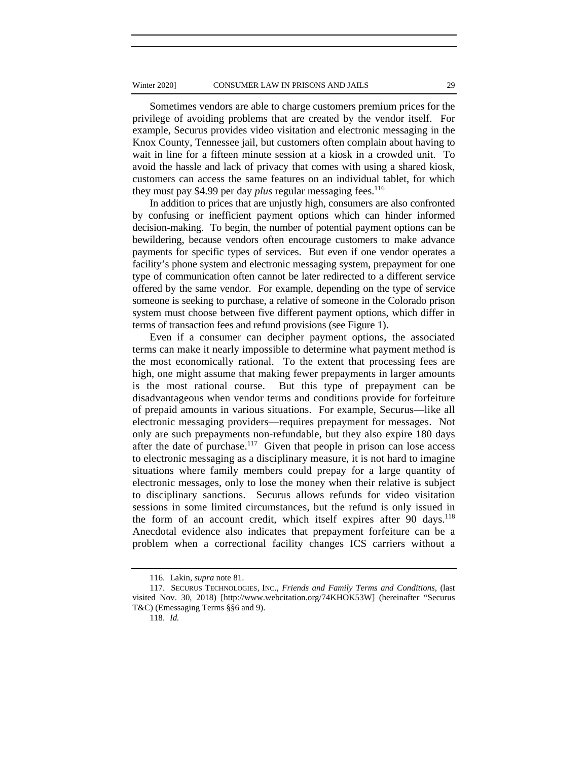Sometimes vendors are able to charge customers premium prices for the privilege of avoiding problems that are created by the vendor itself. For example, Securus provides video visitation and electronic messaging in the Knox County, Tennessee jail, but customers often complain about having to wait in line for a fifteen minute session at a kiosk in a crowded unit. To avoid the hassle and lack of privacy that comes with using a shared kiosk, customers can access the same features on an individual tablet, for which they must pay \$4.99 per day *plus* regular messaging fees.<sup>116</sup>

In addition to prices that are unjustly high, consumers are also confronted by confusing or inefficient payment options which can hinder informed decision-making. To begin, the number of potential payment options can be bewildering, because vendors often encourage customers to make advance payments for specific types of services. But even if one vendor operates a facility's phone system and electronic messaging system, prepayment for one type of communication often cannot be later redirected to a different service offered by the same vendor. For example, depending on the type of service someone is seeking to purchase, a relative of someone in the Colorado prison system must choose between five different payment options, which differ in terms of transaction fees and refund provisions (see Figure 1).

Even if a consumer can decipher payment options, the associated terms can make it nearly impossible to determine what payment method is the most economically rational. To the extent that processing fees are high, one might assume that making fewer prepayments in larger amounts is the most rational course. But this type of prepayment can be disadvantageous when vendor terms and conditions provide for forfeiture of prepaid amounts in various situations. For example, Securus—like all electronic messaging providers—requires prepayment for messages. Not only are such prepayments non-refundable, but they also expire 180 days after the date of purchase.<sup>117</sup> Given that people in prison can lose access to electronic messaging as a disciplinary measure, it is not hard to imagine situations where family members could prepay for a large quantity of electronic messages, only to lose the money when their relative is subject to disciplinary sanctions. Securus allows refunds for video visitation sessions in some limited circumstances, but the refund is only issued in the form of an account credit, which itself expires after 90 days.<sup>118</sup> Anecdotal evidence also indicates that prepayment forfeiture can be a problem when a correctional facility changes ICS carriers without a

<sup>116.</sup> Lakin, *supra* note 81.

<sup>117.</sup> SECURUS TECHNOLOGIES, INC., *Friends and Family Terms and Conditions*, (last visited Nov. 30, 2018) [http://www.webcitation.org/74KHOK53W] (hereinafter "Securus T&C) (Emessaging Terms §§6 and 9).

<sup>118.</sup> *Id.*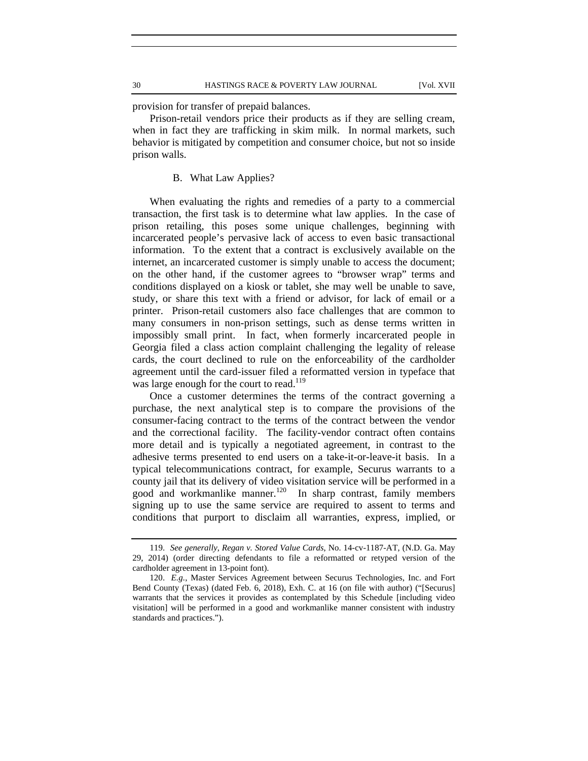provision for transfer of prepaid balances.

Prison-retail vendors price their products as if they are selling cream, when in fact they are trafficking in skim milk. In normal markets, such behavior is mitigated by competition and consumer choice, but not so inside prison walls.

#### B. What Law Applies?

When evaluating the rights and remedies of a party to a commercial transaction, the first task is to determine what law applies. In the case of prison retailing, this poses some unique challenges, beginning with incarcerated people's pervasive lack of access to even basic transactional information. To the extent that a contract is exclusively available on the internet, an incarcerated customer is simply unable to access the document; on the other hand, if the customer agrees to "browser wrap" terms and conditions displayed on a kiosk or tablet, she may well be unable to save, study, or share this text with a friend or advisor, for lack of email or a printer. Prison-retail customers also face challenges that are common to many consumers in non-prison settings, such as dense terms written in impossibly small print. In fact, when formerly incarcerated people in Georgia filed a class action complaint challenging the legality of release cards, the court declined to rule on the enforceability of the cardholder agreement until the card-issuer filed a reformatted version in typeface that was large enough for the court to read.<sup>119</sup>

Once a customer determines the terms of the contract governing a purchase, the next analytical step is to compare the provisions of the consumer-facing contract to the terms of the contract between the vendor and the correctional facility. The facility-vendor contract often contains more detail and is typically a negotiated agreement, in contrast to the adhesive terms presented to end users on a take-it-or-leave-it basis. In a typical telecommunications contract, for example, Securus warrants to a county jail that its delivery of video visitation service will be performed in a good and workmanlike manner.120 In sharp contrast, family members signing up to use the same service are required to assent to terms and conditions that purport to disclaim all warranties, express, implied, or

<sup>119.</sup> *See generally*, *Regan v. Stored Value Cards*, No. 14-cv-1187-AT, (N.D. Ga. May 29, 2014) (order directing defendants to file a reformatted or retyped version of the cardholder agreement in 13-point font).

<sup>120.</sup> *E.g.*, Master Services Agreement between Securus Technologies, Inc. and Fort Bend County (Texas) (dated Feb. 6, 2018), Exh. C. at 16 (on file with author) ("[Securus] warrants that the services it provides as contemplated by this Schedule [including video visitation] will be performed in a good and workmanlike manner consistent with industry standards and practices.").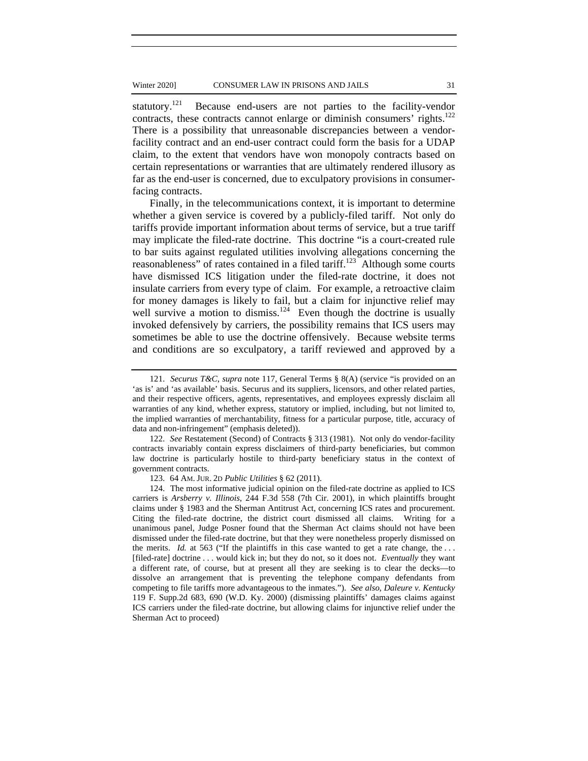statutory.<sup>121</sup> Because end-users are not parties to the facility-vendor contracts, these contracts cannot enlarge or diminish consumers' rights.<sup>122</sup> There is a possibility that unreasonable discrepancies between a vendorfacility contract and an end-user contract could form the basis for a UDAP claim, to the extent that vendors have won monopoly contracts based on certain representations or warranties that are ultimately rendered illusory as far as the end-user is concerned, due to exculpatory provisions in consumerfacing contracts.

Finally, in the telecommunications context, it is important to determine whether a given service is covered by a publicly-filed tariff. Not only do tariffs provide important information about terms of service, but a true tariff may implicate the filed-rate doctrine. This doctrine "is a court-created rule to bar suits against regulated utilities involving allegations concerning the reasonableness" of rates contained in a filed tariff.123 Although some courts have dismissed ICS litigation under the filed-rate doctrine, it does not insulate carriers from every type of claim. For example, a retroactive claim for money damages is likely to fail, but a claim for injunctive relief may well survive a motion to dismiss.<sup>124</sup> Even though the doctrine is usually invoked defensively by carriers, the possibility remains that ICS users may sometimes be able to use the doctrine offensively. Because website terms and conditions are so exculpatory, a tariff reviewed and approved by a

<sup>121.</sup> *Securus T&C*, *supra* note 117, General Terms § 8(A) (service "is provided on an 'as is' and 'as available' basis. Securus and its suppliers, licensors, and other related parties, and their respective officers, agents, representatives, and employees expressly disclaim all warranties of any kind, whether express, statutory or implied, including, but not limited to, the implied warranties of merchantability, fitness for a particular purpose, title, accuracy of data and non-infringement" (emphasis deleted)).

<sup>122.</sup> *See* Restatement (Second) of Contracts § 313 (1981). Not only do vendor-facility contracts invariably contain express disclaimers of third-party beneficiaries, but common law doctrine is particularly hostile to third-party beneficiary status in the context of government contracts.

<sup>123. 64</sup> AM. JUR. 2D *Public Utilities* § 62 (2011).

<sup>124.</sup> The most informative judicial opinion on the filed-rate doctrine as applied to ICS carriers is *Arsberry v. Illinois*, 244 F.3d 558 (7th Cir. 2001), in which plaintiffs brought claims under § 1983 and the Sherman Antitrust Act, concerning ICS rates and procurement. Citing the filed-rate doctrine, the district court dismissed all claims. Writing for a unanimous panel, Judge Posner found that the Sherman Act claims should not have been dismissed under the filed-rate doctrine, but that they were nonetheless properly dismissed on the merits. *Id.* at 563 ("If the plaintiffs in this case wanted to get a rate change, the ... [filed-rate] doctrine . . . would kick in; but they do not, so it does not. *Eventually* they want a different rate, of course, but at present all they are seeking is to clear the decks—to dissolve an arrangement that is preventing the telephone company defendants from competing to file tariffs more advantageous to the inmates."). *See also*, *Daleure v. Kentucky* 119 F. Supp.2d 683, 690 (W.D. Ky. 2000) (dismissing plaintiffs' damages claims against ICS carriers under the filed-rate doctrine, but allowing claims for injunctive relief under the Sherman Act to proceed)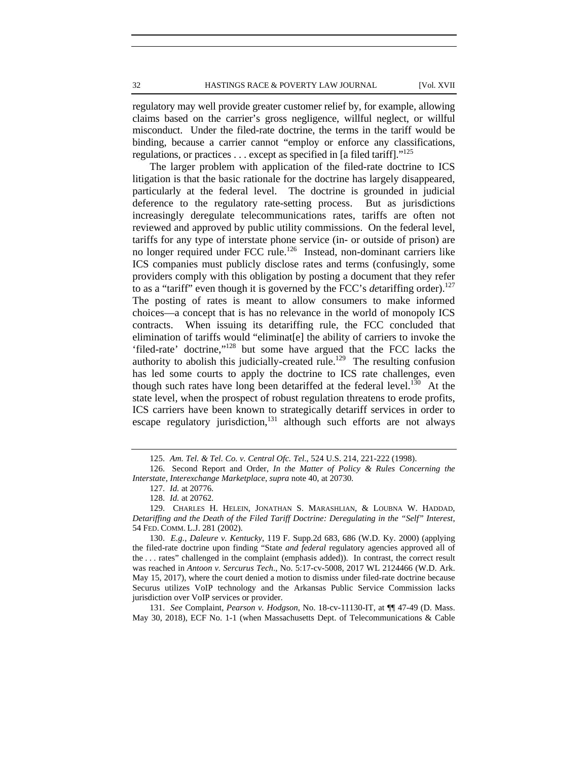32 HASTINGS RACE & POVERTY LAW JOURNAL [Vol. XVII

regulatory may well provide greater customer relief by, for example, allowing claims based on the carrier's gross negligence, willful neglect, or willful misconduct. Under the filed-rate doctrine, the terms in the tariff would be binding, because a carrier cannot "employ or enforce any classifications, regulations, or practices  $\dots$  except as specified in [a filed tariff]."<sup>125</sup>

The larger problem with application of the filed-rate doctrine to ICS litigation is that the basic rationale for the doctrine has largely disappeared, particularly at the federal level. The doctrine is grounded in judicial deference to the regulatory rate-setting process. But as jurisdictions increasingly deregulate telecommunications rates, tariffs are often not reviewed and approved by public utility commissions. On the federal level, tariffs for any type of interstate phone service (in- or outside of prison) are no longer required under FCC rule.<sup>126</sup> Instead, non-dominant carriers like ICS companies must publicly disclose rates and terms (confusingly, some providers comply with this obligation by posting a document that they refer to as a "tariff" even though it is governed by the FCC's *detariffing* order).<sup>127</sup> The posting of rates is meant to allow consumers to make informed choices—a concept that is has no relevance in the world of monopoly ICS contracts. When issuing its detariffing rule, the FCC concluded that elimination of tariffs would "eliminat[e] the ability of carriers to invoke the 'filed-rate' doctrine,"128 but some have argued that the FCC lacks the authority to abolish this judicially-created rule.<sup>129</sup> The resulting confusion has led some courts to apply the doctrine to ICS rate challenges, even though such rates have long been detariffed at the federal level.<sup>130</sup> At the state level, when the prospect of robust regulation threatens to erode profits, ICS carriers have been known to strategically detariff services in order to escape regulatory jurisdiction,<sup>131</sup> although such efforts are not always

131. *See* Complaint, *Pearson v. Hodgson*, No. 18-cv-11130-IT, at ¶¶ 47-49 (D. Mass. May 30, 2018), ECF No. 1-1 (when Massachusetts Dept. of Telecommunications & Cable

<sup>125.</sup> *Am. Tel. & Tel. Co. v. Central Ofc. Tel*., 524 U.S. 214, 221-222 (1998).

<sup>126.</sup> Second Report and Order, *In the Matter of Policy & Rules Concerning the Interstate, Interexchange Marketplace*, *supra* note 40, at 20730.

<sup>127.</sup> *Id.* at 20776.

<sup>128.</sup> *Id.* at 20762.

<sup>129.</sup> CHARLES H. HELEIN, JONATHAN S. MARASHLIAN, & LOUBNA W. HADDAD, *Detariffing and the Death of the Filed Tariff Doctrine: Deregulating in the "Self" Interest*, 54 FED. COMM. L.J. 281 (2002).

<sup>130.</sup> *E.g., Daleure v. Kentucky*, 119 F. Supp.2d 683, 686 (W.D. Ky. 2000) (applying the filed-rate doctrine upon finding "State *and federal* regulatory agencies approved all of the . . . rates" challenged in the complaint (emphasis added)). In contrast, the correct result was reached in *Antoon v. Sercurus Tech*., No. 5:17-cv-5008, 2017 WL 2124466 (W.D. Ark. May 15, 2017), where the court denied a motion to dismiss under filed-rate doctrine because Securus utilizes VoIP technology and the Arkansas Public Service Commission lacks jurisdiction over VoIP services or provider.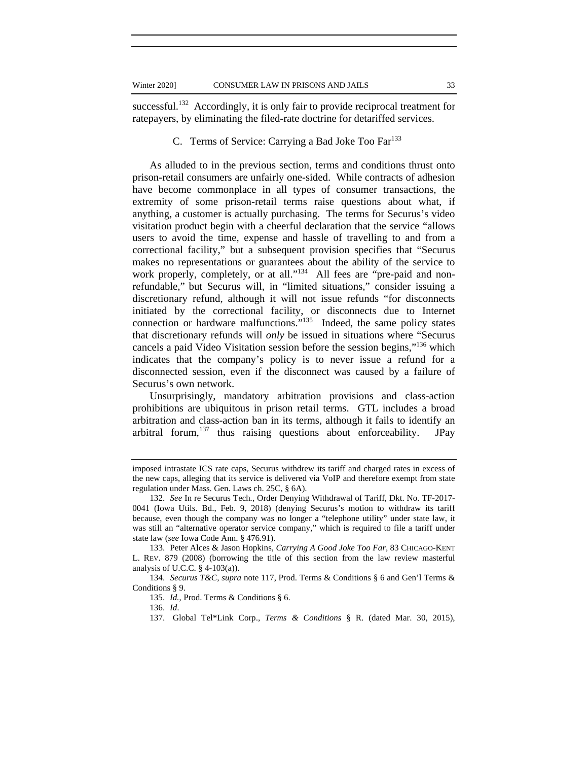successful.<sup>132</sup> Accordingly, it is only fair to provide reciprocal treatment for ratepayers, by eliminating the filed-rate doctrine for detariffed services.

## C. Terms of Service: Carrying a Bad Joke Too Far<sup>133</sup>

As alluded to in the previous section, terms and conditions thrust onto prison-retail consumers are unfairly one-sided. While contracts of adhesion have become commonplace in all types of consumer transactions, the extremity of some prison-retail terms raise questions about what, if anything, a customer is actually purchasing. The terms for Securus's video visitation product begin with a cheerful declaration that the service "allows users to avoid the time, expense and hassle of travelling to and from a correctional facility," but a subsequent provision specifies that "Securus makes no representations or guarantees about the ability of the service to work properly, completely, or at all."<sup>134</sup> All fees are "pre-paid and nonrefundable," but Securus will, in "limited situations," consider issuing a discretionary refund, although it will not issue refunds "for disconnects initiated by the correctional facility, or disconnects due to Internet connection or hardware malfunctions."135 Indeed, the same policy states that discretionary refunds will *only* be issued in situations where "Securus cancels a paid Video Visitation session before the session begins,"<sup>136</sup> which indicates that the company's policy is to never issue a refund for a disconnected session, even if the disconnect was caused by a failure of Securus's own network.

Unsurprisingly, mandatory arbitration provisions and class-action prohibitions are ubiquitous in prison retail terms. GTL includes a broad arbitration and class-action ban in its terms, although it fails to identify an arbitral forum,  $137$  thus raising questions about enforceability. JPay

134. *Securus T&C*, *supra* note 117, Prod. Terms & Conditions § 6 and Gen'l Terms & Conditions § 9.

136. *Id*.

imposed intrastate ICS rate caps, Securus withdrew its tariff and charged rates in excess of the new caps, alleging that its service is delivered via VoIP and therefore exempt from state regulation under Mass. Gen. Laws ch. 25C, § 6A).

<sup>132.</sup> *See* In re Securus Tech*.*, Order Denying Withdrawal of Tariff, Dkt. No. TF-2017- 0041 (Iowa Utils. Bd., Feb. 9, 2018) (denying Securus's motion to withdraw its tariff because, even though the company was no longer a "telephone utility" under state law, it was still an "alternative operator service company," which is required to file a tariff under state law (*see* Iowa Code Ann. § 476.91).

<sup>133.</sup> Peter Alces & Jason Hopkins, *Carrying A Good Joke Too Far,* 83 CHICAGO-KENT L. REV. 879 (2008) (borrowing the title of this section from the law review masterful analysis of U.C.C.  $\S$  4-103(a)).

<sup>135.</sup> *Id.*, Prod. Terms & Conditions § 6.

<sup>137.</sup> Global Tel\*Link Corp., *Terms & Conditions* § R. (dated Mar. 30, 2015),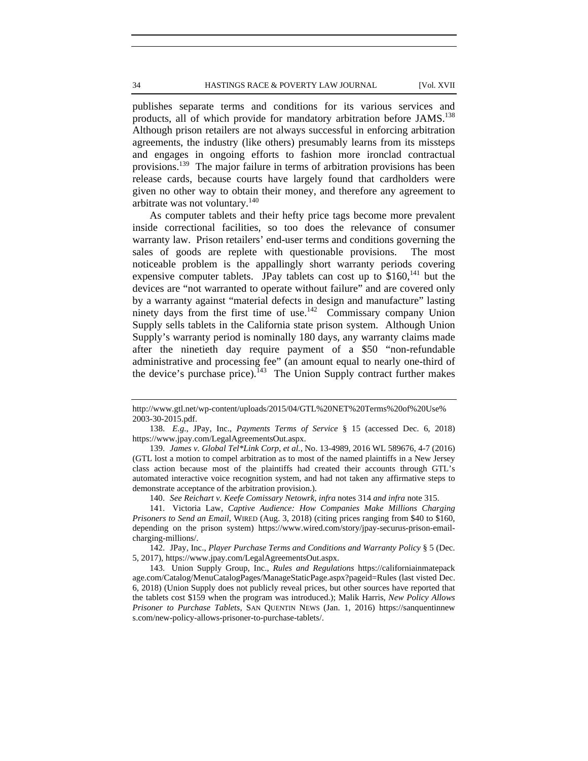publishes separate terms and conditions for its various services and products, all of which provide for mandatory arbitration before JAMS.<sup>138</sup> Although prison retailers are not always successful in enforcing arbitration agreements, the industry (like others) presumably learns from its missteps and engages in ongoing efforts to fashion more ironclad contractual provisions.139 The major failure in terms of arbitration provisions has been release cards, because courts have largely found that cardholders were given no other way to obtain their money, and therefore any agreement to arbitrate was not voluntary.<sup>140</sup>

As computer tablets and their hefty price tags become more prevalent inside correctional facilities, so too does the relevance of consumer warranty law. Prison retailers' end-user terms and conditions governing the sales of goods are replete with questionable provisions. The most noticeable problem is the appallingly short warranty periods covering expensive computer tablets. JPay tablets can cost up to  $$160$ ,<sup>141</sup> but the devices are "not warranted to operate without failure" and are covered only by a warranty against "material defects in design and manufacture" lasting ninety days from the first time of use.<sup>142</sup> Commissary company Union Supply sells tablets in the California state prison system. Although Union Supply's warranty period is nominally 180 days, any warranty claims made after the ninetieth day require payment of a \$50 "non-refundable administrative and processing fee" (an amount equal to nearly one-third of the device's purchase price).<sup>143</sup> The Union Supply contract further makes

140. *See Reichart v. Keefe Comissary Netowrk, infra* notes 314 *and infra* note 315.

142. JPay, Inc., *Player Purchase Terms and Conditions and Warranty Policy* § 5 (Dec. 5, 2017), https://www.jpay.com/LegalAgreementsOut.aspx.

143. Union Supply Group, Inc., *Rules and Regulations* https://californiainmatepack age.com/Catalog/MenuCatalogPages/ManageStaticPage.aspx?pageid=Rules (last visted Dec. 6, 2018) (Union Supply does not publicly reveal prices, but other sources have reported that the tablets cost \$159 when the program was introduced.); Malik Harris, *New Policy Allows Prisoner to Purchase Tablets,* SAN QUENTIN NEWS (Jan. 1, 2016) https://sanquentinnew s.com/new-policy-allows-prisoner-to-purchase-tablets/.

http://www.gtl.net/wp-content/uploads/2015/04/GTL%20NET%20Terms%20of%20Use% 2003-30-2015.pdf.

<sup>138.</sup> *E.g.*, JPay, Inc., *Payments Terms of Service* § 15 (accessed Dec. 6, 2018) https://www.jpay.com/LegalAgreementsOut.aspx.

<sup>139.</sup> *James v. Global Tel\*Link Corp, et al.*, No. 13-4989, 2016 WL 589676, 4-7 (2016) (GTL lost a motion to compel arbitration as to most of the named plaintiffs in a New Jersey class action because most of the plaintiffs had created their accounts through GTL's automated interactive voice recognition system, and had not taken any affirmative steps to demonstrate acceptance of the arbitration provision.).

<sup>141.</sup> Victoria Law, *Captive Audience: How Companies Make Millions Charging Prisoners to Send an Email*, WIRED (Aug. 3, 2018) (citing prices ranging from \$40 to \$160, depending on the prison system) https://www.wired.com/story/jpay-securus-prison-emailcharging-millions/.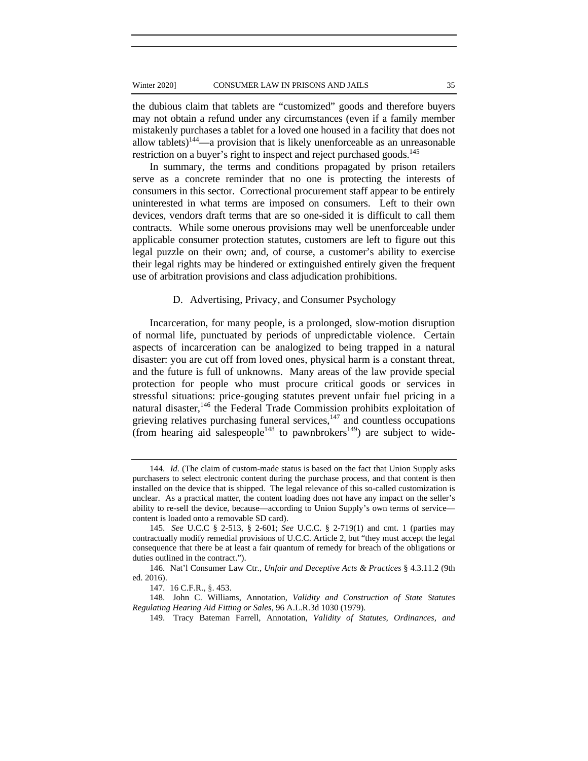the dubious claim that tablets are "customized" goods and therefore buyers may not obtain a refund under any circumstances (even if a family member mistakenly purchases a tablet for a loved one housed in a facility that does not allow tablets)<sup>144</sup>—a provision that is likely unenforceable as an unreasonable restriction on a buyer's right to inspect and reject purchased goods.<sup>145</sup>

In summary, the terms and conditions propagated by prison retailers serve as a concrete reminder that no one is protecting the interests of consumers in this sector. Correctional procurement staff appear to be entirely uninterested in what terms are imposed on consumers. Left to their own devices, vendors draft terms that are so one-sided it is difficult to call them contracts. While some onerous provisions may well be unenforceable under applicable consumer protection statutes, customers are left to figure out this legal puzzle on their own; and, of course, a customer's ability to exercise their legal rights may be hindered or extinguished entirely given the frequent use of arbitration provisions and class adjudication prohibitions.

#### D. Advertising, Privacy, and Consumer Psychology

Incarceration, for many people, is a prolonged, slow-motion disruption of normal life, punctuated by periods of unpredictable violence. Certain aspects of incarceration can be analogized to being trapped in a natural disaster: you are cut off from loved ones, physical harm is a constant threat, and the future is full of unknowns. Many areas of the law provide special protection for people who must procure critical goods or services in stressful situations: price-gouging statutes prevent unfair fuel pricing in a natural disaster,<sup>146</sup> the Federal Trade Commission prohibits exploitation of grieving relatives purchasing funeral services, $147$  and countless occupations (from hearing aid salespeople<sup>148</sup> to pawnbrokers<sup>149</sup>) are subject to wide-

<sup>144.</sup> *Id.* (The claim of custom-made status is based on the fact that Union Supply asks purchasers to select electronic content during the purchase process, and that content is then installed on the device that is shipped. The legal relevance of this so-called customization is unclear. As a practical matter, the content loading does not have any impact on the seller's ability to re-sell the device, because—according to Union Supply's own terms of service content is loaded onto a removable SD card).

<sup>145.</sup> *See* U.C.C § 2-513, § 2-601; *See* U.C.C. § 2-719(1) and cmt. 1 (parties may contractually modify remedial provisions of U.C.C. Article 2, but "they must accept the legal consequence that there be at least a fair quantum of remedy for breach of the obligations or duties outlined in the contract.").

<sup>146.</sup> Nat'l Consumer Law Ctr., *Unfair and Deceptive Acts & Practices* § 4.3.11.2 (9th ed. 2016).

<sup>147. 16</sup> C.F.R., §. 453.

<sup>148.</sup> John C. Williams, Annotation, *Validity and Construction of State Statutes Regulating Hearing Aid Fitting or Sales*, 96 A.L.R.3d 1030 (1979).

<sup>149.</sup> Tracy Bateman Farrell, Annotation, *Validity of Statutes, Ordinances, and*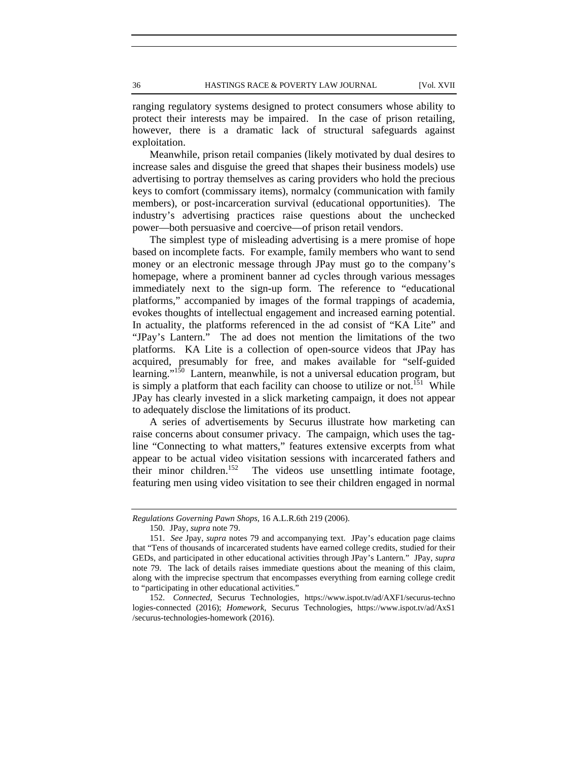ranging regulatory systems designed to protect consumers whose ability to protect their interests may be impaired. In the case of prison retailing, however, there is a dramatic lack of structural safeguards against exploitation.

Meanwhile, prison retail companies (likely motivated by dual desires to increase sales and disguise the greed that shapes their business models) use advertising to portray themselves as caring providers who hold the precious keys to comfort (commissary items), normalcy (communication with family members), or post-incarceration survival (educational opportunities). The industry's advertising practices raise questions about the unchecked power—both persuasive and coercive—of prison retail vendors.

The simplest type of misleading advertising is a mere promise of hope based on incomplete facts. For example, family members who want to send money or an electronic message through JPay must go to the company's homepage, where a prominent banner ad cycles through various messages immediately next to the sign-up form. The reference to "educational platforms," accompanied by images of the formal trappings of academia, evokes thoughts of intellectual engagement and increased earning potential. In actuality, the platforms referenced in the ad consist of "KA Lite" and "JPay's Lantern." The ad does not mention the limitations of the two platforms. KA Lite is a collection of open-source videos that JPay has acquired, presumably for free, and makes available for "self-guided learning."<sup>150</sup> Lantern, meanwhile, is not a universal education program, but is simply a platform that each facility can choose to utilize or not.<sup>151</sup> While JPay has clearly invested in a slick marketing campaign, it does not appear to adequately disclose the limitations of its product.

A series of advertisements by Securus illustrate how marketing can raise concerns about consumer privacy. The campaign, which uses the tagline "Connecting to what matters," features extensive excerpts from what appear to be actual video visitation sessions with incarcerated fathers and their minor children.<sup>152</sup> The videos use unsettling intimate footage, The videos use unsettling intimate footage, featuring men using video visitation to see their children engaged in normal

*Regulations Governing Pawn Shops*, 16 A.L.R.6th 219 (2006).

<sup>150.</sup> JPay, *supra* note 79.

<sup>151.</sup> *See* Jpay*, supra* notes 79 and accompanying text. JPay's education page claims that "Tens of thousands of incarcerated students have earned college credits, studied for their GEDs, and participated in other educational activities through JPay's Lantern." JPay, *supra* note 79. The lack of details raises immediate questions about the meaning of this claim, along with the imprecise spectrum that encompasses everything from earning college credit to "participating in other educational activities."

<sup>152.</sup> *Connected*, Securus Technologies, https://www.ispot.tv/ad/AXF1/securus-techno logies-connected (2016); *Homework*, Securus Technologies, https://www.ispot.tv/ad/AxS1 /securus-technologies-homework (2016).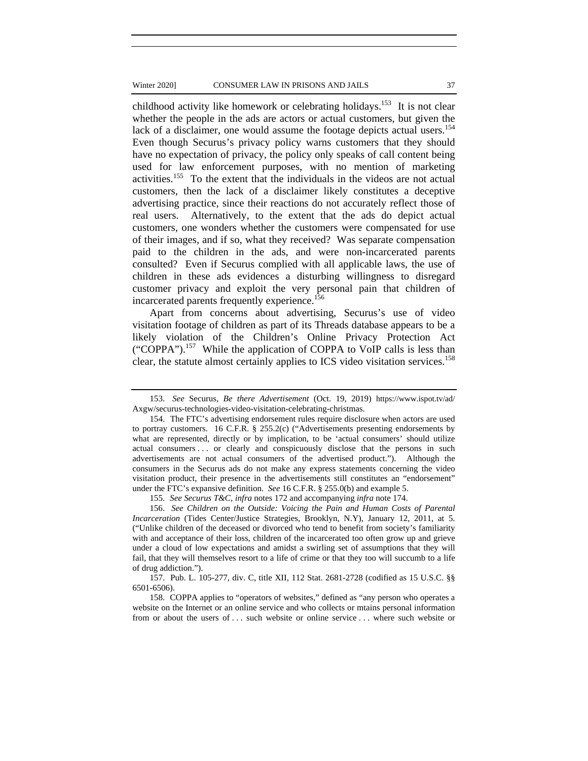childhood activity like homework or celebrating holidays.<sup>153</sup> It is not clear whether the people in the ads are actors or actual customers, but given the lack of a disclaimer, one would assume the footage depicts actual users.<sup>154</sup> Even though Securus's privacy policy warns customers that they should have no expectation of privacy, the policy only speaks of call content being used for law enforcement purposes, with no mention of marketing activities.155 To the extent that the individuals in the videos are not actual customers, then the lack of a disclaimer likely constitutes a deceptive advertising practice, since their reactions do not accurately reflect those of real users. Alternatively, to the extent that the ads do depict actual customers, one wonders whether the customers were compensated for use of their images, and if so, what they received? Was separate compensation paid to the children in the ads, and were non-incarcerated parents consulted? Even if Securus complied with all applicable laws, the use of children in these ads evidences a disturbing willingness to disregard customer privacy and exploit the very personal pain that children of incarcerated parents frequently experience.<sup>156</sup>

Apart from concerns about advertising, Securus's use of video visitation footage of children as part of its Threads database appears to be a likely violation of the Children's Online Privacy Protection Act ("COPPA").157 While the application of COPPA to VoIP calls is less than clear, the statute almost certainly applies to ICS video visitation services.<sup>158</sup>

<sup>153.</sup> *See* Securus, *Be there Advertisement* (Oct. 19, 2019) https://www.ispot.tv/ad/ Axgw/securus-technologies-video-visitation-celebrating-christmas.

<sup>154.</sup> The FTC's advertising endorsement rules require disclosure when actors are used to portray customers. 16 C.F.R. § 255.2(c) ("Advertisements presenting endorsements by what are represented, directly or by implication, to be 'actual consumers' should utilize actual consumers . . . or clearly and conspicuously disclose that the persons in such advertisements are not actual consumers of the advertised product."). Although the consumers in the Securus ads do not make any express statements concerning the video visitation product, their presence in the advertisements still constitutes an "endorsement" under the FTC's expansive definition. *See* 16 C.F.R. § 255.0(b) and example 5.

<sup>155.</sup> *See Securus T&C, infra* notes 172 and accompanying *infra* note 174.

<sup>156.</sup> *See Children on the Outside: Voicing the Pain and Human Costs of Parental Incarceration* (Tides Center/Justice Strategies, Brooklyn, N.Y), January 12, 2011, at 5. ("Unlike children of the deceased or divorced who tend to benefit from society's familiarity with and acceptance of their loss, children of the incarcerated too often grow up and grieve under a cloud of low expectations and amidst a swirling set of assumptions that they will fail, that they will themselves resort to a life of crime or that they too will succumb to a life of drug addiction.").

<sup>157.</sup> Pub. L. 105-277, div. C, title XII, 112 Stat. 2681-2728 (codified as 15 U.S.C. §§ 6501-6506).

<sup>158.</sup> COPPA applies to "operators of websites," defined as "any person who operates a website on the Internet or an online service and who collects or mtains personal information from or about the users of . . . such website or online service . . . where such website or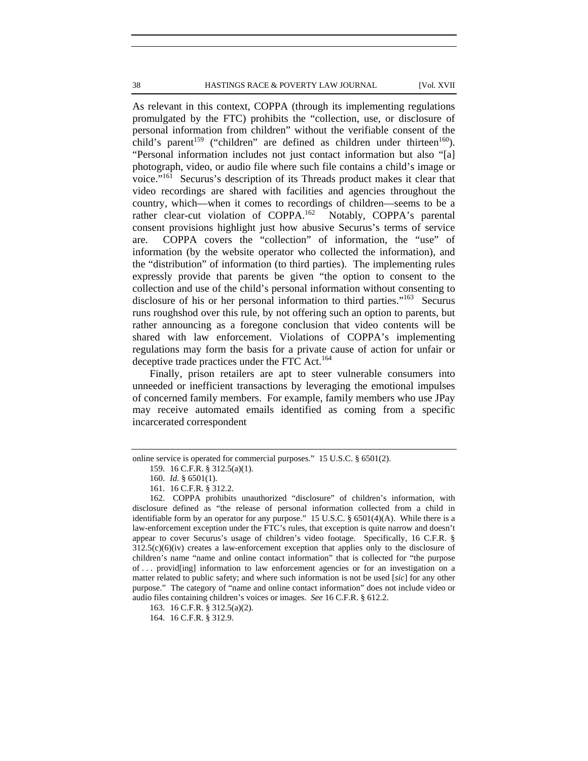#### 38 HASTINGS RACE & POVERTY LAW JOURNAL [Vol. XVII

As relevant in this context, COPPA (through its implementing regulations promulgated by the FTC) prohibits the "collection, use, or disclosure of personal information from children" without the verifiable consent of the child's parent<sup>159</sup> ("children" are defined as children under thirteen<sup>160</sup>). "Personal information includes not just contact information but also "[a] photograph, video, or audio file where such file contains a child's image or voice."161 Securus's description of its Threads product makes it clear that video recordings are shared with facilities and agencies throughout the country, which—when it comes to recordings of children—seems to be a rather clear-cut violation of COPPA.<sup>162</sup> Notably, COPPA's parental consent provisions highlight just how abusive Securus's terms of service are. COPPA covers the "collection" of information, the "use" of information (by the website operator who collected the information), and the "distribution" of information (to third parties). The implementing rules expressly provide that parents be given "the option to consent to the collection and use of the child's personal information without consenting to disclosure of his or her personal information to third parties."<sup>163</sup> Securus runs roughshod over this rule, by not offering such an option to parents, but rather announcing as a foregone conclusion that video contents will be shared with law enforcement. Violations of COPPA's implementing regulations may form the basis for a private cause of action for unfair or deceptive trade practices under the FTC Act.<sup>164</sup>

Finally, prison retailers are apt to steer vulnerable consumers into unneeded or inefficient transactions by leveraging the emotional impulses of concerned family members. For example, family members who use JPay may receive automated emails identified as coming from a specific incarcerated correspondent

online service is operated for commercial purposes." 15 U.S.C. § 6501(2).

<sup>159. 16</sup> C.F.R. § 312.5(a)(1).

<sup>160.</sup> *Id.* § 6501(1).

<sup>161. 16</sup> C.F.R. § 312.2.

<sup>162.</sup> COPPA prohibits unauthorized "disclosure" of children's information, with disclosure defined as "the release of personal information collected from a child in identifiable form by an operator for any purpose." 15 U.S.C. § 6501(4)(A). While there is a law-enforcement exception under the FTC's rules, that exception is quite narrow and doesn't appear to cover Securus's usage of children's video footage. Specifically, 16 C.F.R. §  $312.5(c)(6)(iv)$  creates a law-enforcement exception that applies only to the disclosure of children's name "name and online contact information" that is collected for "the purpose of . . . provid[ing] information to law enforcement agencies or for an investigation on a matter related to public safety; and where such information is not be used [*sic*] for any other purpose." The category of "name and online contact information" does not include video or audio files containing children's voices or images. *See* 16 C.F.R. § 612.2.

<sup>163. 16</sup> C.F.R. § 312.5(a)(2).

<sup>164. 16</sup> C.F.R. § 312.9.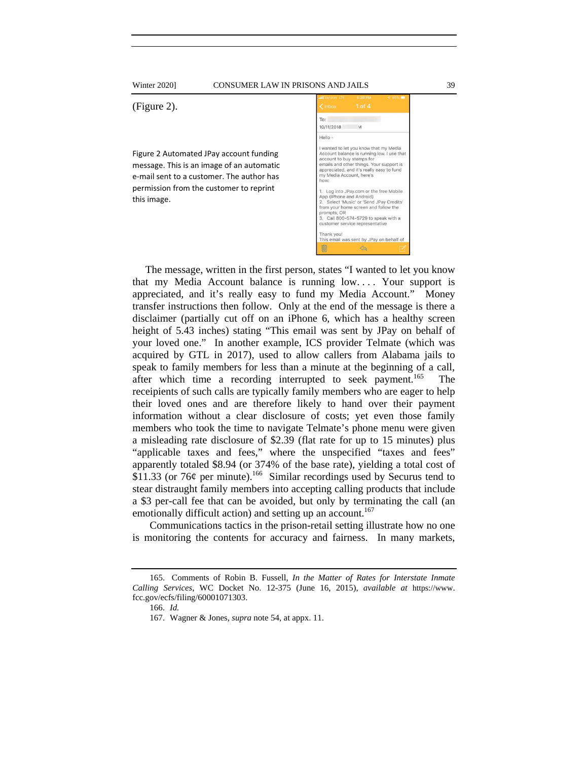Winter 2020] CONSUMER LAW IN PRISONS AND JAILS 39

(Figure 2).

Figure 2 Automated JPay account funding message. This is an image of an automatic e‐mail sent to a customer. The author has permission from the customer to reprint this image.

| < Inbox                                                                                                                                                                                                                                           | $1$ of $4$ |  |
|---------------------------------------------------------------------------------------------------------------------------------------------------------------------------------------------------------------------------------------------------|------------|--|
| To:                                                                                                                                                                                                                                               |            |  |
| 10/11/2018                                                                                                                                                                                                                                        | M          |  |
| Hello -                                                                                                                                                                                                                                           |            |  |
| I wanted to let you know that my Media<br>Account balance is running low. I use that<br>account to buy stamps for<br>emails and other things. Your support is<br>appreciated, and it's really easy to fund<br>my Media Account, here's<br>how:    |            |  |
| 1. Log into JPay.com or the free Mobile<br>App (IPhone and Android)<br>2. Select 'Music' or 'Send JPay Credits'<br>from your home screen and follow the<br>prompts, OR<br>3. Call 800-574-5729 to speak with a<br>customer service representative |            |  |
| Thank you!<br>This email was sent by JPay on behalf of                                                                                                                                                                                            |            |  |
|                                                                                                                                                                                                                                                   |            |  |

The message, written in the first person, states "I wanted to let you know that my Media Account balance is running low. . . . Your support is appreciated, and it's really easy to fund my Media Account." Money transfer instructions then follow. Only at the end of the message is there a disclaimer (partially cut off on an iPhone 6, which has a healthy screen height of 5.43 inches) stating "This email was sent by JPay on behalf of your loved one." In another example, ICS provider Telmate (which was acquired by GTL in 2017), used to allow callers from Alabama jails to speak to family members for less than a minute at the beginning of a call, after which time a recording interrupted to seek payment.<sup>165</sup> The receipients of such calls are typically family members who are eager to help their loved ones and are therefore likely to hand over their payment information without a clear disclosure of costs; yet even those family members who took the time to navigate Telmate's phone menu were given a misleading rate disclosure of \$2.39 (flat rate for up to 15 minutes) plus "applicable taxes and fees," where the unspecified "taxes and fees" apparently totaled \$8.94 (or 374% of the base rate), yielding a total cost of  $$11.33$  (or 76¢ per minute).<sup>166</sup> Similar recordings used by Securus tend to stear distraught family members into accepting calling products that include a \$3 per-call fee that can be avoided, but only by terminating the call (an emotionally difficult action) and setting up an account.<sup>167</sup>

Communications tactics in the prison-retail setting illustrate how no one is monitoring the contents for accuracy and fairness. In many markets,

<sup>165.</sup> Comments of Robin B. Fussell, *In the Matter of Rates for Interstate Inmate Calling Services*, WC Docket No. 12-375 (June 16, 2015), *available at* https://www. fcc.gov/ecfs/filing/60001071303.

<sup>166.</sup> *Id.* 

<sup>167.</sup> Wagner & Jones, *supra* note 54, at appx. 11.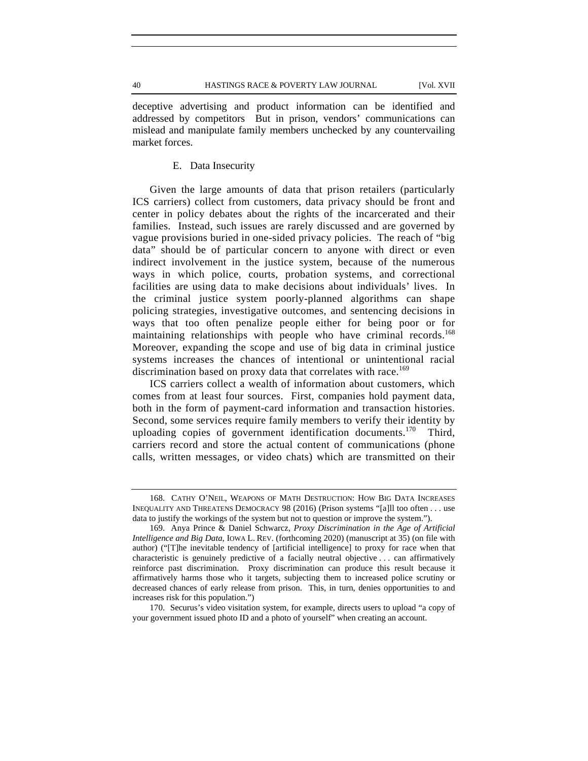deceptive advertising and product information can be identified and addressed by competitors But in prison, vendors' communications can mislead and manipulate family members unchecked by any countervailing market forces.

# E. Data Insecurity

Given the large amounts of data that prison retailers (particularly ICS carriers) collect from customers, data privacy should be front and center in policy debates about the rights of the incarcerated and their families. Instead, such issues are rarely discussed and are governed by vague provisions buried in one-sided privacy policies. The reach of "big data" should be of particular concern to anyone with direct or even indirect involvement in the justice system, because of the numerous ways in which police, courts, probation systems, and correctional facilities are using data to make decisions about individuals' lives. In the criminal justice system poorly-planned algorithms can shape policing strategies, investigative outcomes, and sentencing decisions in ways that too often penalize people either for being poor or for maintaining relationships with people who have criminal records.<sup>168</sup> Moreover, expanding the scope and use of big data in criminal justice systems increases the chances of intentional or unintentional racial discrimination based on proxy data that correlates with race.<sup>169</sup>

ICS carriers collect a wealth of information about customers, which comes from at least four sources. First, companies hold payment data, both in the form of payment-card information and transaction histories. Second, some services require family members to verify their identity by uploading copies of government identification documents.<sup>170</sup> Third, carriers record and store the actual content of communications (phone calls, written messages, or video chats) which are transmitted on their

<sup>168.</sup> CATHY O'NEIL, WEAPONS OF MATH DESTRUCTION: HOW BIG DATA INCREASES INEQUALITY AND THREATENS DEMOCRACY 98 (2016) (Prison systems "[a]ll too often . . . use data to justify the workings of the system but not to question or improve the system.").

<sup>169.</sup> Anya Prince & Daniel Schwarcz, *Proxy Discrimination in the Age of Artificial Intelligence and Big Data*, IOWA L. REV. (forthcoming 2020) (manuscript at 35) (on file with author) ("[T]he inevitable tendency of [artificial intelligence] to proxy for race when that characteristic is genuinely predictive of a facially neutral objective . . . can affirmatively reinforce past discrimination. Proxy discrimination can produce this result because it affirmatively harms those who it targets, subjecting them to increased police scrutiny or decreased chances of early release from prison. This, in turn, denies opportunities to and increases risk for this population.")

<sup>170.</sup> Securus's video visitation system, for example, directs users to upload "a copy of your government issued photo ID and a photo of yourself" when creating an account.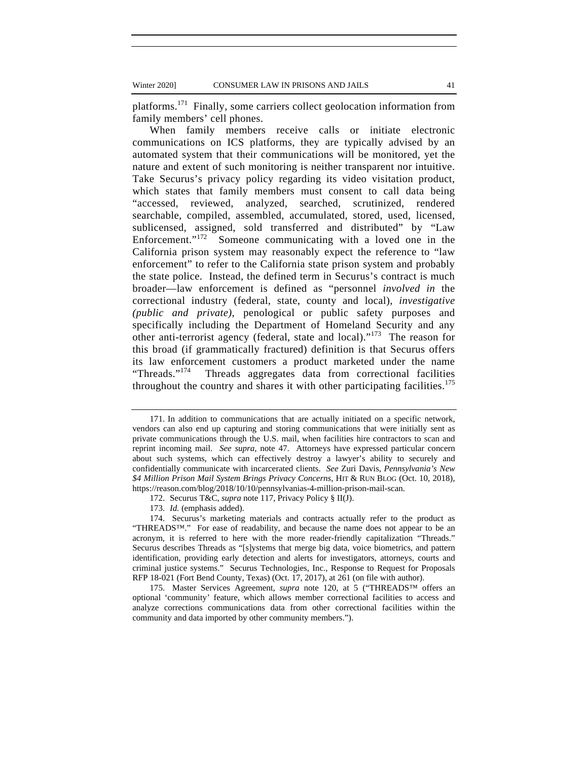platforms.171 Finally, some carriers collect geolocation information from family members' cell phones.

When family members receive calls or initiate electronic communications on ICS platforms, they are typically advised by an automated system that their communications will be monitored, yet the nature and extent of such monitoring is neither transparent nor intuitive. Take Securus's privacy policy regarding its video visitation product, which states that family members must consent to call data being "accessed, reviewed, analyzed, searched, scrutinized, rendered searchable, compiled, assembled, accumulated, stored, used, licensed, sublicensed, assigned, sold transferred and distributed" by "Law Enforcement."<sup>172</sup> Someone communicating with a loved one in the California prison system may reasonably expect the reference to "law enforcement" to refer to the California state prison system and probably the state police. Instead, the defined term in Securus's contract is much broader—law enforcement is defined as "personnel *involved in* the correctional industry (federal, state, county and local), *investigative (public and private)*, penological or public safety purposes and specifically including the Department of Homeland Security and any other anti-terrorist agency (federal, state and local)."173 The reason for this broad (if grammatically fractured) definition is that Securus offers its law enforcement customers a product marketed under the name "Threads."174 Threads aggregates data from correctional facilities throughout the country and shares it with other participating facilities.<sup>175</sup>

<sup>171.</sup> In addition to communications that are actually initiated on a specific network, vendors can also end up capturing and storing communications that were initially sent as private communications through the U.S. mail, when facilities hire contractors to scan and reprint incoming mail. *See supra*, note 47. Attorneys have expressed particular concern about such systems, which can effectively destroy a lawyer's ability to securely and confidentially communicate with incarcerated clients. *See* Zuri Davis, *Pennsylvania's New \$4 Million Prison Mail System Brings Privacy Concerns*, HIT & RUN BLOG (Oct. 10, 2018), https://reason.com/blog/2018/10/10/pennsylvanias-4-million-prison-mail-scan.

<sup>172.</sup> Securus T&C, *supra* note 117, Privacy Policy § II(J).

<sup>173.</sup> *Id.* (emphasis added).

<sup>174.</sup> Securus's marketing materials and contracts actually refer to the product as "THREADS™." For ease of readability, and because the name does not appear to be an acronym, it is referred to here with the more reader-friendly capitalization "Threads." Securus describes Threads as "[s]ystems that merge big data, voice biometrics, and pattern identification, providing early detection and alerts for investigators, attorneys, courts and criminal justice systems." Securus Technologies, Inc., Response to Request for Proposals RFP 18-021 (Fort Bend County, Texas) (Oct. 17, 2017), at 261 (on file with author).

<sup>175.</sup> Master Services Agreement, *supra* note 120, at 5 ("THREADS™ offers an optional 'community' feature, which allows member correctional facilities to access and analyze corrections communications data from other correctional facilities within the community and data imported by other community members.").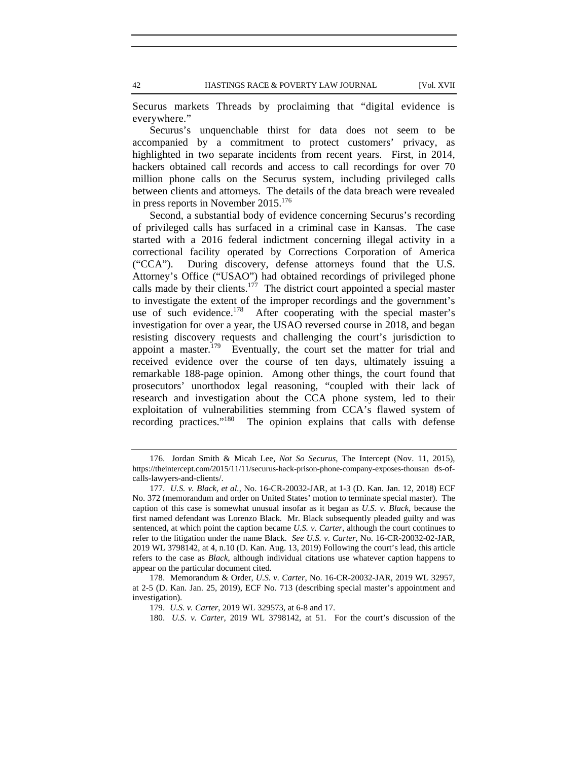42 HASTINGS RACE & POVERTY LAW JOURNAL [Vol. XVII

Securus markets Threads by proclaiming that "digital evidence is everywhere."

Securus's unquenchable thirst for data does not seem to be accompanied by a commitment to protect customers' privacy, as highlighted in two separate incidents from recent years. First, in 2014, hackers obtained call records and access to call recordings for over 70 million phone calls on the Securus system, including privileged calls between clients and attorneys. The details of the data breach were revealed in press reports in November 2015.<sup>176</sup>

Second, a substantial body of evidence concerning Securus's recording of privileged calls has surfaced in a criminal case in Kansas. The case started with a 2016 federal indictment concerning illegal activity in a correctional facility operated by Corrections Corporation of America ("CCA"). During discovery, defense attorneys found that the U.S. Attorney's Office ("USAO") had obtained recordings of privileged phone calls made by their clients.<sup>177</sup> The district court appointed a special master to investigate the extent of the improper recordings and the government's use of such evidence.<sup>178</sup> After cooperating with the special master's investigation for over a year, the USAO reversed course in 2018, and began resisting discovery requests and challenging the court's jurisdiction to appoint a master.<sup>179</sup> Eventually, the court set the matter for trial and received evidence over the course of ten days, ultimately issuing a remarkable 188-page opinion. Among other things, the court found that prosecutors' unorthodox legal reasoning, "coupled with their lack of research and investigation about the CCA phone system, led to their exploitation of vulnerabilities stemming from CCA's flawed system of recording practices."<sup>180</sup> The opinion explains that calls with defense

<sup>176.</sup> Jordan Smith & Micah Lee, *Not So Securus*, The Intercept (Nov. 11, 2015), https://theintercept.com/2015/11/11/securus-hack-prison-phone-company-exposes-thousan ds-ofcalls-lawyers-and-clients/.

<sup>177.</sup> *U.S. v. Black, et al.*, No. 16-CR-20032-JAR, at 1-3 (D. Kan. Jan. 12, 2018) ECF No. 372 (memorandum and order on United States' motion to terminate special master). The caption of this case is somewhat unusual insofar as it began as *U.S. v. Black*, because the first named defendant was Lorenzo Black. Mr. Black subsequently pleaded guilty and was sentenced, at which point the caption became *U.S. v. Carter*, although the court continues to refer to the litigation under the name Black. *See U.S. v. Carter*, No. 16-CR-20032-02-JAR, 2019 WL 3798142, at 4, n.10 (D. Kan. Aug. 13, 2019) Following the court's lead, this article refers to the case as *Black*, although individual citations use whatever caption happens to appear on the particular document cited.

<sup>178.</sup> Memorandum & Order, *U.S. v. Carter*, No. 16-CR-20032-JAR, 2019 WL 32957, at 2-5 (D. Kan. Jan. 25, 2019), ECF No. 713 (describing special master's appointment and investigation).

<sup>179.</sup> *U.S. v. Carter*, 2019 WL 329573, at 6-8 and 17.

<sup>180.</sup> *U.S. v. Carter*, 2019 WL 3798142, at 51. For the court's discussion of the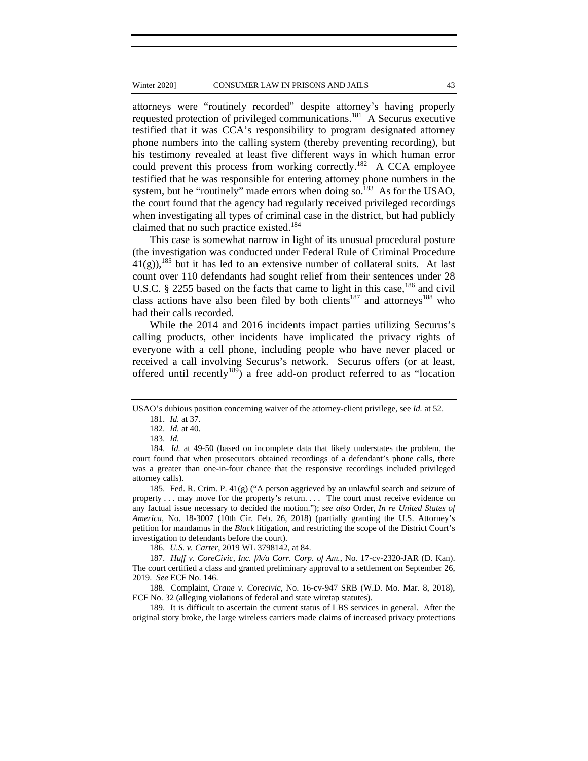attorneys were "routinely recorded" despite attorney's having properly requested protection of privileged communications.181 A Securus executive testified that it was CCA's responsibility to program designated attorney phone numbers into the calling system (thereby preventing recording), but his testimony revealed at least five different ways in which human error could prevent this process from working correctly.<sup>182</sup> A CCA employee testified that he was responsible for entering attorney phone numbers in the system, but he "routinely" made errors when doing so. $^{183}$  As for the USAO, the court found that the agency had regularly received privileged recordings when investigating all types of criminal case in the district, but had publicly claimed that no such practice existed.<sup>184</sup>

This case is somewhat narrow in light of its unusual procedural posture (the investigation was conducted under Federal Rule of Criminal Procedure  $41(g)$ ,<sup>185</sup> but it has led to an extensive number of collateral suits. At last count over 110 defendants had sought relief from their sentences under 28 U.S.C. § 2255 based on the facts that came to light in this case,  $186$  and civil class actions have also been filed by both clients<sup>187</sup> and attorneys<sup>188</sup> who had their calls recorded.

While the 2014 and 2016 incidents impact parties utilizing Securus's calling products, other incidents have implicated the privacy rights of everyone with a cell phone, including people who have never placed or received a call involving Securus's network. Securus offers (or at least, offered until recently<sup>189</sup>) a free add-on product referred to as "location

185. Fed. R. Crim. P. 41(g) ("A person aggrieved by an unlawful search and seizure of property . . . may move for the property's return. . . . The court must receive evidence on any factual issue necessary to decided the motion."); *see also* Order, *In re United States of America*, No. 18-3007 (10th Cir. Feb. 26, 2018) (partially granting the U.S. Attorney's petition for mandamus in the *Black* litigation, and restricting the scope of the District Court's investigation to defendants before the court).

186. *U.S. v. Carter*, 2019 WL 3798142, at 84.

187. *Huff v. CoreCivic, Inc. f/k/a Corr. Corp. of Am.*, No. 17-cv-2320-JAR (D. Kan). The court certified a class and granted preliminary approval to a settlement on September 26, 2019. *See* ECF No. 146.

188. Complaint, *Crane v. Corecivic*, No. 16-cv-947 SRB (W.D. Mo. Mar. 8, 2018), ECF No. 32 (alleging violations of federal and state wiretap statutes).

189. It is difficult to ascertain the current status of LBS services in general. After the original story broke, the large wireless carriers made claims of increased privacy protections

USAO's dubious position concerning waiver of the attorney-client privilege, see *Id.* at 52.

<sup>181.</sup> *Id.* at 37.

<sup>182.</sup> *Id.* at 40.

<sup>183.</sup> *Id.*

<sup>184.</sup> *Id.* at 49-50 (based on incomplete data that likely understates the problem, the court found that when prosecutors obtained recordings of a defendant's phone calls, there was a greater than one-in-four chance that the responsive recordings included privileged attorney calls).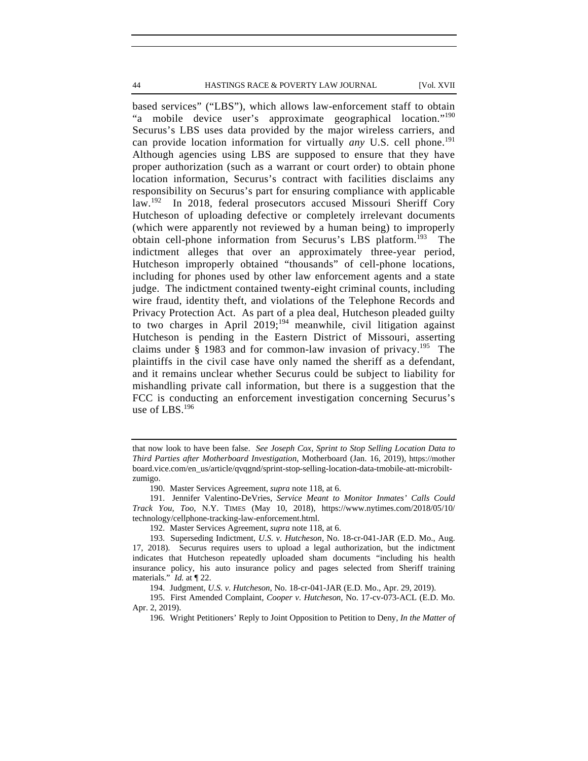44 HASTINGS RACE & POVERTY LAW JOURNAL [Vol. XVII

based services" ("LBS"), which allows law-enforcement staff to obtain "a mobile device user's approximate geographical location."<sup>190</sup> Securus's LBS uses data provided by the major wireless carriers, and can provide location information for virtually *any* U.S. cell phone.<sup>191</sup> Although agencies using LBS are supposed to ensure that they have proper authorization (such as a warrant or court order) to obtain phone location information, Securus's contract with facilities disclaims any responsibility on Securus's part for ensuring compliance with applicable law.<sup>192</sup> In 2018, federal prosecutors accused Missouri Sheriff Cory Hutcheson of uploading defective or completely irrelevant documents (which were apparently not reviewed by a human being) to improperly obtain cell-phone information from Securus's LBS platform.<sup>193</sup> The indictment alleges that over an approximately three-year period, Hutcheson improperly obtained "thousands" of cell-phone locations, including for phones used by other law enforcement agents and a state judge. The indictment contained twenty-eight criminal counts, including wire fraud, identity theft, and violations of the Telephone Records and Privacy Protection Act. As part of a plea deal, Hutcheson pleaded guilty to two charges in April  $2019$ ;<sup>194</sup> meanwhile, civil litigation against Hutcheson is pending in the Eastern District of Missouri, asserting claims under  $\S$  1983 and for common-law invasion of privacy.<sup>195</sup> The plaintiffs in the civil case have only named the sheriff as a defendant, and it remains unclear whether Securus could be subject to liability for mishandling private call information, but there is a suggestion that the FCC is conducting an enforcement investigation concerning Securus's use of LBS.<sup>196</sup>

that now look to have been false. *See Joseph Cox*, *Sprint to Stop Selling Location Data to Third Parties after Motherboard Investigation*, Motherboard (Jan. 16, 2019), https://mother board.vice.com/en\_us/article/qvqgnd/sprint-stop-selling-location-data-tmobile-att-microbiltzumigo.

<sup>190.</sup> Master Services Agreement, *supra* note 118, at 6.

<sup>191.</sup> Jennifer Valentino-DeVries, *Service Meant to Monitor Inmates' Calls Could Track You, Too*, N.Y. TIMES (May 10, 2018), https://www.nytimes.com/2018/05/10/ technology/cellphone-tracking-law-enforcement.html.

<sup>192.</sup> Master Services Agreement, *supra* note 118, at 6.

<sup>193.</sup> Superseding Indictment, *U.S. v. Hutcheson*, No. 18-cr-041-JAR (E.D. Mo., Aug. 17, 2018). Securus requires users to upload a legal authorization, but the indictment indicates that Hutcheson repeatedly uploaded sham documents "including his health insurance policy, his auto insurance policy and pages selected from Sheriff training materials." *Id.* at ¶ 22.

<sup>194.</sup> Judgment, *U.S. v. Hutcheson*, No. 18-cr-041-JAR (E.D. Mo., Apr. 29, 2019).

<sup>195.</sup> First Amended Complaint, *Cooper v. Hutcheson*, No. 17-cv-073-ACL (E.D. Mo. Apr. 2, 2019).

<sup>196.</sup> Wright Petitioners' Reply to Joint Opposition to Petition to Deny, *In the Matter of*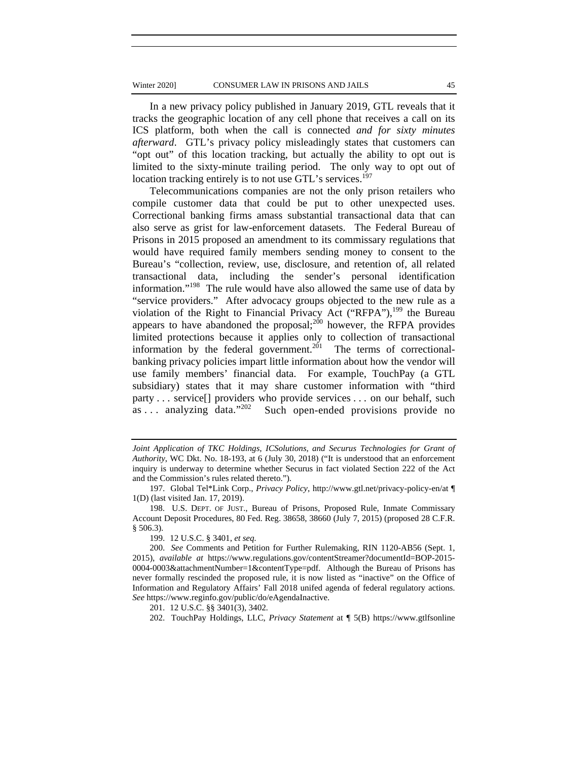#### Winter 2020] CONSUMER LAW IN PRISONS AND JAILS 45

In a new privacy policy published in January 2019, GTL reveals that it tracks the geographic location of any cell phone that receives a call on its ICS platform, both when the call is connected *and for sixty minutes afterward*. GTL's privacy policy misleadingly states that customers can "opt out" of this location tracking, but actually the ability to opt out is limited to the sixty-minute trailing period. The only way to opt out of location tracking entirely is to not use GTL's services.<sup>197</sup>

Telecommunications companies are not the only prison retailers who compile customer data that could be put to other unexpected uses. Correctional banking firms amass substantial transactional data that can also serve as grist for law-enforcement datasets. The Federal Bureau of Prisons in 2015 proposed an amendment to its commissary regulations that would have required family members sending money to consent to the Bureau's "collection, review, use, disclosure, and retention of, all related transactional data, including the sender's personal identification information."198 The rule would have also allowed the same use of data by "service providers." After advocacy groups objected to the new rule as a violation of the Right to Financial Privacy Act ("RFPA"), $^{199}$  the Bureau appears to have abandoned the proposal;<sup>200</sup> however, the RFPA provides limited protections because it applies only to collection of transactional information by the federal government.<sup>201</sup> The terms of correctionalbanking privacy policies impart little information about how the vendor will use family members' financial data. For example, TouchPay (a GTL subsidiary) states that it may share customer information with "third party . . . service[] providers who provide services . . . on our behalf, such as . . . analyzing data."202 Such open-ended provisions provide no

*Joint Application of TKC Holdings, ICSolutions, and Securus Technologies for Grant of Authority*, WC Dkt. No. 18-193, at 6 (July 30, 2018) ("It is understood that an enforcement inquiry is underway to determine whether Securus in fact violated Section 222 of the Act and the Commission's rules related thereto.").

<sup>197.</sup> Global Tel\*Link Corp., *Privacy Policy*, http://www.gtl.net/privacy-policy-en/at ¶ 1(D) (last visited Jan. 17, 2019).

<sup>198.</sup> U.S. DEPT. OF JUST., Bureau of Prisons, Proposed Rule, Inmate Commissary Account Deposit Procedures, 80 Fed. Reg. 38658, 38660 (July 7, 2015) (proposed 28 C.F.R. § 506.3).

<sup>199. 12</sup> U.S.C. § 3401, *et seq*.

<sup>200.</sup> *See* Comments and Petition for Further Rulemaking, RIN 1120-AB56 (Sept. 1, 2015), *available at* https://www.regulations.gov/contentStreamer?documentId=BOP-2015- 0004-0003&attachmentNumber=1&contentType=pdf. Although the Bureau of Prisons has never formally rescinded the proposed rule, it is now listed as "inactive" on the Office of Information and Regulatory Affairs' Fall 2018 unifed agenda of federal regulatory actions. *See* https://www.reginfo.gov/public/do/eAgendaInactive.

<sup>201. 12</sup> U.S.C. §§ 3401(3), 3402.

<sup>202.</sup> TouchPay Holdings, LLC, *Privacy Statement* at ¶ 5(B) https://www.gtlfsonline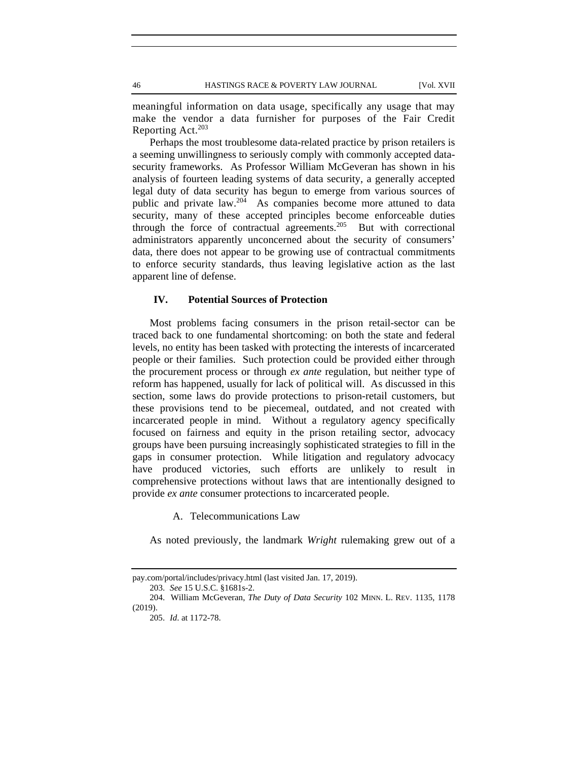meaningful information on data usage, specifically any usage that may make the vendor a data furnisher for purposes of the Fair Credit Reporting Act. $203$ 

Perhaps the most troublesome data-related practice by prison retailers is a seeming unwillingness to seriously comply with commonly accepted datasecurity frameworks. As Professor William McGeveran has shown in his analysis of fourteen leading systems of data security, a generally accepted legal duty of data security has begun to emerge from various sources of public and private law.204 As companies become more attuned to data security, many of these accepted principles become enforceable duties through the force of contractual agreements.205 But with correctional administrators apparently unconcerned about the security of consumers' data, there does not appear to be growing use of contractual commitments to enforce security standards, thus leaving legislative action as the last apparent line of defense.

# **IV. Potential Sources of Protection**

Most problems facing consumers in the prison retail-sector can be traced back to one fundamental shortcoming: on both the state and federal levels, no entity has been tasked with protecting the interests of incarcerated people or their families. Such protection could be provided either through the procurement process or through *ex ante* regulation, but neither type of reform has happened, usually for lack of political will. As discussed in this section, some laws do provide protections to prison-retail customers, but these provisions tend to be piecemeal, outdated, and not created with incarcerated people in mind. Without a regulatory agency specifically focused on fairness and equity in the prison retailing sector, advocacy groups have been pursuing increasingly sophisticated strategies to fill in the gaps in consumer protection. While litigation and regulatory advocacy have produced victories, such efforts are unlikely to result in comprehensive protections without laws that are intentionally designed to provide *ex ante* consumer protections to incarcerated people.

A. Telecommunications Law

As noted previously, the landmark *Wright* rulemaking grew out of a

pay.com/portal/includes/privacy.html (last visited Jan. 17, 2019).

<sup>203.</sup> *See* 15 U.S.C. §1681s-2.

<sup>204.</sup> William McGeveran, *The Duty of Data Security* 102 MINN. L. REV. 1135, 1178 (2019).

<sup>205.</sup> *Id*. at 1172-78.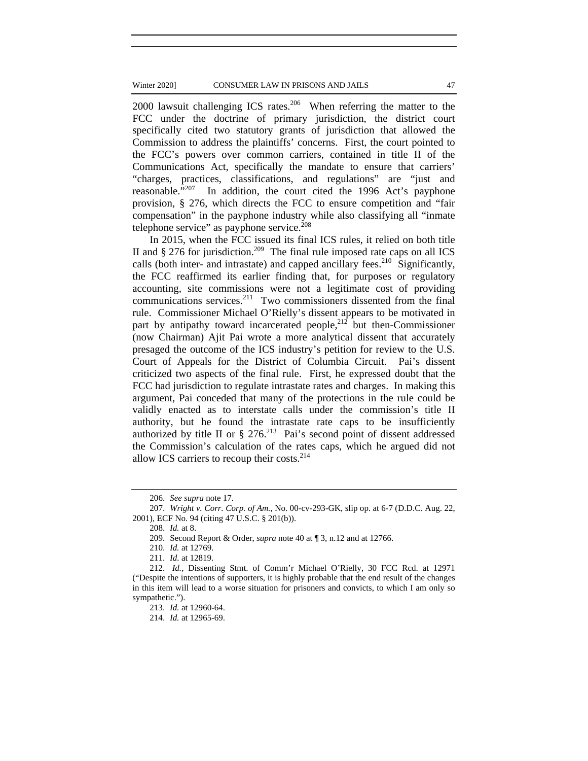#### Winter 2020] CONSUMER LAW IN PRISONS AND JAILS 47

2000 lawsuit challenging ICS rates. $206$  When referring the matter to the FCC under the doctrine of primary jurisdiction, the district court specifically cited two statutory grants of jurisdiction that allowed the Commission to address the plaintiffs' concerns. First, the court pointed to the FCC's powers over common carriers, contained in title II of the Communications Act, specifically the mandate to ensure that carriers' "charges, practices, classifications, and regulations" are "just and reasonable."<sup>207</sup> In addition, the court cited the 1996 Act's payphone provision, § 276, which directs the FCC to ensure competition and "fair compensation" in the payphone industry while also classifying all "inmate telephone service" as payphone service. $208$ 

In 2015, when the FCC issued its final ICS rules, it relied on both title II and  $\S 276$  for jurisdiction.<sup>209</sup> The final rule imposed rate caps on all ICS calls (both inter- and intrastate) and capped ancillary fees.<sup>210</sup> Significantly, the FCC reaffirmed its earlier finding that, for purposes or regulatory accounting, site commissions were not a legitimate cost of providing communications services.<sup>211</sup> Two commissioners dissented from the final rule. Commissioner Michael O'Rielly's dissent appears to be motivated in part by antipathy toward incarcerated people,<sup>212</sup> but then-Commissioner (now Chairman) Ajit Pai wrote a more analytical dissent that accurately presaged the outcome of the ICS industry's petition for review to the U.S. Court of Appeals for the District of Columbia Circuit. Pai's dissent criticized two aspects of the final rule. First, he expressed doubt that the FCC had jurisdiction to regulate intrastate rates and charges. In making this argument, Pai conceded that many of the protections in the rule could be validly enacted as to interstate calls under the commission's title II authority, but he found the intrastate rate caps to be insufficiently authorized by title II or  $\S$  276.<sup>213</sup> Pai's second point of dissent addressed the Commission's calculation of the rates caps, which he argued did not allow ICS carriers to recoup their costs.<sup>214</sup>

<sup>206.</sup> *See supra* note 17.

<sup>207.</sup> *Wright v. Corr. Corp. of Am.*, No. 00-cv-293-GK, slip op. at 6-7 (D.D.C. Aug. 22, 2001), ECF No. 94 (citing 47 U.S.C. § 201(b)).

<sup>208.</sup> *Id.* at 8.

<sup>209.</sup> Second Report & Order, *supra* note 40 at ¶ 3, n.12 and at 12766.

<sup>210.</sup> *Id.* at 12769.

<sup>211.</sup> *Id*. at 12819.

<sup>212.</sup> *Id.*, Dissenting Stmt. of Comm'r Michael O'Rielly, 30 FCC Rcd. at 12971 ("Despite the intentions of supporters, it is highly probable that the end result of the changes in this item will lead to a worse situation for prisoners and convicts, to which I am only so sympathetic.").

<sup>213.</sup> *Id.* at 12960-64.

<sup>214.</sup> *Id.* at 12965-69.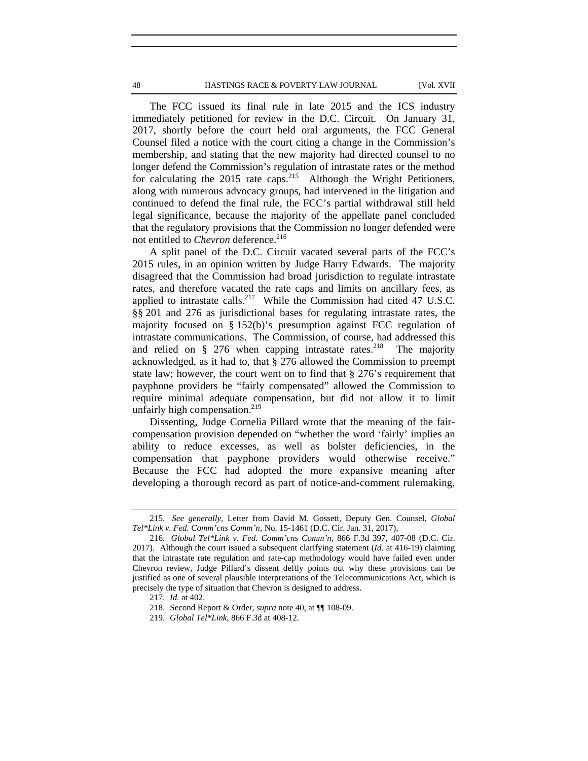The FCC issued its final rule in late 2015 and the ICS industry immediately petitioned for review in the D.C. Circuit. On January 31, 2017, shortly before the court held oral arguments, the FCC General Counsel filed a notice with the court citing a change in the Commission's membership, and stating that the new majority had directed counsel to no longer defend the Commission's regulation of intrastate rates or the method for calculating the  $2015$  rate caps.<sup>215</sup> Although the Wright Petitioners, along with numerous advocacy groups, had intervened in the litigation and continued to defend the final rule, the FCC's partial withdrawal still held legal significance, because the majority of the appellate panel concluded that the regulatory provisions that the Commission no longer defended were not entitled to *Chevron* deference.<sup>216</sup>

A split panel of the D.C. Circuit vacated several parts of the FCC's 2015 rules, in an opinion written by Judge Harry Edwards. The majority disagreed that the Commission had broad jurisdiction to regulate intrastate rates, and therefore vacated the rate caps and limits on ancillary fees, as applied to intrastate calls.<sup>217</sup> While the Commission had cited 47 U.S.C. §§ 201 and 276 as jurisdictional bases for regulating intrastate rates, the majority focused on § 152(b)'s presumption against FCC regulation of intrastate communications. The Commission, of course, had addressed this and relied on § 276 when capping intrastate rates.<sup>218</sup> The majority acknowledged, as it had to, that § 276 allowed the Commission to preempt state law; however, the court went on to find that § 276's requirement that payphone providers be "fairly compensated" allowed the Commission to require minimal adequate compensation, but did not allow it to limit unfairly high compensation. $219$ 

Dissenting, Judge Cornelia Pillard wrote that the meaning of the faircompensation provision depended on "whether the word 'fairly' implies an ability to reduce excesses, as well as bolster deficiencies, in the compensation that payphone providers would otherwise receive." Because the FCC had adopted the more expansive meaning after developing a thorough record as part of notice-and-comment rulemaking,

<sup>215.</sup> *See generally*, Letter from David M. Gossett, Deputy Gen. Counsel, *Global Tel\*Link v. Fed. Comm'cns Comm'n*, No. 15-1461 (D.C. Cir. Jan. 31, 2017),

<sup>216.</sup> *Global Tel\*Link v. Fed. Comm'cns Comm'n,* 866 F.3d 397, 407-08 (D.C. Cir. 2017). Although the court issued a subsequent clarifying statement (*Id*. at 416-19) claiming that the intrastate rate regulation and rate-cap methodology would have failed even under Chevron review, Judge Pillard's dissent deftly points out why these provisions can be justified as one of several plausible interpretations of the Telecommunications Act, which is precisely the type of situation that Chevron is designed to address.

<sup>217.</sup> *Id.* at 402.

<sup>218.</sup> Second Report & Order, *supra* note 40, at ¶¶ 108-09.

<sup>219.</sup> *Global Tel\*Link*, 866 F.3d at 408-12.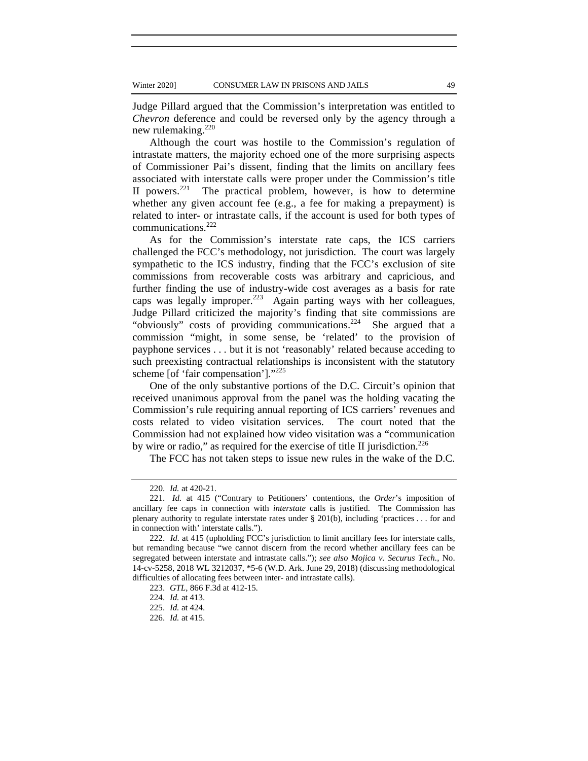Judge Pillard argued that the Commission's interpretation was entitled to *Chevron* deference and could be reversed only by the agency through a new rulemaking.<sup>220</sup>

Although the court was hostile to the Commission's regulation of intrastate matters, the majority echoed one of the more surprising aspects of Commissioner Pai's dissent, finding that the limits on ancillary fees associated with interstate calls were proper under the Commission's title II powers.<sup>221</sup> The practical problem, however, is how to determine whether any given account fee (e.g., a fee for making a prepayment) is related to inter- or intrastate calls, if the account is used for both types of communications.<sup>222</sup>

As for the Commission's interstate rate caps, the ICS carriers challenged the FCC's methodology, not jurisdiction. The court was largely sympathetic to the ICS industry, finding that the FCC's exclusion of site commissions from recoverable costs was arbitrary and capricious, and further finding the use of industry-wide cost averages as a basis for rate caps was legally improper.<sup>223</sup> Again parting ways with her colleagues, Judge Pillard criticized the majority's finding that site commissions are "obviously" costs of providing communications.<sup>224</sup> She argued that a commission "might, in some sense, be 'related' to the provision of payphone services . . . but it is not 'reasonably' related because acceding to such preexisting contractual relationships is inconsistent with the statutory scheme [of 'fair compensation']."<sup>225</sup>

One of the only substantive portions of the D.C. Circuit's opinion that received unanimous approval from the panel was the holding vacating the Commission's rule requiring annual reporting of ICS carriers' revenues and costs related to video visitation services. The court noted that the Commission had not explained how video visitation was a "communication by wire or radio," as required for the exercise of title II jurisdiction.<sup>226</sup>

The FCC has not taken steps to issue new rules in the wake of the D.C.

<sup>220.</sup> *Id.* at 420-21.

<sup>221.</sup> *Id.* at 415 ("Contrary to Petitioners' contentions, the *Order*'s imposition of ancillary fee caps in connection with *interstate* calls is justified. The Commission has plenary authority to regulate interstate rates under § 201(b), including 'practices . . . for and in connection with' interstate calls.").

<sup>222.</sup> *Id.* at 415 (upholding FCC's jurisdiction to limit ancillary fees for interstate calls, but remanding because "we cannot discern from the record whether ancillary fees can be segregated between interstate and intrastate calls."); *see also Mojica v. Securus Tech.*, No. 14-cv-5258, 2018 WL 3212037, \*5-6 (W.D. Ark. June 29, 2018) (discussing methodological difficulties of allocating fees between inter- and intrastate calls).

<sup>223.</sup> *GTL*, 866 F.3d at 412-15.

<sup>224.</sup> *Id.* at 413.

<sup>225.</sup> *Id.* at 424.

<sup>226.</sup> *Id.* at 415.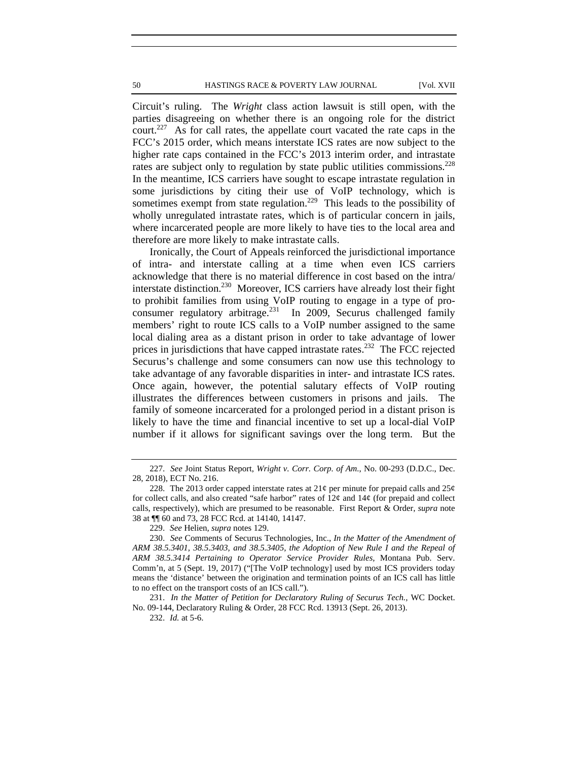Circuit's ruling. The *Wright* class action lawsuit is still open, with the parties disagreeing on whether there is an ongoing role for the district court.227 As for call rates, the appellate court vacated the rate caps in the FCC's 2015 order, which means interstate ICS rates are now subject to the higher rate caps contained in the FCC's 2013 interim order, and intrastate rates are subject only to regulation by state public utilities commissions.<sup>228</sup> In the meantime, ICS carriers have sought to escape intrastate regulation in some jurisdictions by citing their use of VoIP technology, which is sometimes exempt from state regulation.<sup>229</sup> This leads to the possibility of wholly unregulated intrastate rates, which is of particular concern in jails, where incarcerated people are more likely to have ties to the local area and therefore are more likely to make intrastate calls.

Ironically, the Court of Appeals reinforced the jurisdictional importance of intra- and interstate calling at a time when even ICS carriers acknowledge that there is no material difference in cost based on the intra/ interstate distinction.<sup>230</sup> Moreover, ICS carriers have already lost their fight to prohibit families from using VoIP routing to engage in a type of proconsumer regulatory arbitrage.<sup>231</sup> In 2009, Securus challenged family members' right to route ICS calls to a VoIP number assigned to the same local dialing area as a distant prison in order to take advantage of lower prices in jurisdictions that have capped intrastate rates.<sup>232</sup> The FCC rejected Securus's challenge and some consumers can now use this technology to take advantage of any favorable disparities in inter- and intrastate ICS rates. Once again, however, the potential salutary effects of VoIP routing illustrates the differences between customers in prisons and jails. The family of someone incarcerated for a prolonged period in a distant prison is likely to have the time and financial incentive to set up a local-dial VoIP number if it allows for significant savings over the long term. But the

231. *In the Matter of Petition for Declaratory Ruling of Securus Tech.,* WC Docket. No. 09-144, Declaratory Ruling & Order, 28 FCC Rcd. 13913 (Sept. 26, 2013).

232. *Id.* at 5-6.

<sup>227.</sup> *See* Joint Status Report, *Wright v. Corr. Corp. of Am.*, No. 00-293 (D.D.C., Dec. 28, 2018), ECT No. 216.

<sup>228.</sup> The 2013 order capped interstate rates at  $21¢$  per minute for prepaid calls and  $25¢$ for collect calls, and also created "safe harbor" rates of  $12\varphi$  and  $14\varphi$  (for prepaid and collect calls, respectively), which are presumed to be reasonable. First Report & Order, *supra* note 38 at ¶¶ 60 and 73, 28 FCC Rcd. at 14140, 14147.

<sup>229.</sup> *See* Helien*, supra* notes 129.

<sup>230.</sup> *See* Comments of Securus Technologies, Inc., *In the Matter of the Amendment of ARM 38.5.3401, 38.5.3403, and 38.5.3405, the Adoption of New Rule I and the Repeal of ARM 38.5.3414 Pertaining to Operator Service Provider Rules,* Montana Pub. Serv. Comm'n, at 5 (Sept. 19, 2017) ("[The VoIP technology] used by most ICS providers today means the 'distance' between the origination and termination points of an ICS call has little to no effect on the transport costs of an ICS call.").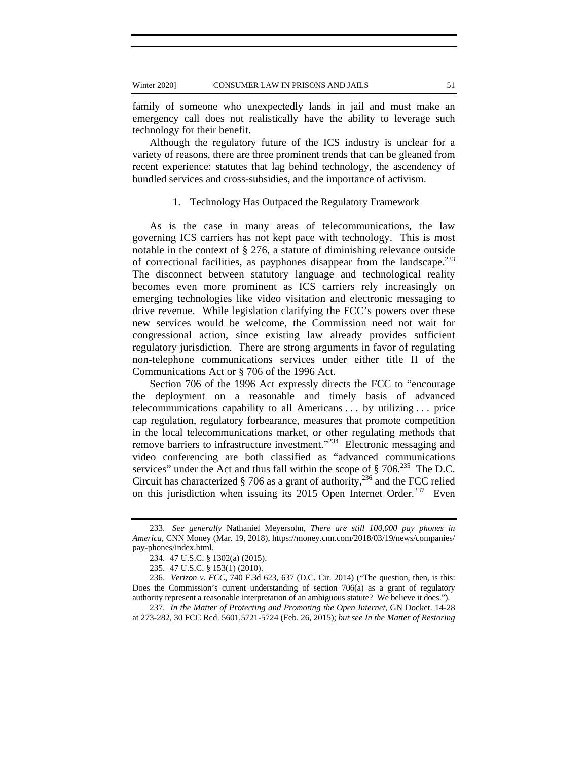family of someone who unexpectedly lands in jail and must make an emergency call does not realistically have the ability to leverage such technology for their benefit.

Although the regulatory future of the ICS industry is unclear for a variety of reasons, there are three prominent trends that can be gleaned from recent experience: statutes that lag behind technology, the ascendency of bundled services and cross-subsidies, and the importance of activism.

### 1. Technology Has Outpaced the Regulatory Framework

As is the case in many areas of telecommunications, the law governing ICS carriers has not kept pace with technology. This is most notable in the context of § 276, a statute of diminishing relevance outside of correctional facilities, as payphones disappear from the landscape.<sup>233</sup> The disconnect between statutory language and technological reality becomes even more prominent as ICS carriers rely increasingly on emerging technologies like video visitation and electronic messaging to drive revenue. While legislation clarifying the FCC's powers over these new services would be welcome, the Commission need not wait for congressional action, since existing law already provides sufficient regulatory jurisdiction. There are strong arguments in favor of regulating non-telephone communications services under either title II of the Communications Act or § 706 of the 1996 Act.

Section 706 of the 1996 Act expressly directs the FCC to "encourage the deployment on a reasonable and timely basis of advanced telecommunications capability to all Americans . . . by utilizing . . . price cap regulation, regulatory forbearance, measures that promote competition in the local telecommunications market, or other regulating methods that remove barriers to infrastructure investment."234 Electronic messaging and video conferencing are both classified as "advanced communications services" under the Act and thus fall within the scope of  $\S 706$ <sup>235</sup> The D.C. Circuit has characterized  $\S$  706 as a grant of authority,<sup>236</sup> and the FCC relied on this jurisdiction when issuing its 2015 Open Internet Order.<sup>237</sup> Even

237. *In the Matter of Protecting and Promoting the Open Internet,* GN Docket. 14-28 at 273-282, 30 FCC Rcd. 5601,5721-5724 (Feb. 26, 2015); *but see In the Matter of Restoring* 

<sup>233.</sup> *See generally* Nathaniel Meyersohn, *There are still 100,000 pay phones in America*, CNN Money (Mar. 19, 2018), https://money.cnn.com/2018/03/19/news/companies/ pay-phones/index.html.

<sup>234. 47</sup> U.S.C. § 1302(a) (2015).

<sup>235. 47</sup> U.S.C. § 153(1) (2010).

<sup>236.</sup> *Verizon v. FCC,* 740 F.3d 623, 637 (D.C. Cir. 2014) ("The question, then, is this: Does the Commission's current understanding of section 706(a) as a grant of regulatory authority represent a reasonable interpretation of an ambiguous statute? We believe it does.").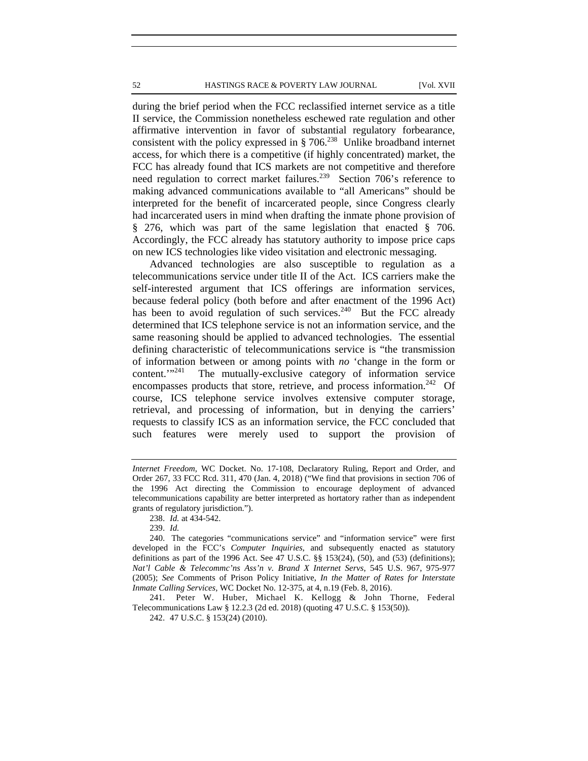during the brief period when the FCC reclassified internet service as a title II service, the Commission nonetheless eschewed rate regulation and other affirmative intervention in favor of substantial regulatory forbearance, consistent with the policy expressed in  $\S 706$ .<sup>238</sup> Unlike broadband internet access, for which there is a competitive (if highly concentrated) market, the FCC has already found that ICS markets are not competitive and therefore need regulation to correct market failures.<sup>239</sup> Section 706's reference to making advanced communications available to "all Americans" should be interpreted for the benefit of incarcerated people, since Congress clearly had incarcerated users in mind when drafting the inmate phone provision of § 276, which was part of the same legislation that enacted § 706. Accordingly, the FCC already has statutory authority to impose price caps on new ICS technologies like video visitation and electronic messaging.

Advanced technologies are also susceptible to regulation as a telecommunications service under title II of the Act. ICS carriers make the self-interested argument that ICS offerings are information services, because federal policy (both before and after enactment of the 1996 Act) has been to avoid regulation of such services.<sup>240</sup> But the FCC already determined that ICS telephone service is not an information service, and the same reasoning should be applied to advanced technologies. The essential defining characteristic of telecommunications service is "the transmission of information between or among points with *no* 'change in the form or content."<sup>241</sup> The mutually-exclusive category of information service encompasses products that store, retrieve, and process information.<sup>242</sup> Of course, ICS telephone service involves extensive computer storage, retrieval, and processing of information, but in denying the carriers' requests to classify ICS as an information service, the FCC concluded that such features were merely used to support the provision of

241. Peter W. Huber, Michael K. Kellogg & John Thorne, Federal Telecommunications Law § 12.2.3 (2d ed. 2018) (quoting 47 U.S.C. § 153(50)).

242. 47 U.S.C. § 153(24) (2010).

*Internet Freedom,* WC Docket. No. 17-108, Declaratory Ruling, Report and Order, and Order 267, 33 FCC Rcd. 311, 470 (Jan. 4, 2018) ("We find that provisions in section 706 of the 1996 Act directing the Commission to encourage deployment of advanced telecommunications capability are better interpreted as hortatory rather than as independent grants of regulatory jurisdiction.").

<sup>238.</sup> *Id.* at 434-542.

<sup>239.</sup> *Id.*

<sup>240.</sup> The categories "communications service" and "information service" were first developed in the FCC's *Computer Inquiries*, and subsequently enacted as statutory definitions as part of the 1996 Act. See 47 U.S.C.  $\S$  153(24), (50), and (53) (definitions); *Nat'l Cable & Telecommc'ns Ass'n v. Brand X Internet Servs*, 545 U.S. 967, 975-977 (2005); *See* Comments of Prison Policy Initiative, *In the Matter of Rates for Interstate Inmate Calling Services,* WC Docket No. 12-375, at 4, n.19 (Feb. 8, 2016).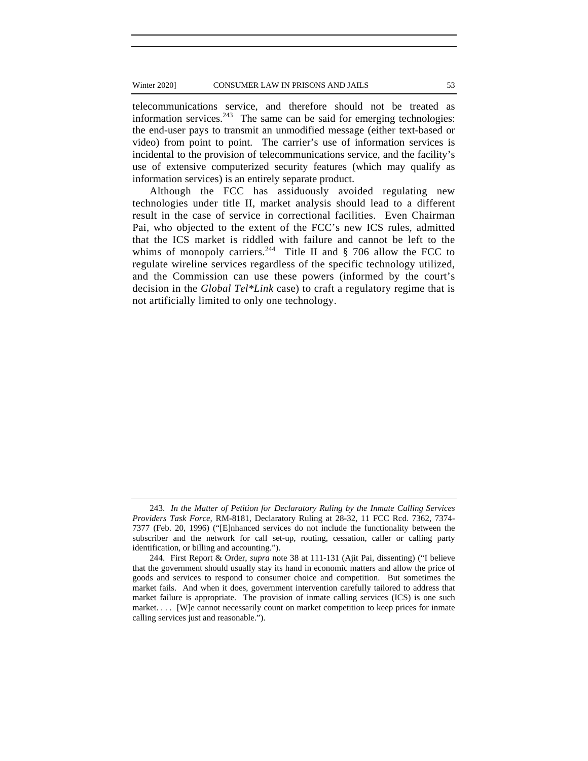#### Winter 2020] CONSUMER LAW IN PRISONS AND JAILS 53

telecommunications service, and therefore should not be treated as information services. $243$  The same can be said for emerging technologies: the end-user pays to transmit an unmodified message (either text-based or video) from point to point. The carrier's use of information services is incidental to the provision of telecommunications service, and the facility's use of extensive computerized security features (which may qualify as information services) is an entirely separate product.

Although the FCC has assiduously avoided regulating new technologies under title II, market analysis should lead to a different result in the case of service in correctional facilities. Even Chairman Pai, who objected to the extent of the FCC's new ICS rules, admitted that the ICS market is riddled with failure and cannot be left to the whims of monopoly carriers.<sup>244</sup> Title II and  $\S$  706 allow the FCC to regulate wireline services regardless of the specific technology utilized, and the Commission can use these powers (informed by the court's decision in the *Global Tel\*Link* case) to craft a regulatory regime that is not artificially limited to only one technology.

<sup>243.</sup> *In the Matter of Petition for Declaratory Ruling by the Inmate Calling Services Providers Task Force,* RM-8181, Declaratory Ruling at 28-32, 11 FCC Rcd. 7362, 7374- 7377 (Feb. 20, 1996) ("[E]nhanced services do not include the functionality between the subscriber and the network for call set-up, routing, cessation, caller or calling party identification, or billing and accounting.").

<sup>244.</sup> First Report & Order, *supra* note 38 at 111-131 (Ajit Pai, dissenting) ("I believe that the government should usually stay its hand in economic matters and allow the price of goods and services to respond to consumer choice and competition. But sometimes the market fails. And when it does, government intervention carefully tailored to address that market failure is appropriate. The provision of inmate calling services (ICS) is one such market. . . . [W]e cannot necessarily count on market competition to keep prices for inmate calling services just and reasonable.").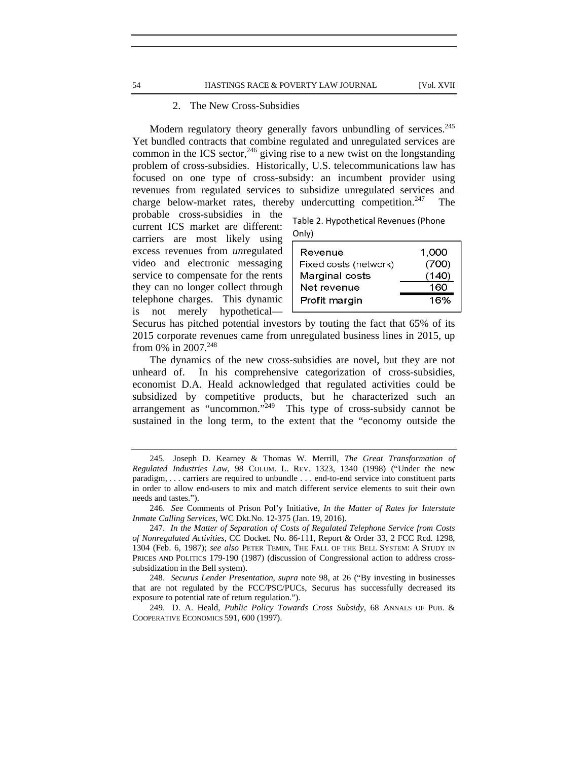### 2. The New Cross-Subsidies

Modern regulatory theory generally favors unbundling of services.<sup>245</sup> Yet bundled contracts that combine regulated and unregulated services are common in the ICS sector,  $246$  giving rise to a new twist on the longstanding problem of cross-subsidies. Historically, U.S. telecommunications law has focused on one type of cross-subsidy: an incumbent provider using revenues from regulated services to subsidize unregulated services and charge below-market rates, thereby undercutting competition.<sup>247</sup> The

probable cross-subsidies in the current ICS market are different: carriers are most likely using excess revenues from *un*regulated video and electronic messaging service to compensate for the rents they can no longer collect through telephone charges. This dynamic is not merely hypothetical—

| Table 2. Hypothetical Revenues (Phone |
|---------------------------------------|
| Only)                                 |

| Revenue               | 1.000 |
|-----------------------|-------|
| Fixed costs (network) | (700) |
| Marginal costs        | (140) |
| Net revenue           | 160   |
| Profit margin         | 16%   |
|                       |       |

Securus has pitched potential investors by touting the fact that 65% of its 2015 corporate revenues came from unregulated business lines in 2015, up from 0% in 2007.<sup>248</sup>

The dynamics of the new cross-subsidies are novel, but they are not unheard of. In his comprehensive categorization of cross-subsidies, economist D.A. Heald acknowledged that regulated activities could be subsidized by competitive products, but he characterized such an arrangement as "uncommon." $^{249}$  This type of cross-subsidy cannot be sustained in the long term, to the extent that the "economy outside the

<sup>245.</sup> Joseph D. Kearney & Thomas W. Merrill, *The Great Transformation of Regulated Industries Law,* 98 COLUM. L. REV. 1323, 1340 (1998) ("Under the new paradigm, . . . carriers are required to unbundle . . . end-to-end service into constituent parts in order to allow end-users to mix and match different service elements to suit their own needs and tastes.").

<sup>246.</sup> *See* Comments of Prison Pol'y Initiative, *In the Matter of Rates for Interstate Inmate Calling Services*, WC Dkt.No. 12-375 (Jan. 19, 2016).

<sup>247.</sup> *In the Matter of Separation of Costs of Regulated Telephone Service from Costs of Nonregulated Activities,* CC Docket. No. 86-111, Report & Order 33, 2 FCC Rcd. 1298, 1304 (Feb. 6, 1987); *see also* PETER TEMIN, THE FALL OF THE BELL SYSTEM: A STUDY IN PRICES AND POLITICS 179-190 (1987) (discussion of Congressional action to address crosssubsidization in the Bell system).

<sup>248.</sup> *Securus Lender Presentation*, *supra* note 98, at 26 ("By investing in businesses that are not regulated by the FCC/PSC/PUCs, Securus has successfully decreased its exposure to potential rate of return regulation.").

<sup>249.</sup> D. A. Heald, *Public Policy Towards Cross Subsidy*, 68 ANNALS OF PUB. & COOPERATIVE ECONOMICS 591, 600 (1997).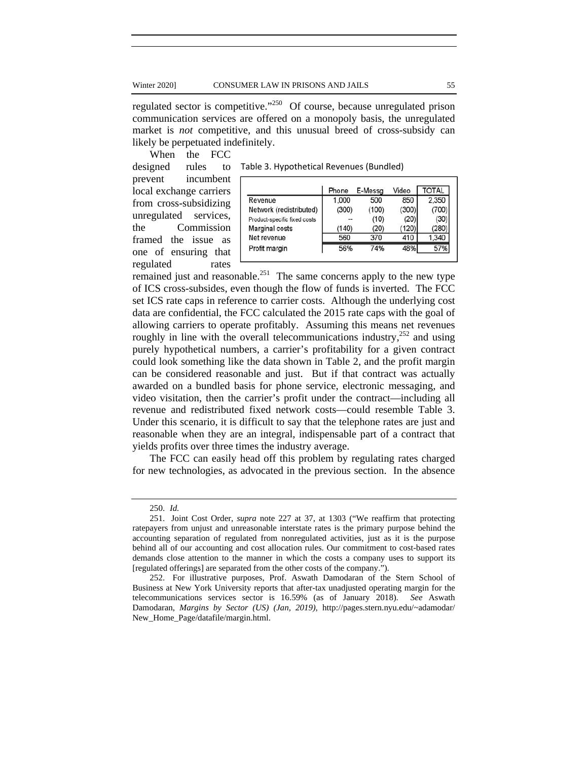regulated sector is competitive."250 Of course, because unregulated prison communication services are offered on a monopoly basis, the unregulated market is *not* competitive, and this unusual breed of cross-subsidy can likely be perpetuated indefinitely.

When the FCC

Table 3. Hypothetical Revenues (Bundled)

designed rules to prevent incumbent local exchange carriers from cross-subsidizing unregulated services, the Commission framed the issue as one of ensuring that regulated rates

|                              | Phone | E-Messa | Video | <b>TOTAL</b> |
|------------------------------|-------|---------|-------|--------------|
| Revenue                      | 1,000 | 500     | 850   | 2,350        |
| Network (redistributed)      | (300) | (100)   | (300) | (700)        |
| Product-specific fixed costs |       | (10)    | (20)  | (30)         |
| Marginal costs               | (140) | (20)    | (120) | (280)        |
| Net revenue                  | 560   | 370     | 410   | 1,340        |
| Profit margin                | 56%   | 74%     | 48%   |              |
|                              |       |         |       |              |

remained just and reasonable.<sup>251</sup> The same concerns apply to the new type of ICS cross-subsides, even though the flow of funds is inverted. The FCC set ICS rate caps in reference to carrier costs. Although the underlying cost data are confidential, the FCC calculated the 2015 rate caps with the goal of allowing carriers to operate profitably. Assuming this means net revenues roughly in line with the overall telecommunications industry, $252$  and using purely hypothetical numbers, a carrier's profitability for a given contract could look something like the data shown in Table 2, and the profit margin can be considered reasonable and just. But if that contract was actually awarded on a bundled basis for phone service, electronic messaging, and video visitation, then the carrier's profit under the contract—including all revenue and redistributed fixed network costs—could resemble Table 3. Under this scenario, it is difficult to say that the telephone rates are just and reasonable when they are an integral, indispensable part of a contract that yields profits over three times the industry average.

The FCC can easily head off this problem by regulating rates charged for new technologies, as advocated in the previous section. In the absence

<sup>250.</sup> *Id.* 

<sup>251.</sup> Joint Cost Order, *supra* note 227 at 37, at 1303 ("We reaffirm that protecting ratepayers from unjust and unreasonable interstate rates is the primary purpose behind the accounting separation of regulated from nonregulated activities, just as it is the purpose behind all of our accounting and cost allocation rules. Our commitment to cost-based rates demands close attention to the manner in which the costs a company uses to support its [regulated offerings] are separated from the other costs of the company.").

<sup>252.</sup> For illustrative purposes, Prof. Aswath Damodaran of the Stern School of Business at New York University reports that after-tax unadjusted operating margin for the telecommunications services sector is 16.59% (as of January 2018). *See* Aswath Damodaran, *Margins by Sector (US) (Jan, 2019),* http://pages.stern.nyu.edu/~adamodar/ New\_Home\_Page/datafile/margin.html.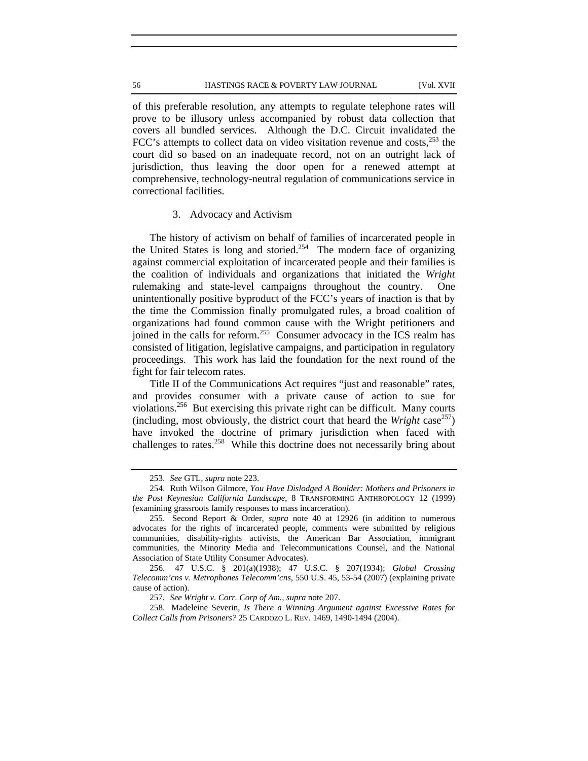of this preferable resolution, any attempts to regulate telephone rates will prove to be illusory unless accompanied by robust data collection that covers all bundled services. Although the D.C. Circuit invalidated the FCC's attempts to collect data on video visitation revenue and costs, $^{253}$  the court did so based on an inadequate record, not on an outright lack of jurisdiction, thus leaving the door open for a renewed attempt at comprehensive, technology-neutral regulation of communications service in correctional facilities.

### 3. Advocacy and Activism

The history of activism on behalf of families of incarcerated people in the United States is long and storied.<sup>254</sup> The modern face of organizing against commercial exploitation of incarcerated people and their families is the coalition of individuals and organizations that initiated the *Wright* rulemaking and state-level campaigns throughout the country. One unintentionally positive byproduct of the FCC's years of inaction is that by the time the Commission finally promulgated rules, a broad coalition of organizations had found common cause with the Wright petitioners and joined in the calls for reform.<sup>255</sup> Consumer advocacy in the ICS realm has consisted of litigation, legislative campaigns, and participation in regulatory proceedings. This work has laid the foundation for the next round of the fight for fair telecom rates.

Title II of the Communications Act requires "just and reasonable" rates, and provides consumer with a private cause of action to sue for violations.256 But exercising this private right can be difficult. Many courts (including, most obviously, the district court that heard the *Wright* case<sup>257</sup>) have invoked the doctrine of primary jurisdiction when faced with challenges to rates.<sup>258</sup> While this doctrine does not necessarily bring about

<sup>253.</sup> *See* GTL*, supra* note 223.

<sup>254.</sup> Ruth Wilson Gilmore, *You Have Dislodged A Boulder: Mothers and Prisoners in the Post Keynesian California Landscape*, 8 TRANSFORMING ANTHROPOLOGY 12 (1999) (examining grassroots family responses to mass incarceration).

<sup>255.</sup> Second Report & Order, *supra* note 40 at 12926 (in addition to numerous advocates for the rights of incarcerated people, comments were submitted by religious communities, disability-rights activists, the American Bar Association, immigrant communities, the Minority Media and Telecommunications Counsel, and the National Association of State Utility Consumer Advocates).

<sup>256. 47</sup> U.S.C. § 201(a)(1938); 47 U.S.C. § 207(1934); *Global Crossing Telecomm'cns v. Metrophones Telecomm'cns*, 550 U.S. 45, 53-54 (2007) (explaining private cause of action).

<sup>257</sup>*. See Wright v. Corr. Corp of Am., supra* note 207.

<sup>258.</sup> Madeleine Severin, *Is There a Winning Argument against Excessive Rates for Collect Calls from Prisoners?* 25 CARDOZO L. REV. 1469, 1490-1494 (2004).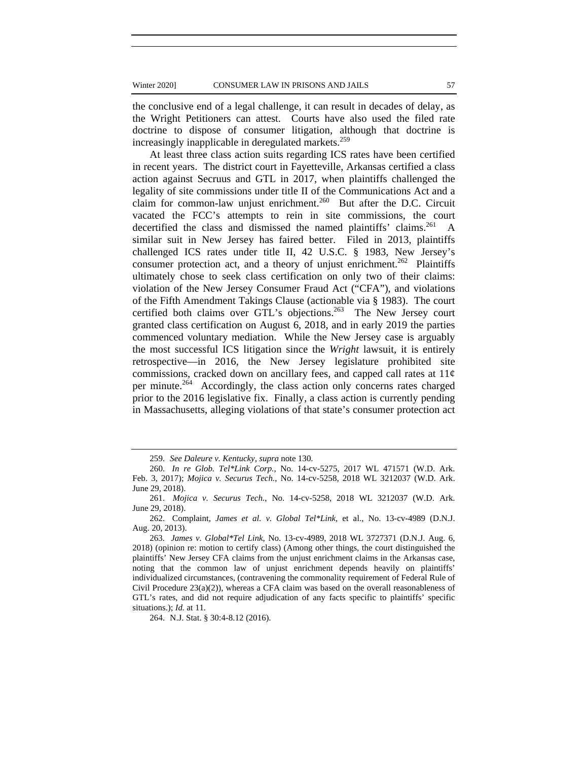the conclusive end of a legal challenge, it can result in decades of delay, as the Wright Petitioners can attest. Courts have also used the filed rate doctrine to dispose of consumer litigation, although that doctrine is increasingly inapplicable in deregulated markets.<sup>259</sup>

At least three class action suits regarding ICS rates have been certified in recent years. The district court in Fayetteville, Arkansas certified a class action against Secruus and GTL in 2017, when plaintiffs challenged the legality of site commissions under title II of the Communications Act and a claim for common-law unjust enrichment.<sup>260</sup> But after the D.C. Circuit vacated the FCC's attempts to rein in site commissions, the court decertified the class and dismissed the named plaintiffs' claims.<sup>261</sup> A similar suit in New Jersey has faired better. Filed in 2013, plaintiffs challenged ICS rates under title II, 42 U.S.C. § 1983, New Jersey's consumer protection act, and a theory of unjust enrichment.<sup>262</sup> Plaintiffs ultimately chose to seek class certification on only two of their claims: violation of the New Jersey Consumer Fraud Act ("CFA"), and violations of the Fifth Amendment Takings Clause (actionable via § 1983). The court certified both claims over GTL's objections.<sup>263</sup> The New Jersey court granted class certification on August 6, 2018, and in early 2019 the parties commenced voluntary mediation. While the New Jersey case is arguably the most successful ICS litigation since the *Wright* lawsuit, it is entirely retrospective—in 2016, the New Jersey legislature prohibited site commissions, cracked down on ancillary fees, and capped call rates at  $11¢$ per minute.264 Accordingly, the class action only concerns rates charged prior to the 2016 legislative fix. Finally, a class action is currently pending in Massachusetts, alleging violations of that state's consumer protection act

264. N.J. Stat. § 30:4-8.12 (2016).

<sup>259.</sup> *See Daleure v. Kentucky, supra* note 130.

<sup>260.</sup> *In re Glob. Tel\*Link Corp.,* No. 14-cv-5275, 2017 WL 471571 (W.D. Ark. Feb. 3, 2017); *Mojica v. Securus Tech.*, No. 14-cv-5258, 2018 WL 3212037 (W.D. Ark. June 29, 2018).

<sup>261.</sup> *Mojica v. Securus Tech.*, No. 14-cv-5258, 2018 WL 3212037 (W.D. Ark. June 29, 2018).

<sup>262.</sup> Complaint, *James et al. v. Global Tel\*Link*, et al., No. 13-cv-4989 (D.N.J. Aug. 20, 2013).

<sup>263</sup>*. James v. Global\*Tel Link,* No. 13-cv-4989, 2018 WL 3727371 (D.N.J. Aug. 6, 2018) (opinion re: motion to certify class) (Among other things, the court distinguished the plaintiffs' New Jersey CFA claims from the unjust enrichment claims in the Arkansas case, noting that the common law of unjust enrichment depends heavily on plaintiffs' individualized circumstances, (contravening the commonality requirement of Federal Rule of Civil Procedure  $23(a)(2)$ ), whereas a CFA claim was based on the overall reasonableness of GTL's rates, and did not require adjudication of any facts specific to plaintiffs' specific situations.); *Id.* at 11*.*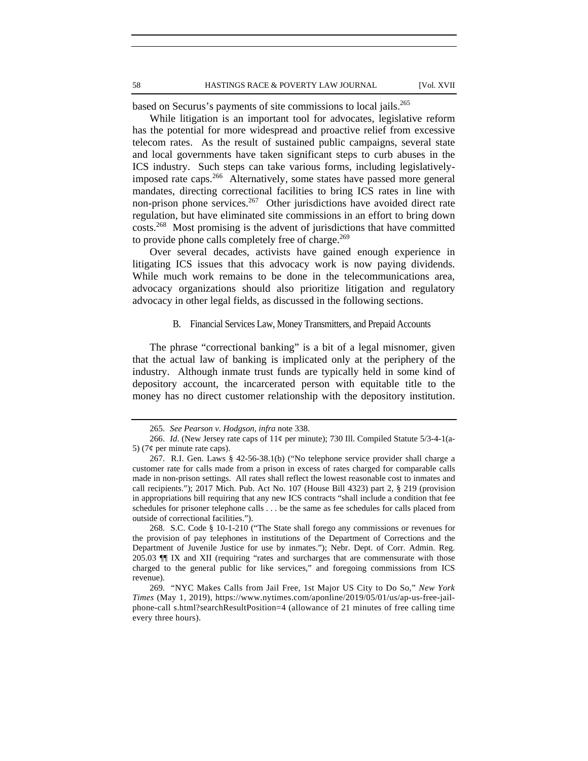based on Securus's payments of site commissions to local jails.<sup>265</sup>

While litigation is an important tool for advocates, legislative reform has the potential for more widespread and proactive relief from excessive telecom rates. As the result of sustained public campaigns, several state and local governments have taken significant steps to curb abuses in the ICS industry. Such steps can take various forms, including legislativelyimposed rate caps.<sup>266</sup> Alternatively, some states have passed more general mandates, directing correctional facilities to bring ICS rates in line with non-prison phone services.<sup>267</sup> Other jurisdictions have avoided direct rate regulation, but have eliminated site commissions in an effort to bring down costs.268 Most promising is the advent of jurisdictions that have committed to provide phone calls completely free of charge.<sup>269</sup>

Over several decades, activists have gained enough experience in litigating ICS issues that this advocacy work is now paying dividends. While much work remains to be done in the telecommunications area, advocacy organizations should also prioritize litigation and regulatory advocacy in other legal fields, as discussed in the following sections.

## B. Financial Services Law, Money Transmitters, and Prepaid Accounts

The phrase "correctional banking" is a bit of a legal misnomer, given that the actual law of banking is implicated only at the periphery of the industry. Although inmate trust funds are typically held in some kind of depository account, the incarcerated person with equitable title to the money has no direct customer relationship with the depository institution.

268. S.C. Code § 10-1-210 ("The State shall forego any commissions or revenues for the provision of pay telephones in institutions of the Department of Corrections and the Department of Juvenile Justice for use by inmates."); Nebr. Dept. of Corr. Admin. Reg. 205.03 ¶¶ IX and XII (requiring "rates and surcharges that are commensurate with those charged to the general public for like services," and foregoing commissions from ICS revenue).

269. "NYC Makes Calls from Jail Free, 1st Major US City to Do So," *New York Times* (May 1, 2019), https://www.nytimes.com/aponline/2019/05/01/us/ap-us-free-jailphone-call s.html?searchResultPosition=4 (allowance of 21 minutes of free calling time every three hours).

<sup>265.</sup> *See Pearson v. Hodgson, infra* note 338.

<sup>266.</sup> *Id*. (New Jersey rate caps of 11¢ per minute); 730 Ill. Compiled Statute 5/3-4-1(a-5) (7¢ per minute rate caps).

<sup>267.</sup> R.I. Gen. Laws § 42-56-38.1(b) ("No telephone service provider shall charge a customer rate for calls made from a prison in excess of rates charged for comparable calls made in non-prison settings. All rates shall reflect the lowest reasonable cost to inmates and call recipients."); 2017 Mich. Pub. Act No. 107 (House Bill 4323) part 2, § 219 (provision in appropriations bill requiring that any new ICS contracts "shall include a condition that fee schedules for prisoner telephone calls . . . be the same as fee schedules for calls placed from outside of correctional facilities.").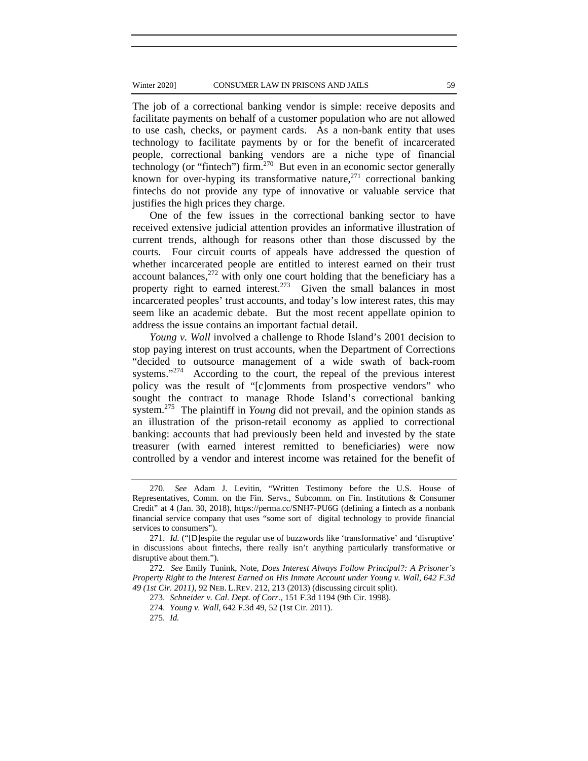The job of a correctional banking vendor is simple: receive deposits and facilitate payments on behalf of a customer population who are not allowed to use cash, checks, or payment cards. As a non-bank entity that uses technology to facilitate payments by or for the benefit of incarcerated people, correctional banking vendors are a niche type of financial technology (or "fintech") firm.270 But even in an economic sector generally known for over-hyping its transformative nature, $271$  correctional banking fintechs do not provide any type of innovative or valuable service that justifies the high prices they charge.

One of the few issues in the correctional banking sector to have received extensive judicial attention provides an informative illustration of current trends, although for reasons other than those discussed by the courts. Four circuit courts of appeals have addressed the question of whether incarcerated people are entitled to interest earned on their trust account balances, $272$  with only one court holding that the beneficiary has a property right to earned interest. $273$  Given the small balances in most incarcerated peoples' trust accounts, and today's low interest rates, this may seem like an academic debate. But the most recent appellate opinion to address the issue contains an important factual detail.

*Young v. Wall* involved a challenge to Rhode Island's 2001 decision to stop paying interest on trust accounts, when the Department of Corrections "decided to outsource management of a wide swath of back-room systems."<sup>274</sup> According to the court, the repeal of the previous interest policy was the result of "[c]omments from prospective vendors" who sought the contract to manage Rhode Island's correctional banking system.<sup>275</sup> The plaintiff in *Young* did not prevail, and the opinion stands as an illustration of the prison-retail economy as applied to correctional banking: accounts that had previously been held and invested by the state treasurer (with earned interest remitted to beneficiaries) were now controlled by a vendor and interest income was retained for the benefit of

<sup>270.</sup> *See* Adam J. Levitin, "Written Testimony before the U.S. House of Representatives, Comm. on the Fin. Servs., Subcomm. on Fin. Institutions & Consumer Credit" at 4 (Jan. 30, 2018), https://perma.cc/SNH7-PU6G (defining a fintech as a nonbank financial service company that uses "some sort of digital technology to provide financial services to consumers").

<sup>271.</sup> *Id.* ("[D]espite the regular use of buzzwords like 'transformative' and 'disruptive' in discussions about fintechs, there really isn't anything particularly transformative or disruptive about them.").

<sup>272.</sup> *See* Emily Tunink, Note, *Does Interest Always Follow Principal?: A Prisoner's Property Right to the Interest Earned on His Inmate Account under Young v. Wall*, *642 F.3d 49 (1st Cir. 2011)*, 92 NEB. L.REV. 212, 213 (2013) (discussing circuit split).

<sup>273.</sup> *Schneider v. Cal. Dept. of Corr.*, 151 F.3d 1194 (9th Cir. 1998).

<sup>274.</sup> *Young v. Wall*, 642 F.3d 49, 52 (1st Cir. 2011).

<sup>275.</sup> *Id.*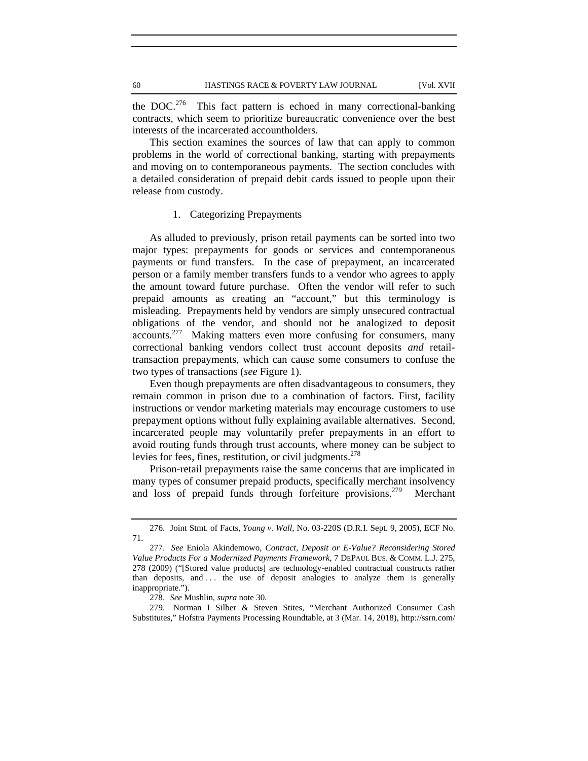the DOC.<sup>276</sup> This fact pattern is echoed in many correctional-banking contracts, which seem to prioritize bureaucratic convenience over the best interests of the incarcerated accountholders.

This section examines the sources of law that can apply to common problems in the world of correctional banking, starting with prepayments and moving on to contemporaneous payments. The section concludes with a detailed consideration of prepaid debit cards issued to people upon their release from custody.

## 1. Categorizing Prepayments

As alluded to previously, prison retail payments can be sorted into two major types: prepayments for goods or services and contemporaneous payments or fund transfers. In the case of prepayment, an incarcerated person or a family member transfers funds to a vendor who agrees to apply the amount toward future purchase. Often the vendor will refer to such prepaid amounts as creating an "account," but this terminology is misleading. Prepayments held by vendors are simply unsecured contractual obligations of the vendor, and should not be analogized to deposit accounts.277 Making matters even more confusing for consumers, many correctional banking vendors collect trust account deposits *and* retailtransaction prepayments, which can cause some consumers to confuse the two types of transactions (*see* Figure 1).

Even though prepayments are often disadvantageous to consumers, they remain common in prison due to a combination of factors. First, facility instructions or vendor marketing materials may encourage customers to use prepayment options without fully explaining available alternatives. Second, incarcerated people may voluntarily prefer prepayments in an effort to avoid routing funds through trust accounts, where money can be subject to levies for fees, fines, restitution, or civil judgments. $278$ 

Prison-retail prepayments raise the same concerns that are implicated in many types of consumer prepaid products, specifically merchant insolvency and loss of prepaid funds through forfeiture provisions.<sup>279</sup> Merchant

<sup>276.</sup> Joint Stmt. of Facts, *Young v. Wall*, No. 03-220S (D.R.I. Sept. 9, 2005), ECF No. 71.

<sup>277.</sup> *See* Eniola Akindemowo, *Contract, Deposit or E-Value? Reconsidering Stored Value Products For a Modernized Payments Framework*, 7 DEPAUL BUS. & COMM. L.J. 275, 278 (2009) ("[Stored value products] are technology-enabled contractual constructs rather than deposits, and . . . the use of deposit analogies to analyze them is generally inappropriate.").

<sup>278.</sup> *See* Mushlin*, supra* note 30.

<sup>279.</sup> Norman I Silber & Steven Stites, "Merchant Authorized Consumer Cash Substitutes," Hofstra Payments Processing Roundtable, at 3 (Mar. 14, 2018), http://ssrn.com/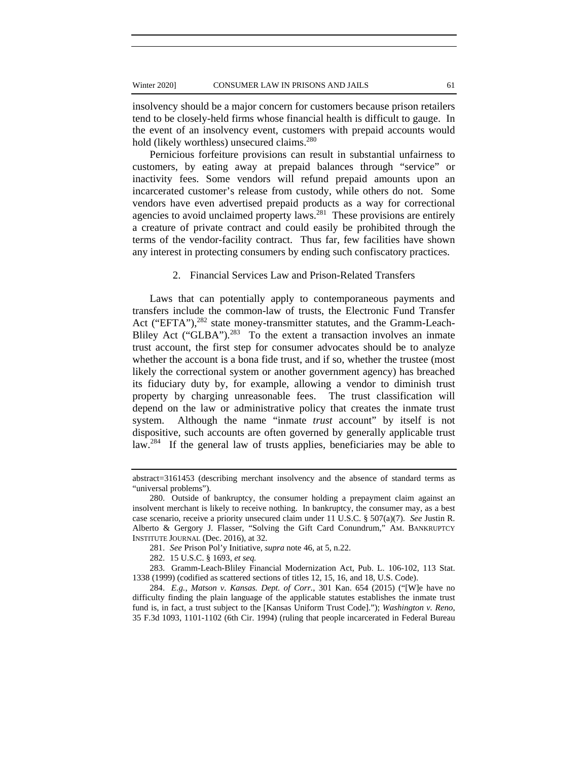insolvency should be a major concern for customers because prison retailers tend to be closely-held firms whose financial health is difficult to gauge. In the event of an insolvency event, customers with prepaid accounts would hold (likely worthless) unsecured claims.<sup>280</sup>

Pernicious forfeiture provisions can result in substantial unfairness to customers, by eating away at prepaid balances through "service" or inactivity fees. Some vendors will refund prepaid amounts upon an incarcerated customer's release from custody, while others do not. Some vendors have even advertised prepaid products as a way for correctional agencies to avoid unclaimed property  $laws.<sup>281</sup>$  These provisions are entirely a creature of private contract and could easily be prohibited through the terms of the vendor-facility contract. Thus far, few facilities have shown any interest in protecting consumers by ending such confiscatory practices.

## 2. Financial Services Law and Prison-Related Transfers

Laws that can potentially apply to contemporaneous payments and transfers include the common-law of trusts, the Electronic Fund Transfer Act ("EFTA"),<sup>282</sup> state money-transmitter statutes, and the Gramm-Leach-Bliley Act ("GLBA"). $^{283}$  To the extent a transaction involves an inmate trust account, the first step for consumer advocates should be to analyze whether the account is a bona fide trust, and if so, whether the trustee (most likely the correctional system or another government agency) has breached its fiduciary duty by, for example, allowing a vendor to diminish trust property by charging unreasonable fees. The trust classification will depend on the law or administrative policy that creates the inmate trust system. Although the name "inmate *trust* account" by itself is not dispositive, such accounts are often governed by generally applicable trust law.<sup>284</sup> If the general law of trusts applies, beneficiaries may be able to

abstract=3161453 (describing merchant insolvency and the absence of standard terms as "universal problems").

<sup>280.</sup> Outside of bankruptcy, the consumer holding a prepayment claim against an insolvent merchant is likely to receive nothing. In bankruptcy, the consumer may, as a best case scenario, receive a priority unsecured claim under 11 U.S.C. § 507(a)(7). *See* Justin R. Alberto & Gergory J. Flasser, "Solving the Gift Card Conundrum," AM. BANKRUPTCY INSTITUTE JOURNAL (Dec. 2016), at 32.

<sup>281.</sup> *See* Prison Pol'y Initiative, *supra* note 46, at 5, n.22.

<sup>282. 15</sup> U.S.C. § 1693, *et seq.*

<sup>283.</sup> Gramm-Leach-Bliley Financial Modernization Act, Pub. L. 106-102, 113 Stat. 1338 (1999) (codified as scattered sections of titles 12, 15, 16, and 18, U.S. Code).

<sup>284.</sup> *E.g.*, *Matson v. Kansas. Dept. of Corr.*, 301 Kan. 654 (2015) ("[W]e have no difficulty finding the plain language of the applicable statutes establishes the inmate trust fund is, in fact, a trust subject to the [Kansas Uniform Trust Code]."); *Washington v. Reno*, 35 F.3d 1093, 1101-1102 (6th Cir. 1994) (ruling that people incarcerated in Federal Bureau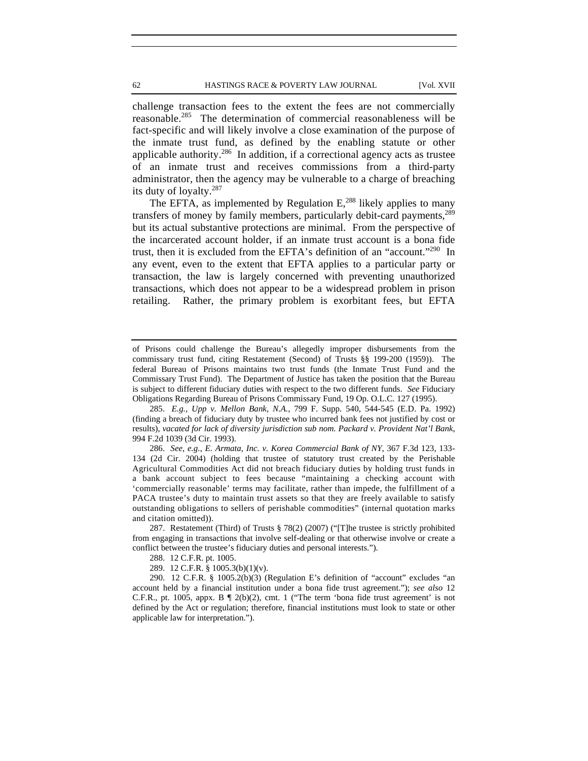challenge transaction fees to the extent the fees are not commercially reasonable.285 The determination of commercial reasonableness will be fact-specific and will likely involve a close examination of the purpose of the inmate trust fund, as defined by the enabling statute or other applicable authority.286 In addition, if a correctional agency acts as trustee of an inmate trust and receives commissions from a third-party administrator, then the agency may be vulnerable to a charge of breaching its duty of loyalty.287

The EFTA, as implemented by Regulation E,<sup>288</sup> likely applies to many transfers of money by family members, particularly debit-card payments,<sup>289</sup> but its actual substantive protections are minimal. From the perspective of the incarcerated account holder, if an inmate trust account is a bona fide trust, then it is excluded from the EFTA's definition of an "account."290 In any event, even to the extent that EFTA applies to a particular party or transaction, the law is largely concerned with preventing unauthorized transactions, which does not appear to be a widespread problem in prison retailing. Rather, the primary problem is exorbitant fees, but EFTA

of Prisons could challenge the Bureau's allegedly improper disbursements from the commissary trust fund, citing Restatement (Second) of Trusts §§ 199-200 (1959)). The federal Bureau of Prisons maintains two trust funds (the Inmate Trust Fund and the Commissary Trust Fund). The Department of Justice has taken the position that the Bureau is subject to different fiduciary duties with respect to the two different funds. *See* Fiduciary Obligations Regarding Bureau of Prisons Commissary Fund, 19 Op. O.L.C. 127 (1995).

<sup>285.</sup> *E.g., Upp v. Mellon Bank, N.A.*, 799 F. Supp. 540, 544-545 (E.D. Pa. 1992) (finding a breach of fiduciary duty by trustee who incurred bank fees not justified by cost or results), *vacated for lack of diversity jurisdiction sub nom. Packard v. Provident Nat'l Bank*, 994 F.2d 1039 (3d Cir. 1993).

<sup>286.</sup> *See*, *e.g.*, *E. Armata, Inc. v. Korea Commercial Bank of NY*, 367 F.3d 123, 133- 134 (2d Cir. 2004) (holding that trustee of statutory trust created by the Perishable Agricultural Commodities Act did not breach fiduciary duties by holding trust funds in a bank account subject to fees because "maintaining a checking account with 'commercially reasonable' terms may facilitate, rather than impede, the fulfillment of a PACA trustee's duty to maintain trust assets so that they are freely available to satisfy outstanding obligations to sellers of perishable commodities" (internal quotation marks and citation omitted)).

<sup>287.</sup> Restatement (Third) of Trusts § 78(2) (2007) ("[T]he trustee is strictly prohibited from engaging in transactions that involve self-dealing or that otherwise involve or create a conflict between the trustee's fiduciary duties and personal interests.").

<sup>288. 12</sup> C.F.R. pt. 1005.

<sup>289. 12</sup> C.F.R. § 1005.3(b)(1)(v).

<sup>290. 12</sup> C.F.R. § 1005.2(b)(3) (Regulation E's definition of "account" excludes "an account held by a financial institution under a bona fide trust agreement."); *see also* 12 C.F.R., pt. 1005, appx. B  $\P$  2(b)(2), cmt. 1 ("The term 'bona fide trust agreement' is not defined by the Act or regulation; therefore, financial institutions must look to state or other applicable law for interpretation.").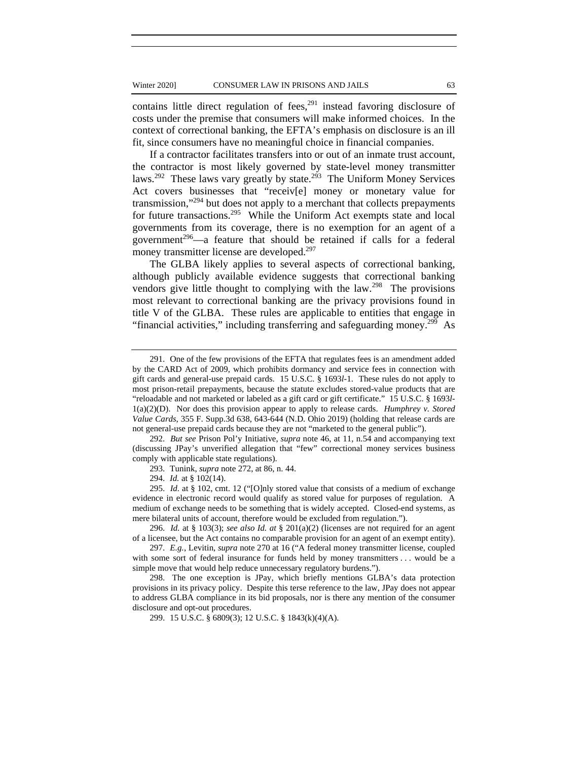contains little direct regulation of fees, $291$  instead favoring disclosure of costs under the premise that consumers will make informed choices. In the context of correctional banking, the EFTA's emphasis on disclosure is an ill fit, since consumers have no meaningful choice in financial companies.

If a contractor facilitates transfers into or out of an inmate trust account, the contractor is most likely governed by state-level money transmitter laws.<sup>292</sup> These laws vary greatly by state.<sup>293</sup> The Uniform Money Services Act covers businesses that "receiv[e] money or monetary value for transmission,"294 but does not apply to a merchant that collects prepayments for future transactions.<sup>295</sup> While the Uniform Act exempts state and local governments from its coverage, there is no exemption for an agent of a government<sup>296</sup>—a feature that should be retained if calls for a federal money transmitter license are developed.<sup>297</sup>

The GLBA likely applies to several aspects of correctional banking, although publicly available evidence suggests that correctional banking vendors give little thought to complying with the law.<sup>298</sup> The provisions most relevant to correctional banking are the privacy provisions found in title V of the GLBA. These rules are applicable to entities that engage in "financial activities," including transferring and safeguarding money.<sup>299</sup> As

296. *Id.* at § 103(3); *see also Id. at* § 201(a)(2) (licenses are not required for an agent of a licensee, but the Act contains no comparable provision for an agent of an exempt entity).

297. *E.g.*, Levitin, *supra* note 270 at 16 ("A federal money transmitter license, coupled with some sort of federal insurance for funds held by money transmitters . . . would be a simple move that would help reduce unnecessary regulatory burdens.").

298. The one exception is JPay, which briefly mentions GLBA's data protection provisions in its privacy policy. Despite this terse reference to the law, JPay does not appear to address GLBA compliance in its bid proposals, nor is there any mention of the consumer disclosure and opt-out procedures.

299. 15 U.S.C. § 6809(3); 12 U.S.C. § 1843(k)(4)(A).

<sup>291.</sup> One of the few provisions of the EFTA that regulates fees is an amendment added by the CARD Act of 2009, which prohibits dormancy and service fees in connection with gift cards and general-use prepaid cards. 15 U.S.C. § 1693*l*-1. These rules do not apply to most prison-retail prepayments, because the statute excludes stored-value products that are "reloadable and not marketed or labeled as a gift card or gift certificate." 15 U.S.C. § 1693*l*-1(a)(2)(D). Nor does this provision appear to apply to release cards. *Humphrey v. Stored Value Cards*, 355 F. Supp.3d 638, 643-644 (N.D. Ohio 2019) (holding that release cards are not general-use prepaid cards because they are not "marketed to the general public").

<sup>292.</sup> *But see* Prison Pol'y Initiative, *supra* note 46, at 11, n.54 and accompanying text (discussing JPay's unverified allegation that "few" correctional money services business comply with applicable state regulations).

<sup>293.</sup> Tunink, *supra* note 272, at 86, n. 44.

<sup>294.</sup> *Id.* at § 102(14).

<sup>295.</sup> *Id.* at § 102, cmt. 12 ("[O]nly stored value that consists of a medium of exchange evidence in electronic record would qualify as stored value for purposes of regulation. A medium of exchange needs to be something that is widely accepted. Closed-end systems, as mere bilateral units of account, therefore would be excluded from regulation.").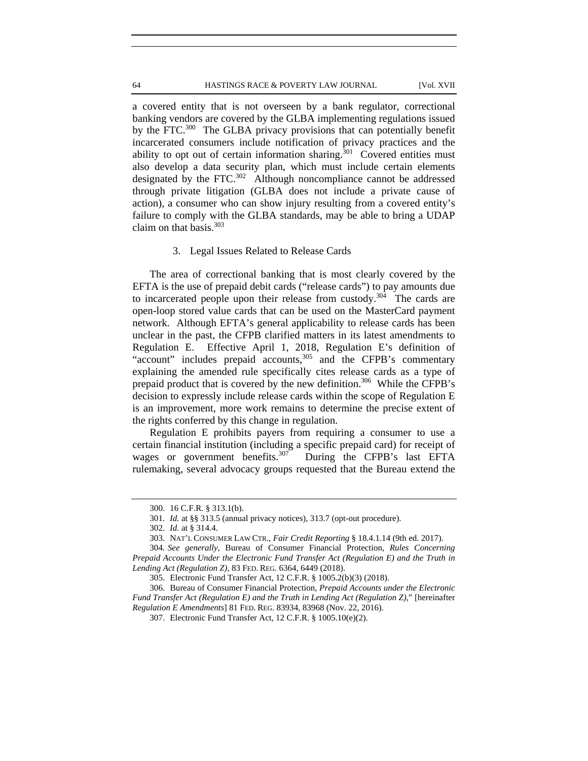a covered entity that is not overseen by a bank regulator, correctional banking vendors are covered by the GLBA implementing regulations issued by the FTC.<sup>300</sup> The GLBA privacy provisions that can potentially benefit incarcerated consumers include notification of privacy practices and the ability to opt out of certain information sharing.<sup>301</sup> Covered entities must also develop a data security plan, which must include certain elements designated by the FTC.<sup>302</sup> Although noncompliance cannot be addressed through private litigation (GLBA does not include a private cause of action), a consumer who can show injury resulting from a covered entity's failure to comply with the GLBA standards, may be able to bring a UDAP claim on that basis. $303$ 

### 3. Legal Issues Related to Release Cards

The area of correctional banking that is most clearly covered by the EFTA is the use of prepaid debit cards ("release cards") to pay amounts due to incarcerated people upon their release from custody.<sup>304</sup> The cards are open-loop stored value cards that can be used on the MasterCard payment network. Although EFTA's general applicability to release cards has been unclear in the past, the CFPB clarified matters in its latest amendments to Regulation E. Effective April 1, 2018, Regulation E's definition of "account" includes prepaid accounts,<sup>305</sup> and the CFPB's commentary explaining the amended rule specifically cites release cards as a type of prepaid product that is covered by the new definition.<sup>306</sup> While the CFPB's decision to expressly include release cards within the scope of Regulation E is an improvement, more work remains to determine the precise extent of the rights conferred by this change in regulation.

Regulation E prohibits payers from requiring a consumer to use a certain financial institution (including a specific prepaid card) for receipt of wages or government benefits.<sup>307</sup> During the CFPB's last EFTA rulemaking, several advocacy groups requested that the Bureau extend the

<sup>300. 16</sup> C.F.R. § 313.1(b).

<sup>301.</sup> *Id.* at §§ 313.5 (annual privacy notices), 313.7 (opt-out procedure).

<sup>302.</sup> *Id.* at § 314.4.

<sup>303.</sup> NAT'L CONSUMER LAW CTR., *Fair Credit Reporting* § 18.4.1.14 (9th ed. 2017).

<sup>304</sup>*. See generally*, Bureau of Consumer Financial Protection, *Rules Concerning Prepaid Accounts Under the Electronic Fund Transfer Act (Regulation E) and the Truth in Lending Act (Regulation Z),* 83 FED. REG. 6364, 6449 (2018).

<sup>305.</sup> Electronic Fund Transfer Act, 12 C.F.R. § 1005.2(b)(3) (2018).

<sup>306.</sup> Bureau of Consumer Financial Protection, *Prepaid Accounts under the Electronic Fund Transfer Act (Regulation E) and the Truth in Lending Act (Regulation Z)*," [hereinafter *Regulation E Amendments*] 81 FED. REG. 83934, 83968 (Nov. 22, 2016).

<sup>307.</sup> Electronic Fund Transfer Act, 12 C.F.R. § 1005.10(e)(2).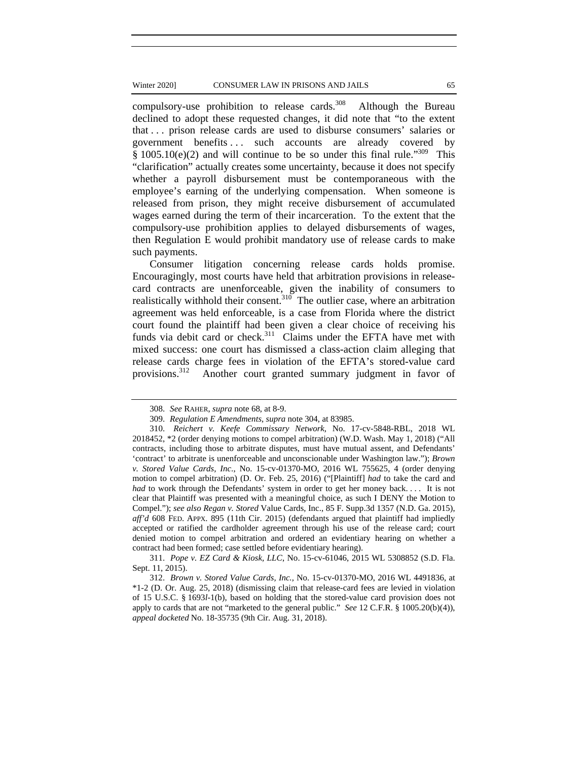#### Winter 2020] CONSUMER LAW IN PRISONS AND JAILS 65

compulsory-use prohibition to release cards.<sup>308</sup> Although the Bureau declined to adopt these requested changes, it did note that "to the extent that . . . prison release cards are used to disburse consumers' salaries or government benefits ... such accounts are already covered by  $§ 1005.10(e)(2)$  and will continue to be so under this final rule.<sup>309</sup> This "clarification" actually creates some uncertainty, because it does not specify whether a payroll disbursement must be contemporaneous with the employee's earning of the underlying compensation. When someone is released from prison, they might receive disbursement of accumulated wages earned during the term of their incarceration. To the extent that the compulsory-use prohibition applies to delayed disbursements of wages, then Regulation E would prohibit mandatory use of release cards to make such payments.

Consumer litigation concerning release cards holds promise. Encouragingly, most courts have held that arbitration provisions in releasecard contracts are unenforceable, given the inability of consumers to realistically withhold their consent.<sup>310</sup> The outlier case, where an arbitration agreement was held enforceable, is a case from Florida where the district court found the plaintiff had been given a clear choice of receiving his funds via debit card or check.<sup>311</sup> Claims under the EFTA have met with mixed success: one court has dismissed a class-action claim alleging that release cards charge fees in violation of the EFTA's stored-value card provisions.<sup>312</sup> Another court granted summary judgment in favor of

<sup>308.</sup> *See* RAHER, *supra* note 68, at 8-9.

<sup>309.</sup> *Regulation E Amendments*, *supra* note 304, at 83985.

<sup>310.</sup> *Reichert v. Keefe Commissary Network*, No. 17-cv-5848-RBL, 2018 WL 2018452, \*2 (order denying motions to compel arbitration) (W.D. Wash. May 1, 2018) ("All contracts, including those to arbitrate disputes, must have mutual assent, and Defendants' 'contract' to arbitrate is unenforceable and unconscionable under Washington law."); *Brown v. Stored Value Cards, Inc*., No. 15-cv-01370-MO, 2016 WL 755625, 4 (order denying motion to compel arbitration) (D. Or. Feb. 25, 2016) ("[Plaintiff] *had* to take the card and *had* to work through the Defendants' system in order to get her money back.... It is not clear that Plaintiff was presented with a meaningful choice, as such I DENY the Motion to Compel."); *see also Regan v. Stored* Value Cards, Inc., 85 F. Supp.3d 1357 (N.D. Ga. 2015), *aff'd* 608 FED. APPX. 895 (11th Cir. 2015) (defendants argued that plaintiff had impliedly accepted or ratified the cardholder agreement through his use of the release card; court denied motion to compel arbitration and ordered an evidentiary hearing on whether a contract had been formed; case settled before evidentiary hearing).

<sup>311.</sup> *Pope v. EZ Card & Kiosk, LLC*, No. 15-cv-61046, 2015 WL 5308852 (S.D. Fla. Sept. 11, 2015).

<sup>312.</sup> *Brown v. Stored Value Cards, Inc.,* No. 15-cv-01370-MO, 2016 WL 4491836, at \*1-2 (D. Or. Aug. 25, 2018) (dismissing claim that release-card fees are levied in violation of 15 U.S.C. § 1693*l*-1(b), based on holding that the stored-value card provision does not apply to cards that are not "marketed to the general public." *See* 12 C.F.R. § 1005.20(b)(4)), *appeal docketed* No. 18-35735 (9th Cir. Aug. 31, 2018).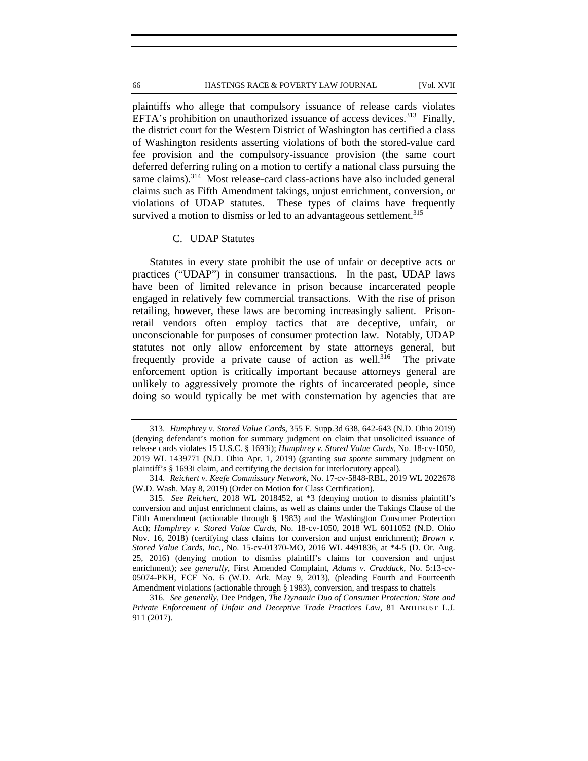plaintiffs who allege that compulsory issuance of release cards violates EFTA's prohibition on unauthorized issuance of access devices.<sup>313</sup> Finally, the district court for the Western District of Washington has certified a class of Washington residents asserting violations of both the stored-value card fee provision and the compulsory-issuance provision (the same court deferred deferring ruling on a motion to certify a national class pursuing the same claims).<sup>314</sup> Most release-card class-actions have also included general claims such as Fifth Amendment takings, unjust enrichment, conversion, or violations of UDAP statutes. These types of claims have frequently survived a motion to dismiss or led to an advantageous settlement.<sup>315</sup>

## C. UDAP Statutes

Statutes in every state prohibit the use of unfair or deceptive acts or practices ("UDAP") in consumer transactions. In the past, UDAP laws have been of limited relevance in prison because incarcerated people engaged in relatively few commercial transactions. With the rise of prison retailing, however, these laws are becoming increasingly salient. Prisonretail vendors often employ tactics that are deceptive, unfair, or unconscionable for purposes of consumer protection law. Notably, UDAP statutes not only allow enforcement by state attorneys general, but frequently provide a private cause of action as well.<sup>316</sup> The private enforcement option is critically important because attorneys general are unlikely to aggressively promote the rights of incarcerated people, since doing so would typically be met with consternation by agencies that are

<sup>313.</sup> *Humphrey v. Stored Value Card*s, 355 F. Supp.3d 638, 642-643 (N.D. Ohio 2019) (denying defendant's motion for summary judgment on claim that unsolicited issuance of release cards violates 15 U.S.C. § 1693i); *Humphrey v. Stored Value Cards*, No. 18-cv-1050, 2019 WL 1439771 (N.D. Ohio Apr. 1, 2019) (granting *sua sponte* summary judgment on plaintiff's § 1693i claim, and certifying the decision for interlocutory appeal).

<sup>314.</sup> *Reichert v. Keefe Commissary Network*, No. 17-cv-5848-RBL, 2019 WL 2022678 (W.D. Wash. May 8, 2019) (Order on Motion for Class Certification).

<sup>315.</sup> *See Reichert*, 2018 WL 2018452, at \*3 (denying motion to dismiss plaintiff's conversion and unjust enrichment claims, as well as claims under the Takings Clause of the Fifth Amendment (actionable through § 1983) and the Washington Consumer Protection Act); *Humphrey v. Stored Value Cards*, No. 18-cv-1050, 2018 WL 6011052 (N.D. Ohio Nov. 16, 2018) (certifying class claims for conversion and unjust enrichment); *Brown v. Stored Value Cards, Inc.*, No. 15-cv-01370-MO, 2016 WL 4491836, at \*4-5 (D. Or. Aug. 25, 2016) (denying motion to dismiss plaintiff's claims for conversion and unjust enrichment); *see generally*, First Amended Complaint, *Adams v. Cradduck*, No. 5:13-cv-05074-PKH, ECF No. 6 (W.D. Ark. May 9, 2013), (pleading Fourth and Fourteenth Amendment violations (actionable through § 1983), conversion, and trespass to chattels

<sup>316.</sup> *See generally*, Dee Pridgen, *The Dynamic Duo of Consumer Protection: State and Private Enforcement of Unfair and Deceptive Trade Practices Law*, 81 ANTITRUST L.J. 911 (2017).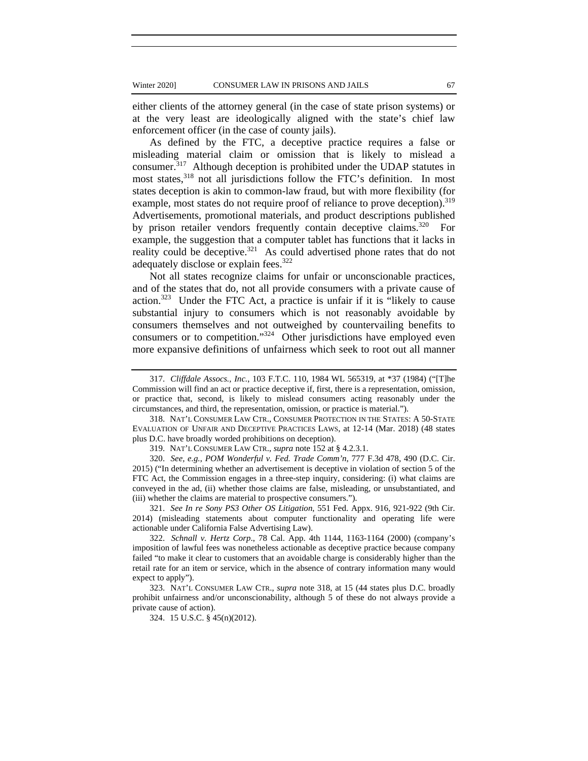either clients of the attorney general (in the case of state prison systems) or at the very least are ideologically aligned with the state's chief law enforcement officer (in the case of county jails).

As defined by the FTC, a deceptive practice requires a false or misleading material claim or omission that is likely to mislead a consumer.317 Although deception is prohibited under the UDAP statutes in most states,<sup>318</sup> not all jurisdictions follow the FTC's definition. In most states deception is akin to common-law fraud, but with more flexibility (for example, most states do not require proof of reliance to prove deception).<sup>319</sup> Advertisements, promotional materials, and product descriptions published by prison retailer vendors frequently contain deceptive claims.<sup>320</sup> For example, the suggestion that a computer tablet has functions that it lacks in reality could be deceptive.<sup>321</sup> As could advertised phone rates that do not adequately disclose or explain fees.<sup>322</sup>

Not all states recognize claims for unfair or unconscionable practices, and of the states that do, not all provide consumers with a private cause of action. $323$  Under the FTC Act, a practice is unfair if it is "likely to cause substantial injury to consumers which is not reasonably avoidable by consumers themselves and not outweighed by countervailing benefits to consumers or to competition."324 Other jurisdictions have employed even more expansive definitions of unfairness which seek to root out all manner

319. NAT'L CONSUMER LAW CTR., *supra* note 152 at § 4.2.3.1.

320. *See, e.g.*, *POM Wonderful v. Fed. Trade Comm'n*, 777 F.3d 478, 490 (D.C. Cir. 2015) ("In determining whether an advertisement is deceptive in violation of section 5 of the FTC Act, the Commission engages in a three-step inquiry, considering: (i) what claims are conveyed in the ad, (ii) whether those claims are false, misleading, or unsubstantiated, and (iii) whether the claims are material to prospective consumers.").

321. *See In re Sony PS3 Other OS Litigation*, 551 Fed. Appx. 916, 921-922 (9th Cir. 2014) (misleading statements about computer functionality and operating life were actionable under California False Advertising Law).

322. *Schnall v. Hertz Corp*., 78 Cal. App. 4th 1144, 1163-1164 (2000) (company's imposition of lawful fees was nonetheless actionable as deceptive practice because company failed "to make it clear to customers that an avoidable charge is considerably higher than the retail rate for an item or service, which in the absence of contrary information many would expect to apply").

323. NAT'L CONSUMER LAW CTR., *supra* note 318, at 15 (44 states plus D.C. broadly prohibit unfairness and/or unconscionability, although 5 of these do not always provide a private cause of action).

324. 15 U.S.C. § 45(n)(2012).

<sup>317.</sup> *Cliffdale Assocs., Inc.*, 103 F.T.C. 110, 1984 WL 565319, at \*37 (1984) ("[T]he Commission will find an act or practice deceptive if, first, there is a representation, omission, or practice that, second, is likely to mislead consumers acting reasonably under the circumstances, and third, the representation, omission, or practice is material.").

<sup>318.</sup> NAT'L CONSUMER LAW CTR., CONSUMER PROTECTION IN THE STATES: A 50-STATE EVALUATION OF UNFAIR AND DECEPTIVE PRACTICES LAWS, at 12-14 (Mar. 2018) (48 states plus D.C. have broadly worded prohibitions on deception).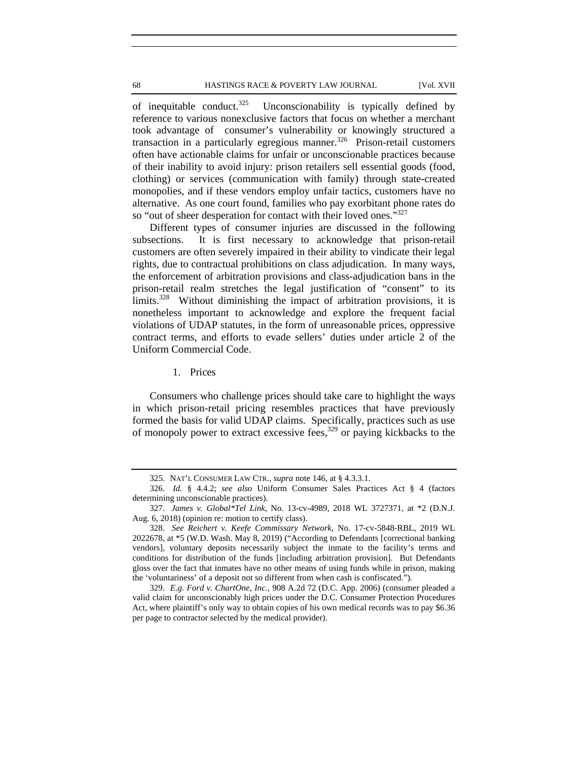68 HASTINGS RACE & POVERTY LAW JOURNAL [Vol. XVII

of inequitable conduct.<sup>325</sup> Unconscionability is typically defined by reference to various nonexclusive factors that focus on whether a merchant took advantage of consumer's vulnerability or knowingly structured a transaction in a particularly egregious manner.<sup>326</sup> Prison-retail customers often have actionable claims for unfair or unconscionable practices because of their inability to avoid injury: prison retailers sell essential goods (food, clothing) or services (communication with family) through state-created monopolies, and if these vendors employ unfair tactics, customers have no alternative. As one court found, families who pay exorbitant phone rates do so "out of sheer desperation for contact with their loved ones."<sup>327</sup>

Different types of consumer injuries are discussed in the following subsections. It is first necessary to acknowledge that prison-retail customers are often severely impaired in their ability to vindicate their legal rights, due to contractual prohibitions on class adjudication. In many ways, the enforcement of arbitration provisions and class-adjudication bans in the prison-retail realm stretches the legal justification of "consent" to its limits.328 Without diminishing the impact of arbitration provisions, it is nonetheless important to acknowledge and explore the frequent facial violations of UDAP statutes, in the form of unreasonable prices, oppressive contract terms, and efforts to evade sellers' duties under article 2 of the Uniform Commercial Code.

1. Prices

Consumers who challenge prices should take care to highlight the ways in which prison-retail pricing resembles practices that have previously formed the basis for valid UDAP claims. Specifically, practices such as use of monopoly power to extract excessive fees,  $329$  or paying kickbacks to the

<sup>325.</sup> NAT'L CONSUMER LAW CTR., *supra* note 146, at § 4.3.3.1.

<sup>326.</sup> *Id.* § 4.4.2; *see also* Uniform Consumer Sales Practices Act § 4 (factors determining unconscionable practices).

<sup>327.</sup> *James v. Global\*Tel Link*, No. 13-cv-4989, 2018 WL 3727371, at \*2 (D.N.J. Aug. 6, 2018) (opinion re: motion to certify class).

<sup>328.</sup> *See Reichert v. Keefe Commissary Network*, No. 17-cv-5848-RBL, 2019 WL 2022678, at \*5 (W.D. Wash. May 8, 2019) ("According to Defendants [correctional banking vendors], voluntary deposits necessarily subject the inmate to the facility's terms and conditions for distribution of the funds [including arbitration provision]. But Defendants gloss over the fact that inmates have no other means of using funds while in prison, making the 'voluntariness' of a deposit not so different from when cash is confiscated.").

<sup>329.</sup> *E.g. Ford v. ChartOne, Inc.,* 908 A.2d 72 (D.C. App. 2006) (consumer pleaded a valid claim for unconscionably high prices under the D.C. Consumer Protection Procedures Act, where plaintiff's only way to obtain copies of his own medical records was to pay \$6.36 per page to contractor selected by the medical provider).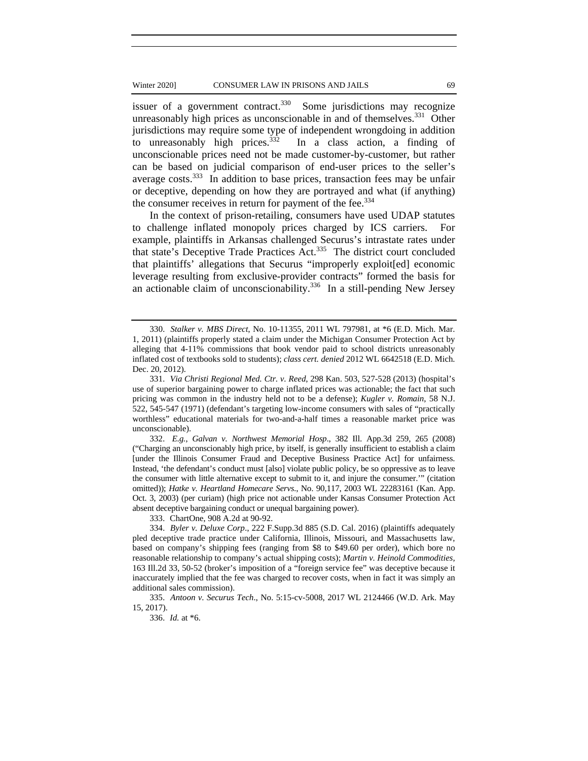issuer of a government contract. $330$  Some jurisdictions may recognize unreasonably high prices as unconscionable in and of themselves.<sup>331</sup> Other jurisdictions may require some type of independent wrongdoing in addition to unreasonably high prices. $332$  In a class action, a finding of unconscionable prices need not be made customer-by-customer, but rather can be based on judicial comparison of end-user prices to the seller's average costs.<sup>333</sup> In addition to base prices, transaction fees may be unfair or deceptive, depending on how they are portrayed and what (if anything) the consumer receives in return for payment of the fee.<sup>334</sup>

In the context of prison-retailing, consumers have used UDAP statutes to challenge inflated monopoly prices charged by ICS carriers. For example, plaintiffs in Arkansas challenged Securus's intrastate rates under that state's Deceptive Trade Practices Act.335 The district court concluded that plaintiffs' allegations that Securus "improperly exploit[ed] economic leverage resulting from exclusive-provider contracts" formed the basis for an actionable claim of unconscionability.<sup>336</sup> In a still-pending New Jersey

332. *E.g.*, *Galvan v. Northwest Memorial Hosp*., 382 Ill. App.3d 259, 265 (2008) ("Charging an unconscionably high price, by itself, is generally insufficient to establish a claim [under the Illinois Consumer Fraud and Deceptive Business Practice Act] for unfairness. Instead, 'the defendant's conduct must [also] violate public policy, be so oppressive as to leave the consumer with little alternative except to submit to it, and injure the consumer.'" (citation omitted)); *Hatke v. Heartland Homecare Servs*., No. 90,117, 2003 WL 22283161 (Kan. App. Oct. 3, 2003) (per curiam) (high price not actionable under Kansas Consumer Protection Act absent deceptive bargaining conduct or unequal bargaining power).

333. ChartOne, 908 A.2d at 90-92.

334. *Byler v. Deluxe Corp*., 222 F.Supp.3d 885 (S.D. Cal. 2016) (plaintiffs adequately pled deceptive trade practice under California, Illinois, Missouri, and Massachusetts law, based on company's shipping fees (ranging from \$8 to \$49.60 per order), which bore no reasonable relationship to company's actual shipping costs); *Martin v. Heinold Commodities,*  163 Ill.2d 33, 50-52 (broker's imposition of a "foreign service fee" was deceptive because it inaccurately implied that the fee was charged to recover costs, when in fact it was simply an additional sales commission).

335. *Antoon v. Securus Tech*., No. 5:15-cv-5008, 2017 WL 2124466 (W.D. Ark. May 15, 2017).

336. *Id.* at \*6.

<sup>330.</sup> *Stalker v. MBS Direct*, No. 10-11355, 2011 WL 797981, at \*6 (E.D. Mich. Mar. 1, 2011) (plaintiffs properly stated a claim under the Michigan Consumer Protection Act by alleging that 4-11% commissions that book vendor paid to school districts unreasonably inflated cost of textbooks sold to students); *class cert. denied* 2012 WL 6642518 (E.D. Mich. Dec. 20, 2012).

<sup>331.</sup> *Via Christi Regional Med. Ctr. v. Reed*, 298 Kan. 503, 527-528 (2013) (hospital's use of superior bargaining power to charge inflated prices was actionable; the fact that such pricing was common in the industry held not to be a defense); *Kugler v. Romain*, 58 N.J. 522, 545-547 (1971) (defendant's targeting low-income consumers with sales of "practically worthless" educational materials for two-and-a-half times a reasonable market price was unconscionable).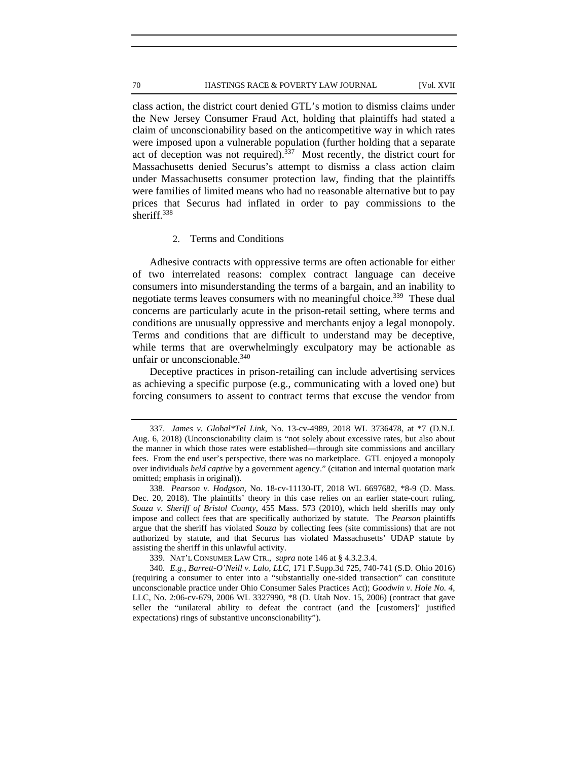class action, the district court denied GTL's motion to dismiss claims under the New Jersey Consumer Fraud Act, holding that plaintiffs had stated a claim of unconscionability based on the anticompetitive way in which rates were imposed upon a vulnerable population (further holding that a separate act of deception was not required).<sup>337</sup> Most recently, the district court for Massachusetts denied Securus's attempt to dismiss a class action claim under Massachusetts consumer protection law, finding that the plaintiffs were families of limited means who had no reasonable alternative but to pay prices that Securus had inflated in order to pay commissions to the sheriff.<sup>338</sup>

## 2. Terms and Conditions

Adhesive contracts with oppressive terms are often actionable for either of two interrelated reasons: complex contract language can deceive consumers into misunderstanding the terms of a bargain, and an inability to negotiate terms leaves consumers with no meaningful choice.<sup>339</sup> These dual concerns are particularly acute in the prison-retail setting, where terms and conditions are unusually oppressive and merchants enjoy a legal monopoly. Terms and conditions that are difficult to understand may be deceptive, while terms that are overwhelmingly exculpatory may be actionable as unfair or unconscionable.<sup>340</sup>

Deceptive practices in prison-retailing can include advertising services as achieving a specific purpose (e.g., communicating with a loved one) but forcing consumers to assent to contract terms that excuse the vendor from

339. NAT'L CONSUMER LAW CTR., *supra* note 146 at § 4.3.2.3.4.

<sup>337.</sup> *James v. Global\*Tel Link*, No. 13-cv-4989, 2018 WL 3736478, at \*7 (D.N.J. Aug. 6, 2018) (Unconscionability claim is "not solely about excessive rates, but also about the manner in which those rates were established—through site commissions and ancillary fees. From the end user's perspective, there was no marketplace. GTL enjoyed a monopoly over individuals *held captive* by a government agency." (citation and internal quotation mark omitted; emphasis in original)).

<sup>338.</sup> *Pearson v. Hodgson*, No. 18-cv-11130-IT, 2018 WL 6697682, \*8-9 (D. Mass. Dec. 20, 2018). The plaintiffs' theory in this case relies on an earlier state-court ruling, *Souza v. Sheriff of Bristol County*, 455 Mass. 573 (2010), which held sheriffs may only impose and collect fees that are specifically authorized by statute. The *Pearson* plaintiffs argue that the sheriff has violated *Souza* by collecting fees (site commissions) that are not authorized by statute, and that Securus has violated Massachusetts' UDAP statute by assisting the sheriff in this unlawful activity.

<sup>340</sup>*. E.g.*, *Barrett-O'Neill v. Lalo, LLC*, 171 F.Supp.3d 725, 740-741 (S.D. Ohio 2016) (requiring a consumer to enter into a "substantially one-sided transaction" can constitute unconscionable practice under Ohio Consumer Sales Practices Act); *Goodwin v. Hole No. 4*, LLC, No. 2:06-cv-679, 2006 WL 3327990, \*8 (D. Utah Nov. 15, 2006) (contract that gave seller the "unilateral ability to defeat the contract (and the [customers]' justified expectations) rings of substantive unconscionability").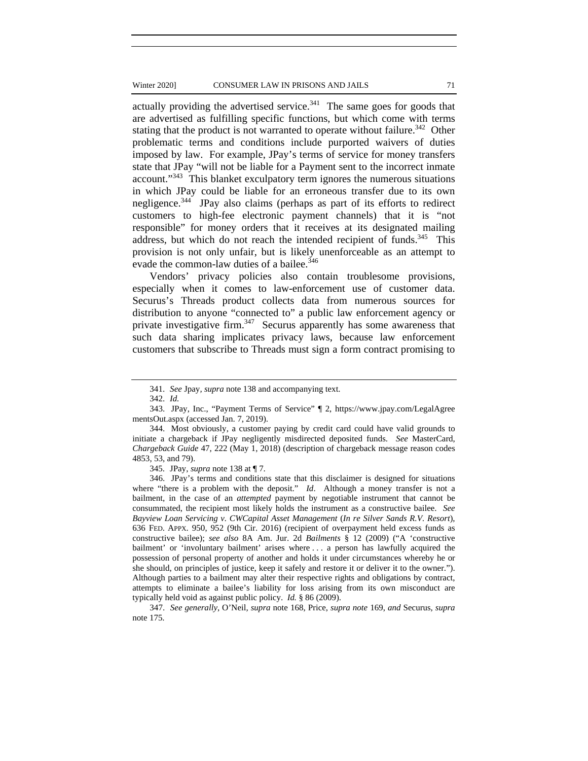### Winter 2020] CONSUMER LAW IN PRISONS AND JAILS 71

actually providing the advertised service. $341$  The same goes for goods that are advertised as fulfilling specific functions, but which come with terms stating that the product is not warranted to operate without failure.<sup>342</sup> Other problematic terms and conditions include purported waivers of duties imposed by law. For example, JPay's terms of service for money transfers state that JPay "will not be liable for a Payment sent to the incorrect inmate account."<sup>343</sup> This blanket exculpatory term ignores the numerous situations in which JPay could be liable for an erroneous transfer due to its own negligence.344 JPay also claims (perhaps as part of its efforts to redirect customers to high-fee electronic payment channels) that it is "not responsible" for money orders that it receives at its designated mailing address, but which do not reach the intended recipient of funds.<sup>345</sup> This provision is not only unfair, but is likely unenforceable as an attempt to evade the common-law duties of a bailee.<sup>346</sup>

Vendors' privacy policies also contain troublesome provisions, especially when it comes to law-enforcement use of customer data. Securus's Threads product collects data from numerous sources for distribution to anyone "connected to" a public law enforcement agency or private investigative firm.<sup>347</sup> Securus apparently has some awareness that such data sharing implicates privacy laws, because law enforcement customers that subscribe to Threads must sign a form contract promising to

345. JPay, *supra* note 138 at ¶ 7.

346. JPay's terms and conditions state that this disclaimer is designed for situations where "there is a problem with the deposit." *Id*. Although a money transfer is not a bailment, in the case of an *attempted* payment by negotiable instrument that cannot be consummated, the recipient most likely holds the instrument as a constructive bailee. *See Bayview Loan Servicing v. CWCapital Asset Management* (*In re Silver Sands R.V. Resort*), 636 FED. APPX. 950, 952 (9th Cir. 2016) (recipient of overpayment held excess funds as constructive bailee); *see also* 8A Am. Jur. 2d *Bailments* § 12 (2009) ("A 'constructive bailment' or 'involuntary bailment' arises where . . . a person has lawfully acquired the possession of personal property of another and holds it under circumstances whereby he or she should, on principles of justice, keep it safely and restore it or deliver it to the owner."). Although parties to a bailment may alter their respective rights and obligations by contract, attempts to eliminate a bailee's liability for loss arising from its own misconduct are typically held void as against public policy. *Id.* § 86 (2009).

347. *See generally*, O'Neil*, supra* note 168, Price, *supra note* 169, *and* Securus*, supra*  note 175.

<sup>341.</sup> *See* Jpay*, supra* note 138 and accompanying text.

<sup>342.</sup> *Id.*

<sup>343.</sup> JPay, Inc., "Payment Terms of Service" ¶ 2, https://www.jpay.com/LegalAgree mentsOut.aspx (accessed Jan. 7, 2019).

<sup>344.</sup> Most obviously, a customer paying by credit card could have valid grounds to initiate a chargeback if JPay negligently misdirected deposited funds. *See* MasterCard, *Chargeback Guide* 47, 222 (May 1, 2018) (description of chargeback message reason codes 4853, 53, and 79).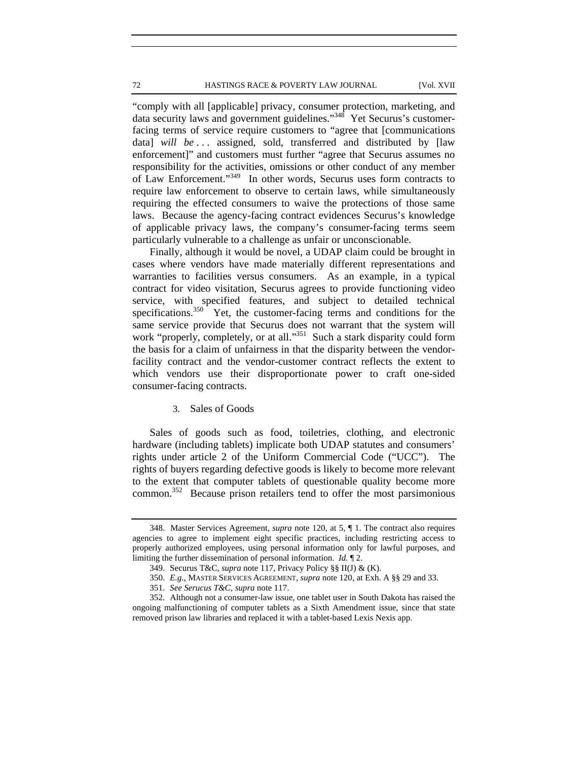#### 72 HASTINGS RACE & POVERTY LAW JOURNAL [Vol. XVII

"comply with all [applicable] privacy, consumer protection, marketing, and data security laws and government guidelines."348 Yet Securus's customerfacing terms of service require customers to "agree that [communications data] *will be* ... assigned, sold, transferred and distributed by [law enforcement]" and customers must further "agree that Securus assumes no responsibility for the activities, omissions or other conduct of any member of Law Enforcement."349 In other words, Securus uses form contracts to require law enforcement to observe to certain laws, while simultaneously requiring the effected consumers to waive the protections of those same laws. Because the agency-facing contract evidences Securus's knowledge of applicable privacy laws, the company's consumer-facing terms seem particularly vulnerable to a challenge as unfair or unconscionable.

Finally, although it would be novel, a UDAP claim could be brought in cases where vendors have made materially different representations and warranties to facilities versus consumers. As an example, in a typical contract for video visitation, Securus agrees to provide functioning video service, with specified features, and subject to detailed technical specifications.<sup>350</sup> Yet, the customer-facing terms and conditions for the same service provide that Securus does not warrant that the system will work "properly, completely, or at all."<sup>351</sup> Such a stark disparity could form the basis for a claim of unfairness in that the disparity between the vendorfacility contract and the vendor-customer contract reflects the extent to which vendors use their disproportionate power to craft one-sided consumer-facing contracts.

## 3. Sales of Goods

Sales of goods such as food, toiletries, clothing, and electronic hardware (including tablets) implicate both UDAP statutes and consumers' rights under article 2 of the Uniform Commercial Code ("UCC"). The rights of buyers regarding defective goods is likely to become more relevant to the extent that computer tablets of questionable quality become more common.352 Because prison retailers tend to offer the most parsimonious

<sup>348.</sup> Master Services Agreement, *supra* note 120, at 5, ¶ 1. The contract also requires agencies to agree to implement eight specific practices, including restricting access to properly authorized employees, using personal information only for lawful purposes, and limiting the further dissemination of personal information. *Id.* ¶ 2.

<sup>349.</sup> Securus T&C, *supra* note 117, Privacy Policy §§ II(J) & (K).

<sup>350.</sup> *E.g.*, MASTER SERVICES AGREEMENT, *supra* note 120, at Exh. A §§ 29 and 33.

<sup>351.</sup> *See Serucus T&C, supra* note 117.

<sup>352.</sup> Although not a consumer-law issue, one tablet user in South Dakota has raised the ongoing malfunctioning of computer tablets as a Sixth Amendment issue, since that state removed prison law libraries and replaced it with a tablet-based Lexis Nexis app.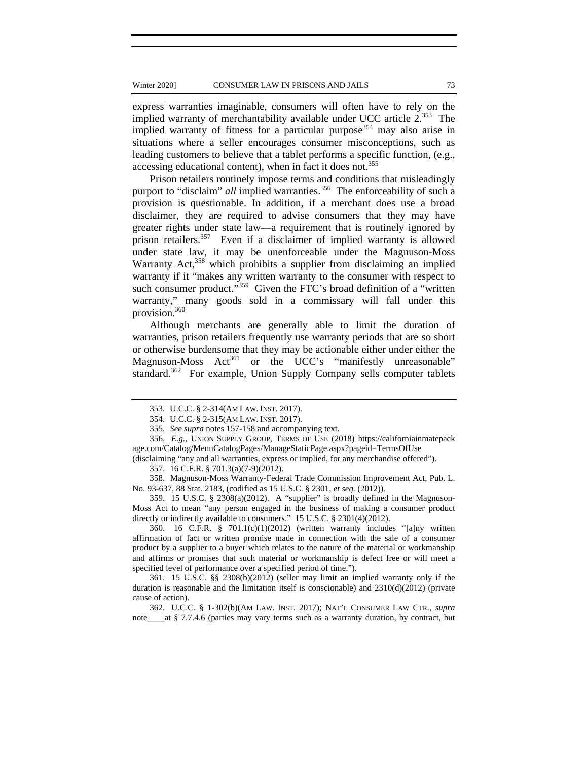express warranties imaginable, consumers will often have to rely on the implied warranty of merchantability available under UCC article 2.353 The implied warranty of fitness for a particular purpose<sup>354</sup> may also arise in situations where a seller encourages consumer misconceptions, such as leading customers to believe that a tablet performs a specific function, (e.g., accessing educational content), when in fact it does not.<sup>355</sup>

Prison retailers routinely impose terms and conditions that misleadingly purport to "disclaim" *all* implied warranties.<sup>356</sup> The enforceability of such a provision is questionable. In addition, if a merchant does use a broad disclaimer, they are required to advise consumers that they may have greater rights under state law—a requirement that is routinely ignored by prison retailers.<sup>357</sup> Even if a disclaimer of implied warranty is allowed under state law, it may be unenforceable under the Magnuson-Moss Warranty Act,<sup>358</sup> which prohibits a supplier from disclaiming an implied warranty if it "makes any written warranty to the consumer with respect to such consumer product."<sup>359</sup> Given the FTC's broad definition of a "written" warranty," many goods sold in a commissary will fall under this provision.360

Although merchants are generally able to limit the duration of warranties, prison retailers frequently use warranty periods that are so short or otherwise burdensome that they may be actionable either under either the Magnuson-Moss Act<sup>361</sup> or the UCC's "manifestly unreasonable" standard.<sup>362</sup> For example, Union Supply Company sells computer tablets

359. 15 U.S.C. § 2308(a)(2012). A "supplier" is broadly defined in the Magnuson-Moss Act to mean "any person engaged in the business of making a consumer product directly or indirectly available to consumers." 15 U.S.C. § 2301(4)(2012).

360. 16 C.F.R. § 701.1(c)(1)(2012) (written warranty includes "[a]ny written affirmation of fact or written promise made in connection with the sale of a consumer product by a supplier to a buyer which relates to the nature of the material or workmanship and affirms or promises that such material or workmanship is defect free or will meet a specified level of performance over a specified period of time.").

361. 15 U.S.C. §§ 2308(b)(2012) (seller may limit an implied warranty only if the duration is reasonable and the limitation itself is conscionable) and  $2310(d)(2012)$  (private cause of action).

362. U.C.C. § 1-302(b)(AM LAW. INST. 2017); NAT'L CONSUMER LAW CTR., *supra* note\_\_\_\_at § 7.7.4.6 (parties may vary terms such as a warranty duration, by contract, but

<sup>353.</sup> U.C.C. § 2-314(AM LAW. INST. 2017).

<sup>354.</sup> U.C.C. § 2-315(AM LAW. INST. 2017).

<sup>355.</sup> *See supra* notes 157-158 and accompanying text.

<sup>356.</sup> *E.g.*, UNION SUPPLY GROUP, TERMS OF USE (2018) https://californiainmatepack age.com/Catalog/MenuCatalogPages/ManageStaticPage.aspx?pageid=TermsOfUse

<sup>(</sup>disclaiming "any and all warranties, express or implied, for any merchandise offered").

<sup>357. 16</sup> C.F.R. § 701.3(a)(7-9)(2012).

<sup>358.</sup> Magnuson-Moss Warranty-Federal Trade Commission Improvement Act, Pub. L. No. 93-637, 88 Stat. 2183, (codified as 15 U.S.C. § 2301, *et seq.* (2012)).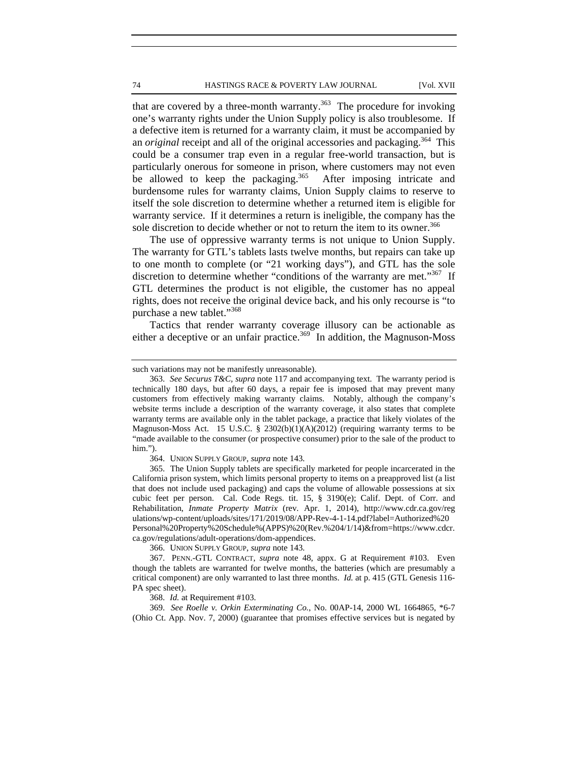that are covered by a three-month warranty.<sup>363</sup> The procedure for invoking one's warranty rights under the Union Supply policy is also troublesome. If a defective item is returned for a warranty claim, it must be accompanied by an *original* receipt and all of the original accessories and packaging.<sup>364</sup> This could be a consumer trap even in a regular free-world transaction, but is particularly onerous for someone in prison, where customers may not even be allowed to keep the packaging.<sup>365</sup> After imposing intricate and burdensome rules for warranty claims, Union Supply claims to reserve to itself the sole discretion to determine whether a returned item is eligible for warranty service. If it determines a return is ineligible, the company has the sole discretion to decide whether or not to return the item to its owner.<sup>366</sup>

The use of oppressive warranty terms is not unique to Union Supply. The warranty for GTL's tablets lasts twelve months, but repairs can take up to one month to complete (or "21 working days"), and GTL has the sole discretion to determine whether "conditions of the warranty are met."<sup>367</sup> If GTL determines the product is not eligible, the customer has no appeal rights, does not receive the original device back, and his only recourse is "to purchase a new tablet."<sup>368</sup>

Tactics that render warranty coverage illusory can be actionable as either a deceptive or an unfair practice.<sup>369</sup> In addition, the Magnuson-Moss

364. UNION SUPPLY GROUP, *supra* note 143.

366. UNION SUPPLY GROUP, *supra* note 143.

368. *Id.* at Requirement #103.

369. *See Roelle v. Orkin Exterminating Co.*, No. 00AP-14, 2000 WL 1664865, \*6-7 (Ohio Ct. App. Nov. 7, 2000) (guarantee that promises effective services but is negated by

such variations may not be manifestly unreasonable).

<sup>363.</sup> *See Securus T&C, supra* note 117 and accompanying text. The warranty period is technically 180 days, but after 60 days, a repair fee is imposed that may prevent many customers from effectively making warranty claims. Notably, although the company's website terms include a description of the warranty coverage, it also states that complete warranty terms are available only in the tablet package, a practice that likely violates of the Magnuson-Moss Act. 15 U.S.C. § 2302(b)(1)(A)(2012) (requiring warranty terms to be "made available to the consumer (or prospective consumer) prior to the sale of the product to him.").

<sup>365.</sup> The Union Supply tablets are specifically marketed for people incarcerated in the California prison system, which limits personal property to items on a preapproved list (a list that does not include used packaging) and caps the volume of allowable possessions at six cubic feet per person. Cal. Code Regs. tit. 15, § 3190(e); Calif. Dept. of Corr. and Rehabilitation, *Inmate Property Matrix* (rev. Apr. 1, 2014), http://www.cdr.ca.gov/reg ulations/wp-content/uploads/sites/171/2019/08/APP-Rev-4-1-14.pdf?label=Authorized%20 Personal%20Property%20Schedule%(APPS)%20(Rev.%204/1/14)&from=https://www.cdcr. ca.gov/regulations/adult-operations/dom-appendices.

<sup>367.</sup> PENN.-GTL CONTRACT, *supra* note 48, appx. G at Requirement #103. Even though the tablets are warranted for twelve months, the batteries (which are presumably a critical component) are only warranted to last three months. *Id.* at p. 415 (GTL Genesis 116- PA spec sheet).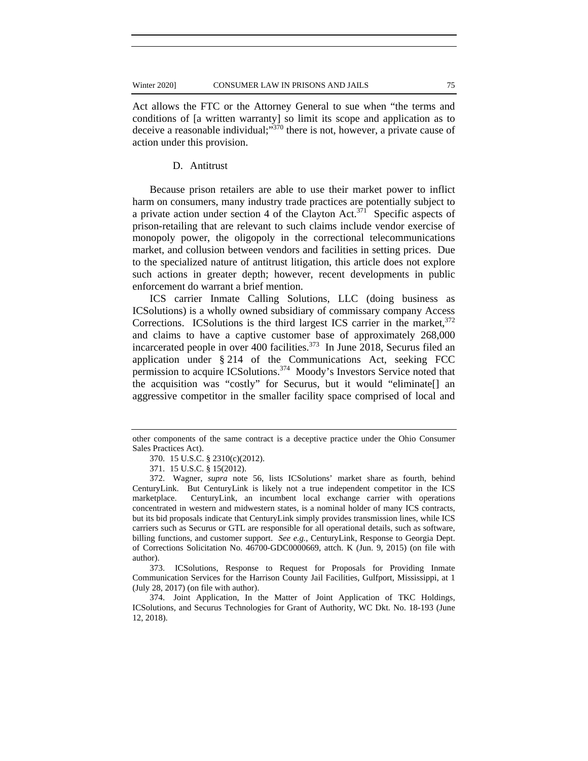Act allows the FTC or the Attorney General to sue when "the terms and conditions of [a written warranty] so limit its scope and application as to deceive a reasonable individual;"370 there is not, however, a private cause of action under this provision.

### D. Antitrust

Because prison retailers are able to use their market power to inflict harm on consumers, many industry trade practices are potentially subject to a private action under section 4 of the Clayton Act.<sup>371</sup> Specific aspects of prison-retailing that are relevant to such claims include vendor exercise of monopoly power, the oligopoly in the correctional telecommunications market, and collusion between vendors and facilities in setting prices. Due to the specialized nature of antitrust litigation, this article does not explore such actions in greater depth; however, recent developments in public enforcement do warrant a brief mention.

ICS carrier Inmate Calling Solutions, LLC (doing business as ICSolutions) is a wholly owned subsidiary of commissary company Access Corrections. ICSolutions is the third largest ICS carrier in the market,  $372$ and claims to have a captive customer base of approximately 268,000 incarcerated people in over  $400$  facilities.<sup>373</sup> In June 2018, Securus filed an application under § 214 of the Communications Act, seeking FCC permission to acquire ICSolutions.<sup>374</sup> Moody's Investors Service noted that the acquisition was "costly" for Securus, but it would "eliminate[] an aggressive competitor in the smaller facility space comprised of local and

373. ICSolutions, Response to Request for Proposals for Providing Inmate Communication Services for the Harrison County Jail Facilities, Gulfport, Mississippi, at 1 (July 28, 2017) (on file with author).

374. Joint Application, In the Matter of Joint Application of TKC Holdings, ICSolutions, and Securus Technologies for Grant of Authority, WC Dkt. No. 18-193 (June 12, 2018).

other components of the same contract is a deceptive practice under the Ohio Consumer Sales Practices Act).

<sup>370. 15</sup> U.S.C. § 2310(c)(2012).

<sup>371. 15</sup> U.S.C. § 15(2012).

<sup>372.</sup> Wagner, *supra* note 56, lists ICSolutions' market share as fourth, behind CenturyLink. But CenturyLink is likely not a true independent competitor in the ICS marketplace. CenturyLink, an incumbent local exchange carrier with operations concentrated in western and midwestern states, is a nominal holder of many ICS contracts, but its bid proposals indicate that CenturyLink simply provides transmission lines, while ICS carriers such as Securus or GTL are responsible for all operational details, such as software, billing functions, and customer support. *See e.g.*, CenturyLink, Response to Georgia Dept. of Corrections Solicitation No. 46700-GDC0000669, attch. K (Jun. 9, 2015) (on file with author).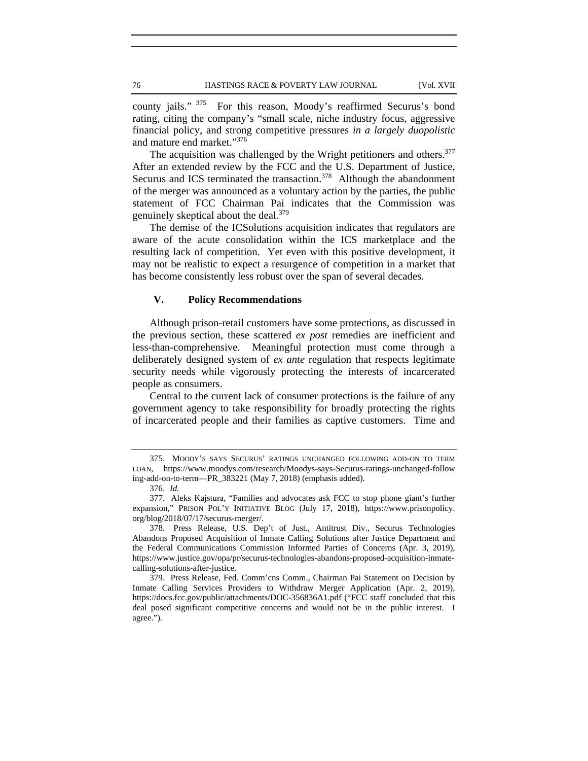county jails." <sup>375</sup> For this reason, Moody's reaffirmed Securus's bond rating, citing the company's "small scale, niche industry focus, aggressive financial policy, and strong competitive pressures *in a largely duopolistic* and mature end market."<sup>376</sup>

The acquisition was challenged by the Wright petitioners and others.<sup>377</sup> After an extended review by the FCC and the U.S. Department of Justice, Securus and ICS terminated the transaction.<sup>378</sup> Although the abandonment of the merger was announced as a voluntary action by the parties, the public statement of FCC Chairman Pai indicates that the Commission was genuinely skeptical about the deal.<sup>379</sup>

The demise of the ICSolutions acquisition indicates that regulators are aware of the acute consolidation within the ICS marketplace and the resulting lack of competition. Yet even with this positive development, it may not be realistic to expect a resurgence of competition in a market that has become consistently less robust over the span of several decades.

# **V. Policy Recommendations**

Although prison-retail customers have some protections, as discussed in the previous section, these scattered *ex post* remedies are inefficient and less-than-comprehensive. Meaningful protection must come through a deliberately designed system of *ex ante* regulation that respects legitimate security needs while vigorously protecting the interests of incarcerated people as consumers.

Central to the current lack of consumer protections is the failure of any government agency to take responsibility for broadly protecting the rights of incarcerated people and their families as captive customers. Time and

<sup>375.</sup> MOODY'S SAYS SECURUS' RATINGS UNCHANGED FOLLOWING ADD-ON TO TERM LOAN, https://www.moodys.com/research/Moodys-says-Securus-ratings-unchanged-follow ing-add-on-to-term—PR\_383221 (May 7, 2018) (emphasis added).

<sup>376.</sup> *Id.* 

<sup>377.</sup> Aleks Kajstura, "Families and advocates ask FCC to stop phone giant's further expansion," PRISON POL'Y INITIATIVE BLOG (July 17, 2018), https://www.prisonpolicy. org/blog/2018/07/17/securus-merger/.

<sup>378.</sup> Press Release, U.S. Dep't of Just., Antitrust Div., Securus Technologies Abandons Proposed Acquisition of Inmate Calling Solutions after Justice Department and the Federal Communications Commission Informed Parties of Concerns (Apr. 3, 2019), https://www.justice.gov/opa/pr/securus-technologies-abandons-proposed-acquisition-inmatecalling-solutions-after-justice.

<sup>379.</sup> Press Release, Fed. Comm'cns Comm., Chairman Pai Statement on Decision by Inmate Calling Services Providers to Withdraw Merger Application (Apr. 2, 2019), https://docs.fcc.gov/public/attachments/DOC-356836A1.pdf ("FCC staff concluded that this deal posed significant competitive concerns and would not be in the public interest. I agree.").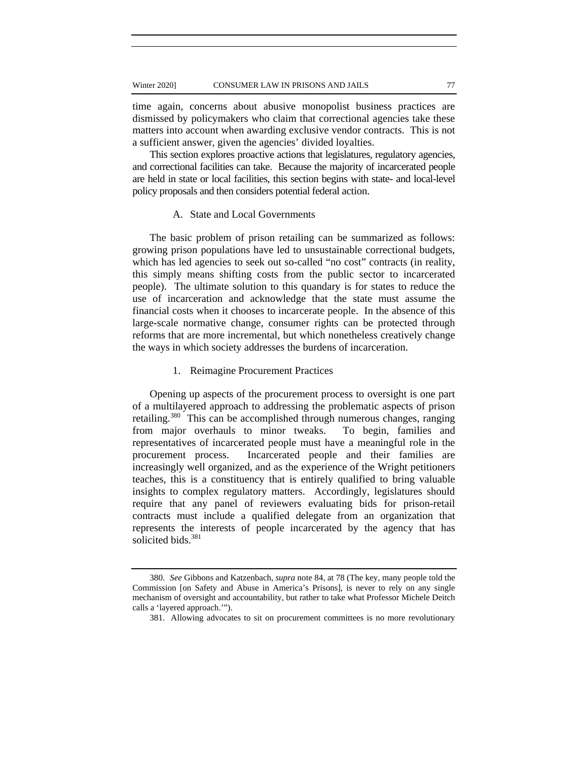time again, concerns about abusive monopolist business practices are dismissed by policymakers who claim that correctional agencies take these matters into account when awarding exclusive vendor contracts. This is not a sufficient answer, given the agencies' divided loyalties.

This section explores proactive actions that legislatures, regulatory agencies, and correctional facilities can take. Because the majority of incarcerated people are held in state or local facilities, this section begins with state- and local-level policy proposals and then considers potential federal action.

### A. State and Local Governments

The basic problem of prison retailing can be summarized as follows: growing prison populations have led to unsustainable correctional budgets, which has led agencies to seek out so-called "no cost" contracts (in reality, this simply means shifting costs from the public sector to incarcerated people). The ultimate solution to this quandary is for states to reduce the use of incarceration and acknowledge that the state must assume the financial costs when it chooses to incarcerate people. In the absence of this large-scale normative change, consumer rights can be protected through reforms that are more incremental, but which nonetheless creatively change the ways in which society addresses the burdens of incarceration.

# 1. Reimagine Procurement Practices

Opening up aspects of the procurement process to oversight is one part of a multilayered approach to addressing the problematic aspects of prison retailing.<sup>380</sup> This can be accomplished through numerous changes, ranging from major overhauls to minor tweaks. To begin, families and representatives of incarcerated people must have a meaningful role in the procurement process. Incarcerated people and their families are increasingly well organized, and as the experience of the Wright petitioners teaches, this is a constituency that is entirely qualified to bring valuable insights to complex regulatory matters. Accordingly, legislatures should require that any panel of reviewers evaluating bids for prison-retail contracts must include a qualified delegate from an organization that represents the interests of people incarcerated by the agency that has solicited bids.<sup>381</sup>

<sup>380.</sup> *See* Gibbons and Katzenbach, *supra* note 84, at 78 (The key, many people told the Commission [on Safety and Abuse in America's Prisons], is never to rely on any single mechanism of oversight and accountability, but rather to take what Professor Michele Deitch calls a 'layered approach.'").

<sup>381.</sup> Allowing advocates to sit on procurement committees is no more revolutionary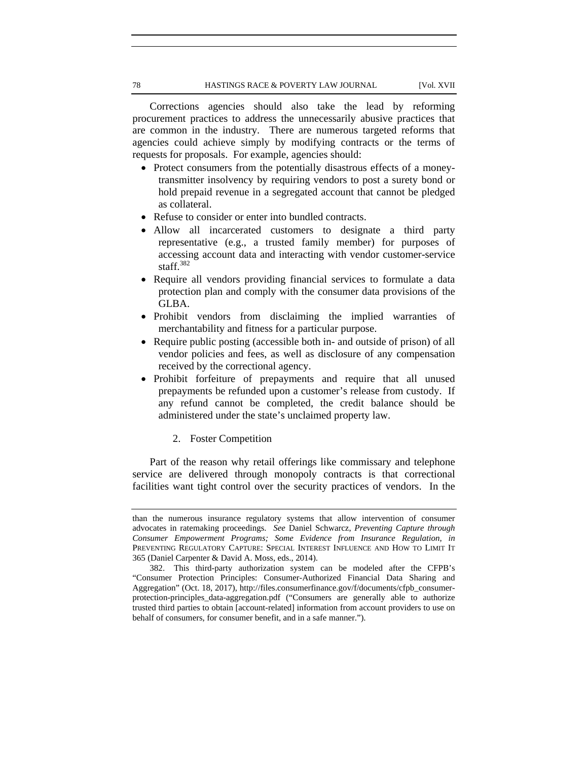Corrections agencies should also take the lead by reforming procurement practices to address the unnecessarily abusive practices that are common in the industry. There are numerous targeted reforms that agencies could achieve simply by modifying contracts or the terms of requests for proposals. For example, agencies should:

- Protect consumers from the potentially disastrous effects of a moneytransmitter insolvency by requiring vendors to post a surety bond or hold prepaid revenue in a segregated account that cannot be pledged as collateral.
- Refuse to consider or enter into bundled contracts.
- Allow all incarcerated customers to designate a third party representative (e.g., a trusted family member) for purposes of accessing account data and interacting with vendor customer-service staff. $382$
- Require all vendors providing financial services to formulate a data protection plan and comply with the consumer data provisions of the GLBA.
- Prohibit vendors from disclaiming the implied warranties of merchantability and fitness for a particular purpose.
- Require public posting (accessible both in- and outside of prison) of all vendor policies and fees, as well as disclosure of any compensation received by the correctional agency.
- Prohibit forfeiture of prepayments and require that all unused prepayments be refunded upon a customer's release from custody. If any refund cannot be completed, the credit balance should be administered under the state's unclaimed property law.
	- 2. Foster Competition

Part of the reason why retail offerings like commissary and telephone service are delivered through monopoly contracts is that correctional facilities want tight control over the security practices of vendors. In the

than the numerous insurance regulatory systems that allow intervention of consumer advocates in ratemaking proceedings. *See* Daniel Schwarcz, *Preventing Capture through Consumer Empowerment Programs; Some Evidence from Insurance Regulation*, *in*  PREVENTING REGULATORY CAPTURE: SPECIAL INTEREST INFLUENCE AND HOW TO LIMIT IT 365 (Daniel Carpenter & David A. Moss, eds., 2014).

<sup>382.</sup> This third-party authorization system can be modeled after the CFPB's "Consumer Protection Principles: Consumer-Authorized Financial Data Sharing and Aggregation" (Oct. 18, 2017), http://files.consumerfinance.gov/f/documents/cfpb\_consumerprotection-principles\_data-aggregation.pdf ("Consumers are generally able to authorize trusted third parties to obtain [account-related] information from account providers to use on behalf of consumers, for consumer benefit, and in a safe manner.").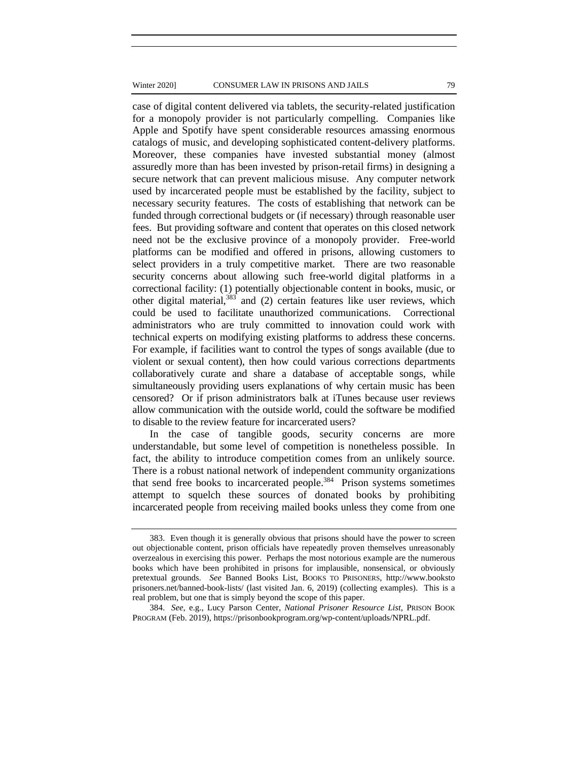#### Winter 2020] CONSUMER LAW IN PRISONS AND JAILS 79

case of digital content delivered via tablets, the security-related justification for a monopoly provider is not particularly compelling. Companies like Apple and Spotify have spent considerable resources amassing enormous catalogs of music, and developing sophisticated content-delivery platforms. Moreover, these companies have invested substantial money (almost assuredly more than has been invested by prison-retail firms) in designing a secure network that can prevent malicious misuse. Any computer network used by incarcerated people must be established by the facility, subject to necessary security features. The costs of establishing that network can be funded through correctional budgets or (if necessary) through reasonable user fees. But providing software and content that operates on this closed network need not be the exclusive province of a monopoly provider. Free-world platforms can be modified and offered in prisons, allowing customers to select providers in a truly competitive market. There are two reasonable security concerns about allowing such free-world digital platforms in a correctional facility: (1) potentially objectionable content in books, music, or other digital material, $383$  and (2) certain features like user reviews, which could be used to facilitate unauthorized communications. Correctional administrators who are truly committed to innovation could work with technical experts on modifying existing platforms to address these concerns. For example, if facilities want to control the types of songs available (due to violent or sexual content), then how could various corrections departments collaboratively curate and share a database of acceptable songs, while simultaneously providing users explanations of why certain music has been censored? Or if prison administrators balk at iTunes because user reviews allow communication with the outside world, could the software be modified to disable to the review feature for incarcerated users?

In the case of tangible goods, security concerns are more understandable, but some level of competition is nonetheless possible. In fact, the ability to introduce competition comes from an unlikely source. There is a robust national network of independent community organizations that send free books to incarcerated people.<sup>384</sup> Prison systems sometimes attempt to squelch these sources of donated books by prohibiting incarcerated people from receiving mailed books unless they come from one

<sup>383.</sup> Even though it is generally obvious that prisons should have the power to screen out objectionable content, prison officials have repeatedly proven themselves unreasonably overzealous in exercising this power. Perhaps the most notorious example are the numerous books which have been prohibited in prisons for implausible, nonsensical, or obviously pretextual grounds. *See* Banned Books List, BOOKS TO PRISONERS, http://www.booksto prisoners.net/banned-book-lists/ (last visited Jan. 6, 2019) (collecting examples). This is a real problem, but one that is simply beyond the scope of this paper.

<sup>384.</sup> *See*, e.g., Lucy Parson Center, *National Prisoner Resource List*, PRISON BOOK PROGRAM (Feb. 2019), https://prisonbookprogram.org/wp-content/uploads/NPRL.pdf.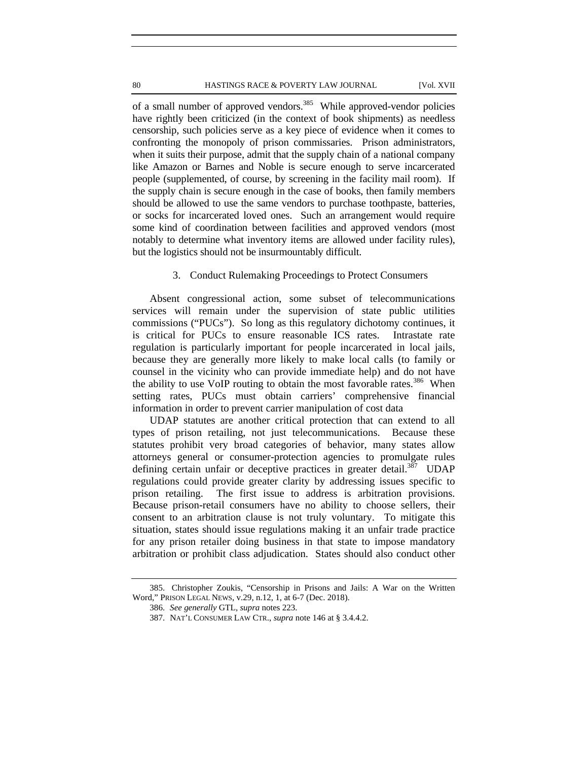#### 80 **HASTINGS RACE & POVERTY LAW JOURNAL** [Vol. XVII

of a small number of approved vendors.<sup>385</sup> While approved-vendor policies have rightly been criticized (in the context of book shipments) as needless censorship, such policies serve as a key piece of evidence when it comes to confronting the monopoly of prison commissaries. Prison administrators, when it suits their purpose, admit that the supply chain of a national company like Amazon or Barnes and Noble is secure enough to serve incarcerated people (supplemented, of course, by screening in the facility mail room). If the supply chain is secure enough in the case of books, then family members should be allowed to use the same vendors to purchase toothpaste, batteries, or socks for incarcerated loved ones. Such an arrangement would require some kind of coordination between facilities and approved vendors (most notably to determine what inventory items are allowed under facility rules), but the logistics should not be insurmountably difficult.

## 3. Conduct Rulemaking Proceedings to Protect Consumers

Absent congressional action, some subset of telecommunications services will remain under the supervision of state public utilities commissions ("PUCs"). So long as this regulatory dichotomy continues, it is critical for PUCs to ensure reasonable ICS rates. Intrastate rate regulation is particularly important for people incarcerated in local jails, because they are generally more likely to make local calls (to family or counsel in the vicinity who can provide immediate help) and do not have the ability to use VoIP routing to obtain the most favorable rates.<sup>386</sup> When setting rates, PUCs must obtain carriers' comprehensive financial information in order to prevent carrier manipulation of cost data

UDAP statutes are another critical protection that can extend to all types of prison retailing, not just telecommunications. Because these statutes prohibit very broad categories of behavior, many states allow attorneys general or consumer-protection agencies to promulgate rules defining certain unfair or deceptive practices in greater detail.<sup>387</sup> UDAP regulations could provide greater clarity by addressing issues specific to prison retailing. The first issue to address is arbitration provisions. Because prison-retail consumers have no ability to choose sellers, their consent to an arbitration clause is not truly voluntary. To mitigate this situation, states should issue regulations making it an unfair trade practice for any prison retailer doing business in that state to impose mandatory arbitration or prohibit class adjudication. States should also conduct other

<sup>385.</sup> Christopher Zoukis, "Censorship in Prisons and Jails: A War on the Written Word," PRISON LEGAL NEWS, v.29, n.12, 1, at 6-7 (Dec. 2018).

<sup>386.</sup> *See generally* GTL*, supra* notes 223.

<sup>387.</sup> NAT'L CONSUMER LAW CTR., *supra* note 146 at § 3.4.4.2.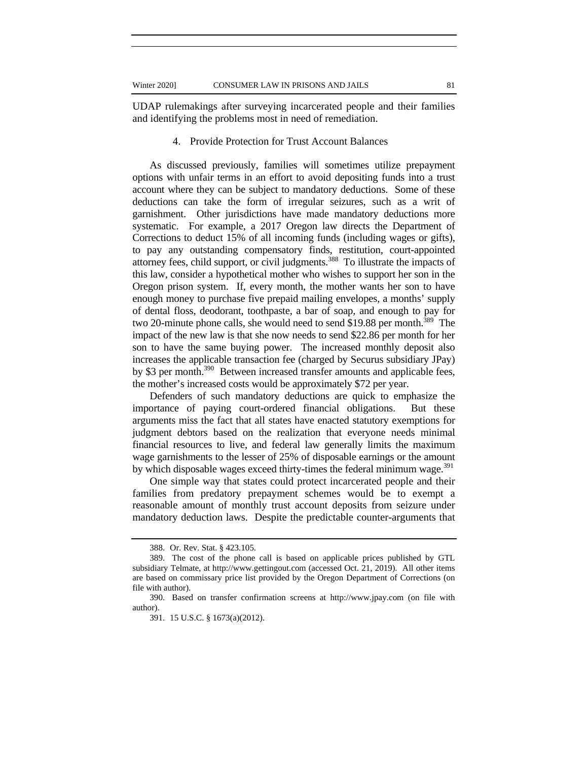UDAP rulemakings after surveying incarcerated people and their families and identifying the problems most in need of remediation.

### 4. Provide Protection for Trust Account Balances

As discussed previously, families will sometimes utilize prepayment options with unfair terms in an effort to avoid depositing funds into a trust account where they can be subject to mandatory deductions. Some of these deductions can take the form of irregular seizures, such as a writ of garnishment. Other jurisdictions have made mandatory deductions more systematic. For example, a 2017 Oregon law directs the Department of Corrections to deduct 15% of all incoming funds (including wages or gifts), to pay any outstanding compensatory finds, restitution, court-appointed attorney fees, child support, or civil judgments.388 To illustrate the impacts of this law, consider a hypothetical mother who wishes to support her son in the Oregon prison system. If, every month, the mother wants her son to have enough money to purchase five prepaid mailing envelopes, a months' supply of dental floss, deodorant, toothpaste, a bar of soap, and enough to pay for two 20-minute phone calls, she would need to send \$19.88 per month.<sup>389</sup> The impact of the new law is that she now needs to send \$22.86 per month for her son to have the same buying power. The increased monthly deposit also increases the applicable transaction fee (charged by Securus subsidiary JPay) by \$3 per month.<sup>390</sup> Between increased transfer amounts and applicable fees, the mother's increased costs would be approximately \$72 per year.

Defenders of such mandatory deductions are quick to emphasize the importance of paying court-ordered financial obligations. But these arguments miss the fact that all states have enacted statutory exemptions for judgment debtors based on the realization that everyone needs minimal financial resources to live, and federal law generally limits the maximum wage garnishments to the lesser of 25% of disposable earnings or the amount by which disposable wages exceed thirty-times the federal minimum wage.<sup>391</sup>

One simple way that states could protect incarcerated people and their families from predatory prepayment schemes would be to exempt a reasonable amount of monthly trust account deposits from seizure under mandatory deduction laws. Despite the predictable counter-arguments that

<sup>388.</sup> Or. Rev. Stat. § 423.105.

<sup>389.</sup> The cost of the phone call is based on applicable prices published by GTL subsidiary Telmate, at http://www.gettingout.com (accessed Oct. 21, 2019). All other items are based on commissary price list provided by the Oregon Department of Corrections (on file with author).

<sup>390.</sup> Based on transfer confirmation screens at http://www.jpay.com (on file with author).

<sup>391. 15</sup> U.S.C. § 1673(a)(2012).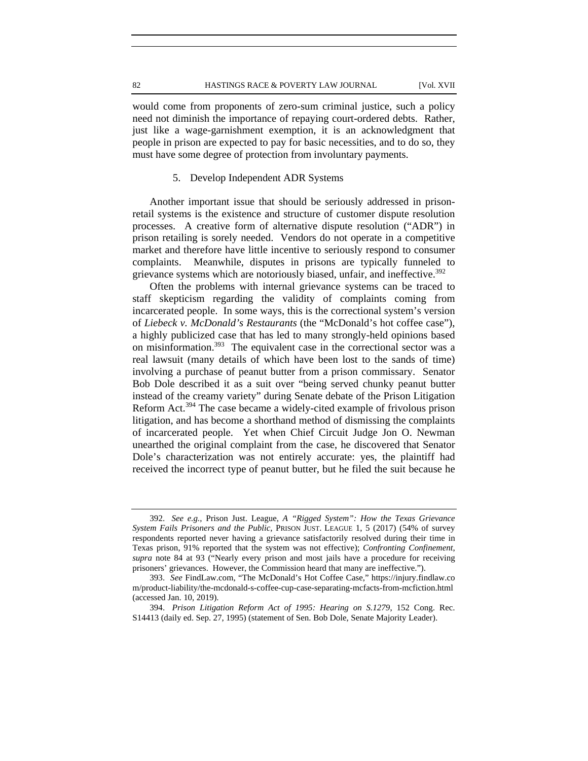would come from proponents of zero-sum criminal justice, such a policy need not diminish the importance of repaying court-ordered debts. Rather, just like a wage-garnishment exemption, it is an acknowledgment that people in prison are expected to pay for basic necessities, and to do so, they must have some degree of protection from involuntary payments.

## 5. Develop Independent ADR Systems

Another important issue that should be seriously addressed in prisonretail systems is the existence and structure of customer dispute resolution processes. A creative form of alternative dispute resolution ("ADR") in prison retailing is sorely needed. Vendors do not operate in a competitive market and therefore have little incentive to seriously respond to consumer complaints. Meanwhile, disputes in prisons are typically funneled to grievance systems which are notoriously biased, unfair, and ineffective.<sup>392</sup>

Often the problems with internal grievance systems can be traced to staff skepticism regarding the validity of complaints coming from incarcerated people. In some ways, this is the correctional system's version of *Liebeck v. McDonald's Restaurants* (the "McDonald's hot coffee case"), a highly publicized case that has led to many strongly-held opinions based on misinformation.<sup>393</sup> The equivalent case in the correctional sector was a real lawsuit (many details of which have been lost to the sands of time) involving a purchase of peanut butter from a prison commissary. Senator Bob Dole described it as a suit over "being served chunky peanut butter instead of the creamy variety" during Senate debate of the Prison Litigation Reform Act.394 The case became a widely-cited example of frivolous prison litigation, and has become a shorthand method of dismissing the complaints of incarcerated people. Yet when Chief Circuit Judge Jon O. Newman unearthed the original complaint from the case, he discovered that Senator Dole's characterization was not entirely accurate: yes, the plaintiff had received the incorrect type of peanut butter, but he filed the suit because he

<sup>392.</sup> *See e.g.*, Prison Just. League, *A "Rigged System": How the Texas Grievance System Fails Prisoners and the Public*, PRISON JUST. LEAGUE 1, 5 (2017) (54% of survey respondents reported never having a grievance satisfactorily resolved during their time in Texas prison, 91% reported that the system was not effective); *Confronting Confinement*, *supra* note 84 at 93 ("Nearly every prison and most jails have a procedure for receiving prisoners' grievances. However, the Commission heard that many are ineffective.").

<sup>393.</sup> *See* FindLaw.com, "The McDonald's Hot Coffee Case," https://injury.findlaw.co m/product-liability/the-mcdonald-s-coffee-cup-case-separating-mcfacts-from-mcfiction.html (accessed Jan. 10, 2019).

<sup>394.</sup> *Prison Litigation Reform Act of 1995: Hearing on S.1279*, 152 Cong. Rec. S14413 (daily ed. Sep. 27, 1995) (statement of Sen. Bob Dole, Senate Majority Leader).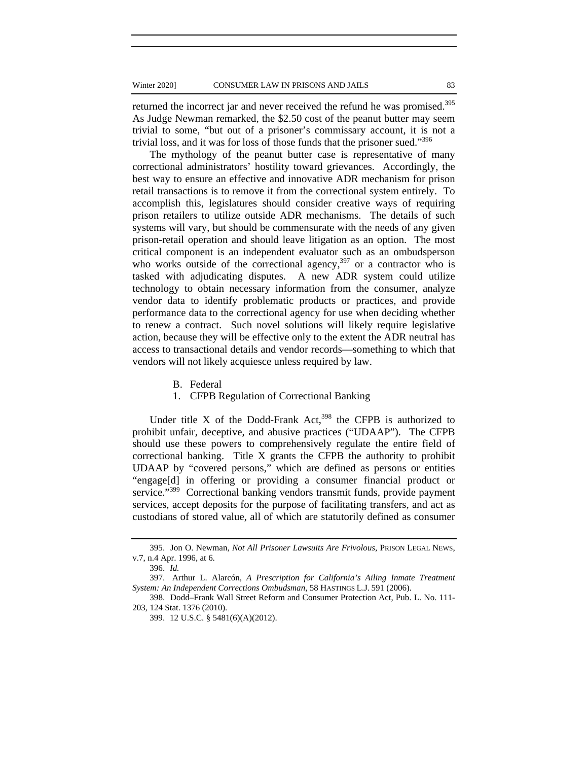returned the incorrect jar and never received the refund he was promised.<sup>395</sup> As Judge Newman remarked, the \$2.50 cost of the peanut butter may seem trivial to some, "but out of a prisoner's commissary account, it is not a trivial loss, and it was for loss of those funds that the prisoner sued."396

The mythology of the peanut butter case is representative of many correctional administrators' hostility toward grievances. Accordingly, the best way to ensure an effective and innovative ADR mechanism for prison retail transactions is to remove it from the correctional system entirely. To accomplish this, legislatures should consider creative ways of requiring prison retailers to utilize outside ADR mechanisms. The details of such systems will vary, but should be commensurate with the needs of any given prison-retail operation and should leave litigation as an option. The most critical component is an independent evaluator such as an ombudsperson who works outside of the correctional agency, $397$  or a contractor who is tasked with adjudicating disputes. A new ADR system could utilize technology to obtain necessary information from the consumer, analyze vendor data to identify problematic products or practices, and provide performance data to the correctional agency for use when deciding whether to renew a contract. Such novel solutions will likely require legislative action, because they will be effective only to the extent the ADR neutral has access to transactional details and vendor records—something to which that vendors will not likely acquiesce unless required by law.

B. Federal

# 1. CFPB Regulation of Correctional Banking

Under title X of the Dodd-Frank  $Act<sub>398</sub>$  the CFPB is authorized to prohibit unfair, deceptive, and abusive practices ("UDAAP"). The CFPB should use these powers to comprehensively regulate the entire field of correctional banking. Title X grants the CFPB the authority to prohibit UDAAP by "covered persons," which are defined as persons or entities "engage[d] in offering or providing a consumer financial product or service."<sup>399</sup> Correctional banking vendors transmit funds, provide payment services, accept deposits for the purpose of facilitating transfers, and act as custodians of stored value, all of which are statutorily defined as consumer

<sup>395.</sup> Jon O. Newman, *Not All Prisoner Lawsuits Are Frivolous*, PRISON LEGAL NEWS, v.7, n.4 Apr. 1996, at 6.

<sup>396.</sup> *Id.* 

<sup>397.</sup> Arthur L. Alarcón, *A Prescription for California's Ailing Inmate Treatment System: An Independent Corrections Ombudsman*, 58 HASTINGS L.J. 591 (2006).

<sup>398.</sup> Dodd–Frank Wall Street Reform and Consumer Protection Act, Pub. L. No. 111- 203, 124 Stat. 1376 (2010).

<sup>399. 12</sup> U.S.C. § 5481(6)(A)(2012).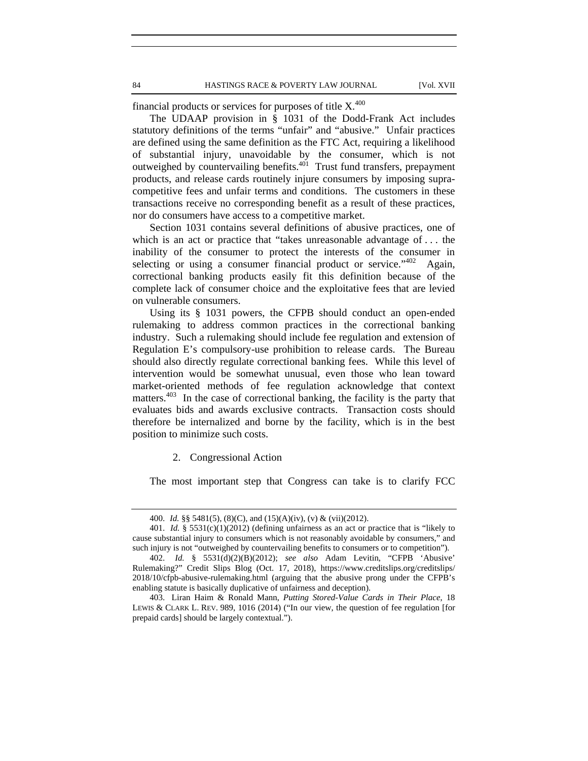financial products or services for purposes of title  $X^{400}$ .

The UDAAP provision in § 1031 of the Dodd-Frank Act includes statutory definitions of the terms "unfair" and "abusive." Unfair practices are defined using the same definition as the FTC Act, requiring a likelihood of substantial injury, unavoidable by the consumer, which is not outweighed by countervailing benefits.401 Trust fund transfers, prepayment products, and release cards routinely injure consumers by imposing supracompetitive fees and unfair terms and conditions. The customers in these transactions receive no corresponding benefit as a result of these practices, nor do consumers have access to a competitive market.

Section 1031 contains several definitions of abusive practices, one of which is an act or practice that "takes unreasonable advantage of . . . the inability of the consumer to protect the interests of the consumer in selecting or using a consumer financial product or service."<sup>402</sup> Again, correctional banking products easily fit this definition because of the complete lack of consumer choice and the exploitative fees that are levied on vulnerable consumers.

Using its § 1031 powers, the CFPB should conduct an open-ended rulemaking to address common practices in the correctional banking industry. Such a rulemaking should include fee regulation and extension of Regulation E's compulsory-use prohibition to release cards. The Bureau should also directly regulate correctional banking fees. While this level of intervention would be somewhat unusual, even those who lean toward market-oriented methods of fee regulation acknowledge that context matters.<sup>403</sup> In the case of correctional banking, the facility is the party that evaluates bids and awards exclusive contracts. Transaction costs should therefore be internalized and borne by the facility, which is in the best position to minimize such costs.

2. Congressional Action

The most important step that Congress can take is to clarify FCC

<sup>400.</sup> *Id.* §§ 5481(5), (8)(C), and (15)(A)(iv), (v) & (vii)(2012).

<sup>401.</sup> *Id.* § 5531(c)(1)(2012) (defining unfairness as an act or practice that is "likely to cause substantial injury to consumers which is not reasonably avoidable by consumers," and such injury is not "outweighed by countervailing benefits to consumers or to competition").

<sup>402.</sup> *Id.* § 5531(d)(2)(B)(2012); *see also* Adam Levitin, "CFPB 'Abusive' Rulemaking?" Credit Slips Blog (Oct. 17, 2018), https://www.creditslips.org/creditslips/ 2018/10/cfpb-abusive-rulemaking.html (arguing that the abusive prong under the CFPB's enabling statute is basically duplicative of unfairness and deception).

<sup>403.</sup> Liran Haim & Ronald Mann, *Putting Stored-Value Cards in Their Place*, 18 LEWIS & CLARK L. REV. 989, 1016 (2014) ("In our view, the question of fee regulation [for prepaid cards] should be largely contextual.").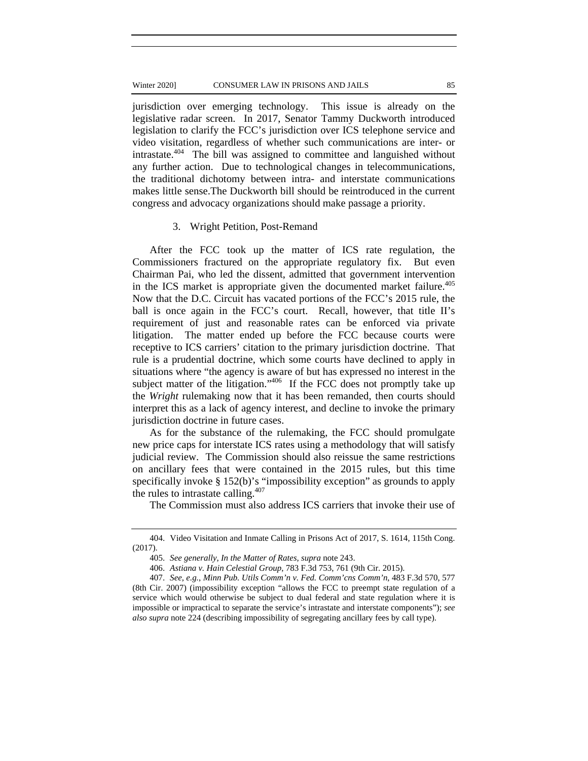#### Winter 2020] CONSUMER LAW IN PRISONS AND JAILS 85

jurisdiction over emerging technology. This issue is already on the legislative radar screen. In 2017, Senator Tammy Duckworth introduced legislation to clarify the FCC's jurisdiction over ICS telephone service and video visitation, regardless of whether such communications are inter- or intrastate.404 The bill was assigned to committee and languished without any further action. Due to technological changes in telecommunications, the traditional dichotomy between intra- and interstate communications makes little sense.The Duckworth bill should be reintroduced in the current congress and advocacy organizations should make passage a priority.

# 3. Wright Petition, Post-Remand

After the FCC took up the matter of ICS rate regulation, the Commissioners fractured on the appropriate regulatory fix. But even Chairman Pai, who led the dissent, admitted that government intervention in the ICS market is appropriate given the documented market failure.<sup>405</sup> Now that the D.C. Circuit has vacated portions of the FCC's 2015 rule, the ball is once again in the FCC's court. Recall, however, that title II's requirement of just and reasonable rates can be enforced via private litigation. The matter ended up before the FCC because courts were receptive to ICS carriers' citation to the primary jurisdiction doctrine. That rule is a prudential doctrine, which some courts have declined to apply in situations where "the agency is aware of but has expressed no interest in the subject matter of the litigation."<sup>406</sup> If the FCC does not promptly take up the *Wright* rulemaking now that it has been remanded, then courts should interpret this as a lack of agency interest, and decline to invoke the primary jurisdiction doctrine in future cases.

As for the substance of the rulemaking, the FCC should promulgate new price caps for interstate ICS rates using a methodology that will satisfy judicial review. The Commission should also reissue the same restrictions on ancillary fees that were contained in the 2015 rules, but this time specifically invoke § 152(b)'s "impossibility exception" as grounds to apply the rules to intrastate calling. $407$ 

The Commission must also address ICS carriers that invoke their use of

<sup>404.</sup> Video Visitation and Inmate Calling in Prisons Act of 2017, S. 1614, 115th Cong. (2017).

<sup>405.</sup> *See generally*, *In the Matter of Rates, supra* note 243.

<sup>406.</sup> *Astiana v. Hain Celestial Group*, 783 F.3d 753, 761 (9th Cir. 2015).

<sup>407.</sup> *See*, *e.g.*, *Minn Pub. Utils Comm'n v. Fed. Comm'cns Comm'n*, 483 F.3d 570, 577 (8th Cir. 2007) (impossibility exception "allows the FCC to preempt state regulation of a service which would otherwise be subject to dual federal and state regulation where it is impossible or impractical to separate the service's intrastate and interstate components"); *see also supra* note 224 (describing impossibility of segregating ancillary fees by call type).